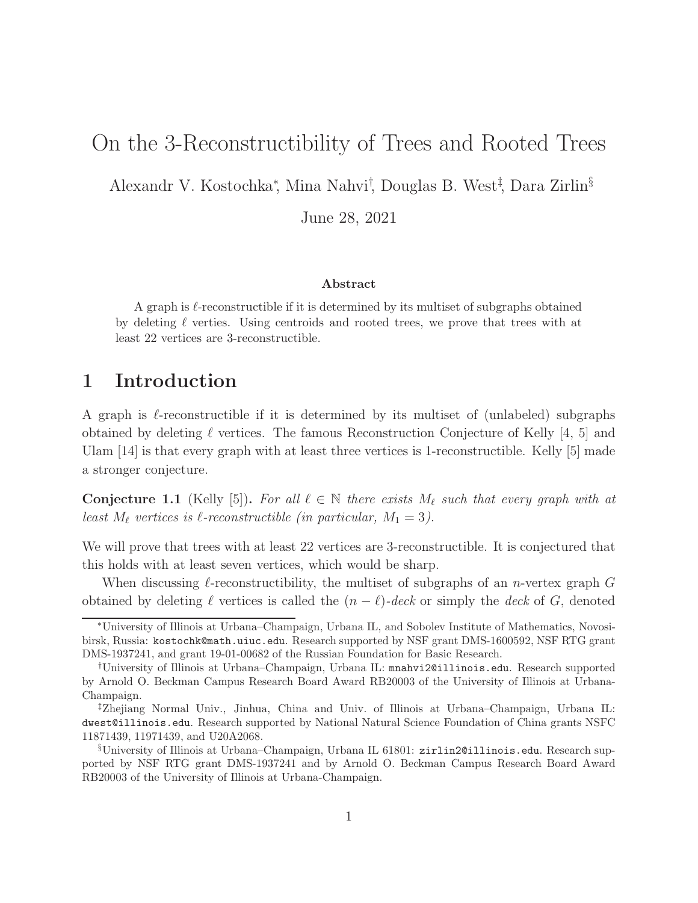# On the 3-Reconstructibility of Trees and Rooted Trees

Alexandr V. Kostochka<sup>∗</sup> , Mina Nahvi† , Douglas B. West‡ , Dara Zirlin§

June 28, 2021

### Abstract

A graph is  $\ell$ -reconstructible if it is determined by its multiset of subgraphs obtained by deleting  $\ell$  verties. Using centroids and rooted trees, we prove that trees with at least 22 vertices are 3-reconstructible.

## 1 Introduction

A graph is  $\ell$ -reconstructible if it is determined by its multiset of (unlabeled) subgraphs obtained by deleting  $\ell$  vertices. The famous Reconstruction Conjecture of Kelly [4, 5] and Ulam [14] is that every graph with at least three vertices is 1-reconstructible. Kelly [5] made a stronger conjecture.

**Conjecture 1.1** (Kelly [5]). For all  $\ell \in \mathbb{N}$  there exists  $M_{\ell}$  such that every graph with at least  $M_{\ell}$  vertices is  $\ell$ -reconstructible (in particular,  $M_1 = 3$ ).

We will prove that trees with at least 22 vertices are 3-reconstructible. It is conjectured that this holds with at least seven vertices, which would be sharp.

When discussing  $\ell$ -reconstructibility, the multiset of subgraphs of an *n*-vertex graph G obtained by deleting  $\ell$  vertices is called the  $(n - \ell)$ -deck or simply the deck of G, denoted

<sup>∗</sup>University of Illinois at Urbana–Champaign, Urbana IL, and Sobolev Institute of Mathematics, Novosibirsk, Russia: kostochk@math.uiuc.edu. Research supported by NSF grant DMS-1600592, NSF RTG grant DMS-1937241, and grant 19-01-00682 of the Russian Foundation for Basic Research.

<sup>†</sup>University of Illinois at Urbana–Champaign, Urbana IL: mnahvi2@illinois.edu. Research supported by Arnold O. Beckman Campus Research Board Award RB20003 of the University of Illinois at Urbana-Champaign.

<sup>‡</sup>Zhejiang Normal Univ., Jinhua, China and Univ. of Illinois at Urbana–Champaign, Urbana IL: dwest@illinois.edu. Research supported by National Natural Science Foundation of China grants NSFC 11871439, 11971439, and U20A2068.

<sup>§</sup>University of Illinois at Urbana–Champaign, Urbana IL 61801: zirlin2@illinois.edu. Research supported by NSF RTG grant DMS-1937241 and by Arnold O. Beckman Campus Research Board Award RB20003 of the University of Illinois at Urbana-Champaign.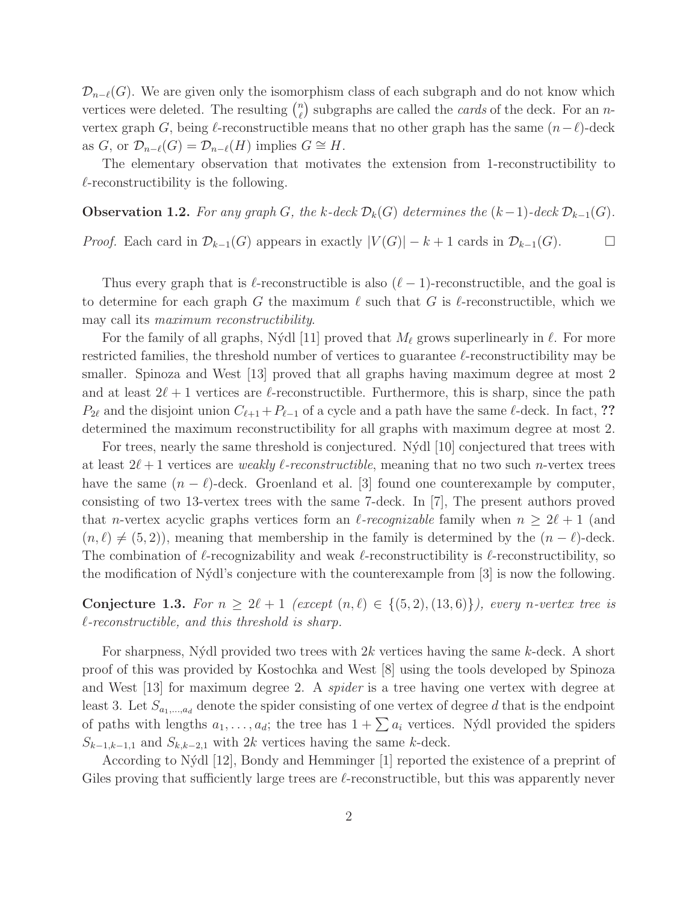$\mathcal{D}_{n-\ell}(G)$ . We are given only the isomorphism class of each subgraph and do not know which vertices were deleted. The resulting  $\binom{n}{k}$  $\binom{n}{\ell}$  subgraphs are called the *cards* of the deck. For an *n*vertex graph G, being  $\ell$ -reconstructible means that no other graph has the same  $(n-\ell)$ -deck as G, or  $\mathcal{D}_{n-\ell}(G) = \mathcal{D}_{n-\ell}(H)$  implies  $G \cong H$ .

The elementary observation that motivates the extension from 1-reconstructibility to  $\ell$ -reconstructibility is the following.

**Observation 1.2.** For any graph G, the k-deck  $\mathcal{D}_k(G)$  determines the  $(k-1)$ -deck  $\mathcal{D}_{k-1}(G)$ . *Proof.* Each card in  $\mathcal{D}_{k-1}(G)$  appears in exactly  $|V(G)| - k + 1$  cards in  $\mathcal{D}_{k-1}(G)$ . □

Thus every graph that is  $\ell$ -reconstructible is also  $(\ell-1)$ -reconstructible, and the goal is to determine for each graph G the maximum  $\ell$  such that G is  $\ell$ -reconstructible, which we may call its maximum reconstructibility.

For the family of all graphs, Nýdl [11] proved that  $M_{\ell}$  grows superlinearly in  $\ell$ . For more restricted families, the threshold number of vertices to guarantee  $\ell$ -reconstructibility may be smaller. Spinoza and West [13] proved that all graphs having maximum degree at most 2 and at least  $2\ell + 1$  vertices are  $\ell$ -reconstructible. Furthermore, this is sharp, since the path  $P_{2\ell}$  and the disjoint union  $C_{\ell+1}+P_{\ell-1}$  of a cycle and a path have the same  $\ell$ -deck. In fact, ?? determined the maximum reconstructibility for all graphs with maximum degree at most 2.

For trees, nearly the same threshold is conjectured. Nýdl [10] conjectured that trees with at least  $2\ell+1$  vertices are *weakly l-reconstructible*, meaning that no two such *n*-vertex trees have the same  $(n - \ell)$ -deck. Groenland et al. [3] found one counterexample by computer, consisting of two 13-vertex trees with the same 7-deck. In [7], The present authors proved that *n*-vertex acyclic graphs vertices form an *l*-recognizable family when  $n \geq 2l + 1$  (and  $(n, \ell) \neq (5, 2)$ , meaning that membership in the family is determined by the  $(n - \ell)$ -deck. The combination of  $\ell$ -recognizability and weak  $\ell$ -reconstructibility is  $\ell$ -reconstructibility, so the modification of N´ydl's conjecture with the counterexample from [3] is now the following.

Conjecture 1.3. For  $n \geq 2\ell + 1$  (except  $(n, \ell) \in \{(5, 2), (13, 6)\}\)$ , every n-vertex tree is  $\ell$ -reconstructible, and this threshold is sharp.

For sharpness, Nýdl provided two trees with  $2k$  vertices having the same k-deck. A short proof of this was provided by Kostochka and West [8] using the tools developed by Spinoza and West [13] for maximum degree 2. A spider is a tree having one vertex with degree at least 3. Let  $S_{a_1,...,a_d}$  denote the spider consisting of one vertex of degree d that is the endpoint of paths with lengths  $a_1, \ldots, a_d$ ; the tree has  $1 + \sum a_i$  vertices. Nýdl provided the spiders  $S_{k-1,k-1,1}$  and  $S_{k,k-2,1}$  with 2k vertices having the same k-deck.

According to N´ydl [12], Bondy and Hemminger [1] reported the existence of a preprint of Giles proving that sufficiently large trees are  $\ell$ -reconstructible, but this was apparently never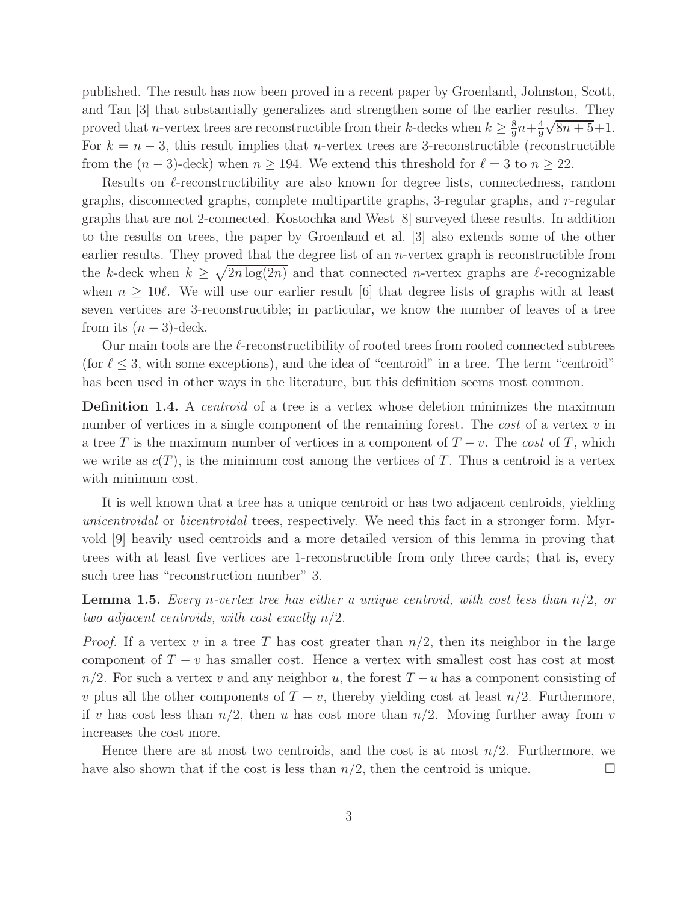published. The result has now been proved in a recent paper by Groenland, Johnston, Scott, and Tan [3] that substantially generalizes and strengthen some of the earlier results. They proved that *n*-vertex trees are reconstructible from their *k*-decks when  $k \geq \frac{8}{9}$  $\frac{8}{9}n+\frac{4}{9}$ 9  $\sqrt{8n+5}+1$ . For  $k = n - 3$ , this result implies that *n*-vertex trees are 3-reconstructible (reconstructible from the  $(n-3)$ -deck) when  $n \ge 194$ . We extend this threshold for  $\ell = 3$  to  $n \ge 22$ .

Results on  $\ell$ -reconstructibility are also known for degree lists, connectedness, random graphs, disconnected graphs, complete multipartite graphs, 3-regular graphs, and r-regular graphs that are not 2-connected. Kostochka and West [8] surveyed these results. In addition to the results on trees, the paper by Groenland et al. [3] also extends some of the other earlier results. They proved that the degree list of an *n*-vertex graph is reconstructible from the k-deck when  $k \geq \sqrt{2n \log(2n)}$  and that connected n-vertex graphs are l-recognizable when  $n \geq 10l$ . We will use our earlier result [6] that degree lists of graphs with at least seven vertices are 3-reconstructible; in particular, we know the number of leaves of a tree from its  $(n-3)$ -deck.

Our main tools are the  $\ell$ -reconstructibility of rooted trees from rooted connected subtrees (for  $\ell \leq 3$ , with some exceptions), and the idea of "centroid" in a tree. The term "centroid" has been used in other ways in the literature, but this definition seems most common.

**Definition 1.4.** A *centroid* of a tree is a vertex whose deletion minimizes the maximum number of vertices in a single component of the remaining forest. The *cost* of a vertex  $v$  in a tree T is the maximum number of vertices in a component of  $T - v$ . The cost of T, which we write as  $c(T)$ , is the minimum cost among the vertices of T. Thus a centroid is a vertex with minimum cost.

It is well known that a tree has a unique centroid or has two adjacent centroids, yielding unicentroidal or bicentroidal trees, respectively. We need this fact in a stronger form. Myrvold [9] heavily used centroids and a more detailed version of this lemma in proving that trees with at least five vertices are 1-reconstructible from only three cards; that is, every such tree has "reconstruction number" 3.

**Lemma 1.5.** Every n-vertex tree has either a unique centroid, with cost less than  $n/2$ , or two adjacent centroids, with cost exactly  $n/2$ .

*Proof.* If a vertex v in a tree T has cost greater than  $n/2$ , then its neighbor in the large component of  $T - v$  has smaller cost. Hence a vertex with smallest cost has cost at most  $n/2$ . For such a vertex v and any neighbor u, the forest  $T - u$  has a component consisting of v plus all the other components of  $T - v$ , thereby yielding cost at least  $n/2$ . Furthermore, if v has cost less than  $n/2$ , then u has cost more than  $n/2$ . Moving further away from v increases the cost more.

Hence there are at most two centroids, and the cost is at most  $n/2$ . Furthermore, we have also shown that if the cost is less than  $n/2$ , then the centroid is unique.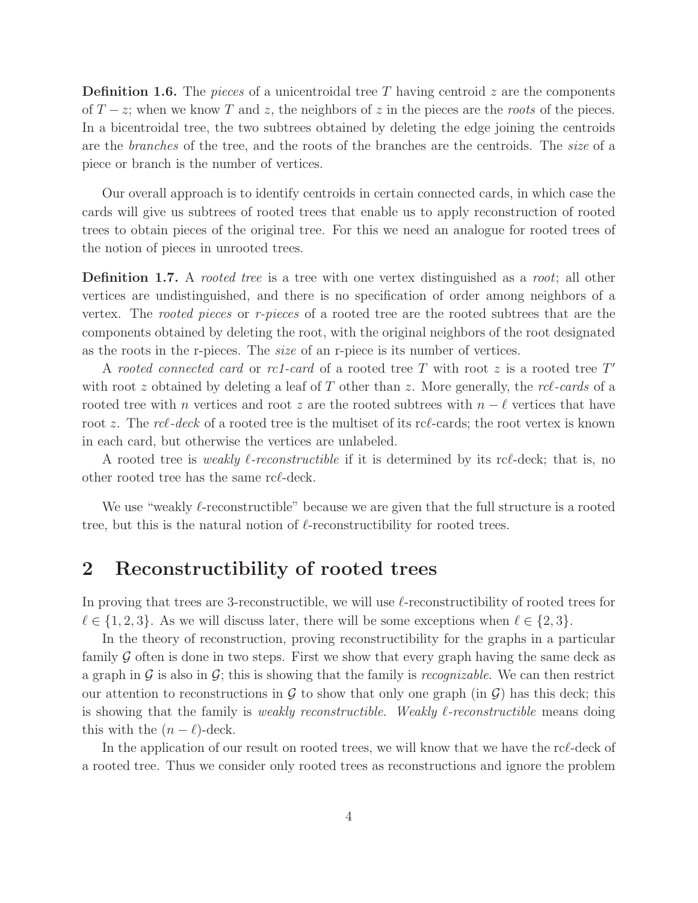**Definition 1.6.** The pieces of a unicentroidal tree T having centroid z are the components of  $T - z$ ; when we know T and z, the neighbors of z in the pieces are the roots of the pieces. In a bicentroidal tree, the two subtrees obtained by deleting the edge joining the centroids are the branches of the tree, and the roots of the branches are the centroids. The size of a piece or branch is the number of vertices.

Our overall approach is to identify centroids in certain connected cards, in which case the cards will give us subtrees of rooted trees that enable us to apply reconstruction of rooted trees to obtain pieces of the original tree. For this we need an analogue for rooted trees of the notion of pieces in unrooted trees.

**Definition 1.7.** A *rooted tree* is a tree with one vertex distinguished as a *root*; all other vertices are undistinguished, and there is no specification of order among neighbors of a vertex. The rooted pieces or r-pieces of a rooted tree are the rooted subtrees that are the components obtained by deleting the root, with the original neighbors of the root designated as the roots in the r-pieces. The size of an r-piece is its number of vertices.

A rooted connected card or rc1-card of a rooted tree  $T$  with root  $z$  is a rooted tree  $T'$ with root z obtained by deleting a leaf of T other than z. More generally, the  $rcl$ -cards of a rooted tree with n vertices and root z are the rooted subtrees with  $n - \ell$  vertices that have root z. The rcl-deck of a rooted tree is the multiset of its rcl-cards; the root vertex is known in each card, but otherwise the vertices are unlabeled.

A rooted tree is *weakly*  $\ell$ *-reconstructible* if it is determined by its rc $\ell$ -deck; that is, no other rooted tree has the same rcℓ-deck.

We use "weakly  $\ell$ -reconstructible" because we are given that the full structure is a rooted tree, but this is the natural notion of  $\ell$ -reconstructibility for rooted trees.

### 2 Reconstructibility of rooted trees

In proving that trees are 3-reconstructible, we will use  $\ell$ -reconstructibility of rooted trees for  $\ell \in \{1, 2, 3\}$ . As we will discuss later, there will be some exceptions when  $\ell \in \{2, 3\}$ .

In the theory of reconstruction, proving reconstructibility for the graphs in a particular family  $G$  often is done in two steps. First we show that every graph having the same deck as a graph in G is also in G; this is showing that the family is recognizable. We can then restrict our attention to reconstructions in  $\mathcal G$  to show that only one graph (in  $\mathcal G$ ) has this deck; this is showing that the family is *weakly reconstructible. Weakly*  $\ell$ *-reconstructible* means doing this with the  $(n - \ell)$ -deck.

In the application of our result on rooted trees, we will know that we have the rcℓ-deck of a rooted tree. Thus we consider only rooted trees as reconstructions and ignore the problem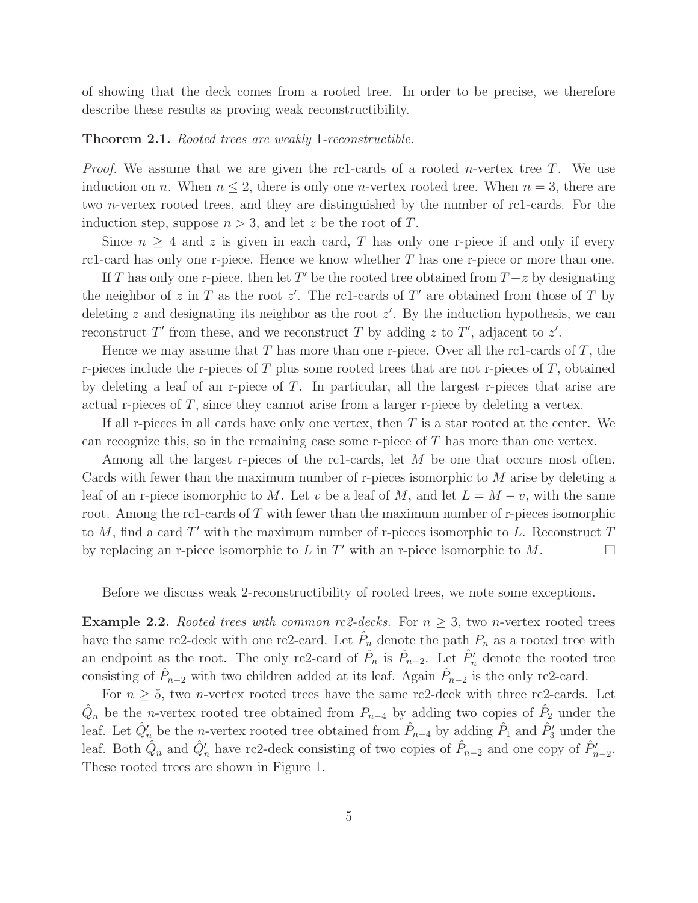of showing that the deck comes from a rooted tree. In order to be precise, we therefore describe these results as proving weak reconstructibility.

### **Theorem 2.1.** Rooted trees are weakly 1-reconstructible.

*Proof.* We assume that we are given the rc1-cards of a rooted *n*-vertex tree T. We use induction on n. When  $n \leq 2$ , there is only one n-vertex rooted tree. When  $n = 3$ , there are two n-vertex rooted trees, and they are distinguished by the number of rc1-cards. For the induction step, suppose  $n > 3$ , and let z be the root of T.

Since  $n \geq 4$  and z is given in each card, T has only one r-piece if and only if every rc1-card has only one r-piece. Hence we know whether  $T$  has one r-piece or more than one.

If T has only one r-piece, then let T' be the rooted tree obtained from  $T-z$  by designating the neighbor of z in T as the root  $z'$ . The rc1-cards of T' are obtained from those of T by deleting z and designating its neighbor as the root  $z'$ . By the induction hypothesis, we can reconstruct T' from these, and we reconstruct T by adding z to T', adjacent to z'.

Hence we may assume that  $T$  has more than one r-piece. Over all the rc1-cards of  $T$ , the r-pieces include the r-pieces of  $T$  plus some rooted trees that are not r-pieces of  $T$ , obtained by deleting a leaf of an r-piece of T. In particular, all the largest r-pieces that arise are actual r-pieces of T, since they cannot arise from a larger r-piece by deleting a vertex.

If all r-pieces in all cards have only one vertex, then  $T$  is a star rooted at the center. We can recognize this, so in the remaining case some r-piece of  $T$  has more than one vertex.

Among all the largest r-pieces of the rc1-cards, let M be one that occurs most often. Cards with fewer than the maximum number of r-pieces isomorphic to M arise by deleting a leaf of an r-piece isomorphic to M. Let v be a leaf of M, and let  $L = M - v$ , with the same root. Among the rc1-cards of T with fewer than the maximum number of r-pieces isomorphic to  $M$ , find a card  $T'$  with the maximum number of r-pieces isomorphic to  $L$ . Reconstruct  $T$ by replacing an r-piece isomorphic to L in T' with an r-piece isomorphic to  $M$ .

Before we discuss weak 2-reconstructibility of rooted trees, we note some exceptions.

**Example 2.2.** Rooted trees with common rc2-decks. For  $n > 3$ , two n-vertex rooted trees have the same rc2-deck with one rc2-card. Let  $\hat{P}_n$  denote the path  $P_n$  as a rooted tree with an endpoint as the root. The only rc2-card of  $\hat{P}_n$  is  $\hat{P}_{n-2}$ . Let  $\hat{P}'_n$  denote the rooted tree consisting of  $\hat{P}_{n-2}$  with two children added at its leaf. Again  $\hat{P}_{n-2}$  is the only rc2-card.

For  $n \geq 5$ , two *n*-vertex rooted trees have the same rc2-deck with three rc2-cards. Let  $\hat{Q}_n$  be the *n*-vertex rooted tree obtained from  $P_{n-4}$  by adding two copies of  $\hat{P}_2$  under the leaf. Let  $\hat{Q}'_n$  be the *n*-vertex rooted tree obtained from  $\hat{P}_{n-4}$  by adding  $\hat{P}_1$  and  $\hat{P}'_3$  under the leaf. Both  $\hat{Q}_n$  and  $\hat{Q}'_n$  have rc2-deck consisting of two copies of  $\hat{P}_{n-2}$  and one copy of  $\hat{P}'_{n-2}$ . These rooted trees are shown in Figure 1.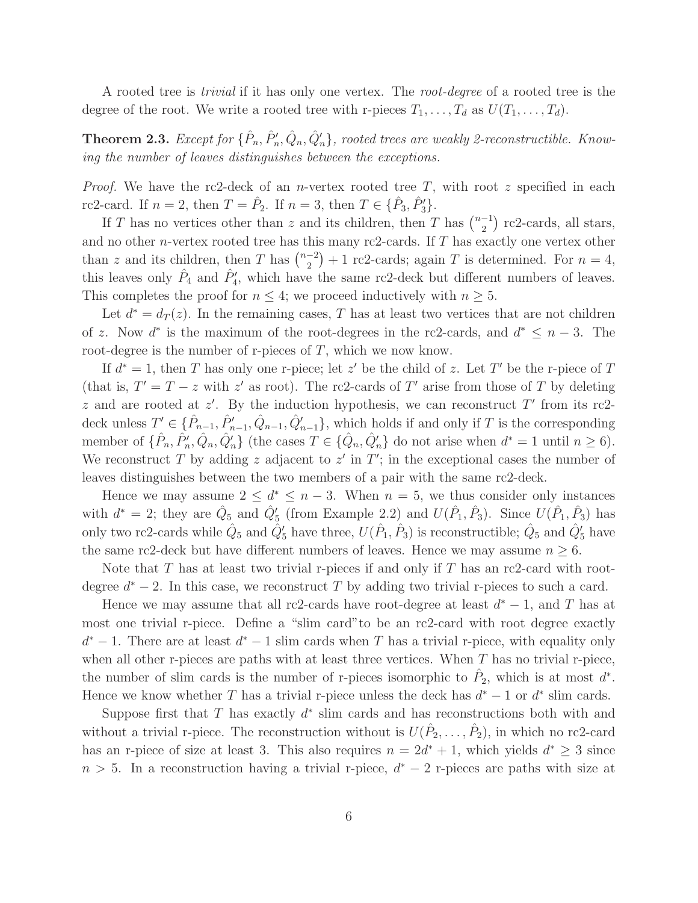A rooted tree is trivial if it has only one vertex. The root-degree of a rooted tree is the degree of the root. We write a rooted tree with r-pieces  $T_1, \ldots, T_d$  as  $U(T_1, \ldots, T_d)$ .

**Theorem 2.3.** Except for  $\{\hat{P}_n, \hat{P}'_n, \hat{Q}_n, \hat{Q}'_n\}$ , rooted trees are weakly 2-reconstructible. Knowing the number of leaves distinguishes between the exceptions.

*Proof.* We have the rc2-deck of an *n*-vertex rooted tree T, with root z specified in each rc2-card. If  $n = 2$ , then  $T = \hat{P}_2$ . If  $n = 3$ , then  $T \in {\{\hat{P}_3, \hat{P}'_3\}}$ .

If T has no vertices other than z and its children, then T has  $\binom{n-1}{2}$  $\binom{-1}{2}$  rc2-cards, all stars, and no other n-vertex rooted tree has this many rc2-cards. If T has exactly one vertex other than z and its children, then T has  $\binom{n-2}{2}$  $\binom{-2}{2}+1$  rc2-cards; again T is determined. For  $n=4$ , this leaves only  $\hat{P}_4$  and  $\hat{P}'_4$ , which have the same rc2-deck but different numbers of leaves. This completes the proof for  $n \leq 4$ ; we proceed inductively with  $n \geq 5$ .

Let  $d^* = d_T(z)$ . In the remaining cases, T has at least two vertices that are not children of z. Now  $d^*$  is the maximum of the root-degrees in the rc2-cards, and  $d^* \leq n-3$ . The root-degree is the number of r-pieces of  $T$ , which we now know.

If  $d^* = 1$ , then T has only one r-piece; let z' be the child of z. Let T' be the r-piece of T (that is,  $T' = T - z$  with z' as root). The rc2-cards of T' arise from those of T by deleting z and are rooted at  $z'$ . By the induction hypothesis, we can reconstruct T' from its rc2deck unless  $T' \in \{\hat{P}_{n-1}, \hat{P}_{n-1}', \hat{Q}_{n-1}, \hat{Q}_{n-1}'\}$ , which holds if and only if T is the corresponding member of  $\{\hat{P}_n, \hat{P}'_n, \hat{Q}_n, \hat{Q}'_n\}$  (the cases  $T \in \{\hat{Q}_n, \hat{Q}'_n\}$  do not arise when  $d^* = 1$  until  $n \ge 6$ ). We reconstruct T by adding z adjacent to  $z'$  in  $T'$ ; in the exceptional cases the number of leaves distinguishes between the two members of a pair with the same rc2-deck.

Hence we may assume  $2 \leq d^* \leq n-3$ . When  $n = 5$ , we thus consider only instances with  $d^* = 2$ ; they are  $\hat{Q}_5$  and  $\hat{Q}'_5$  (from Example 2.2) and  $U(\hat{P}_1, \hat{P}_3)$ . Since  $U(\hat{P}_1, \hat{P}_3)$  has only two rc2-cards while  $\hat{Q}_5$  and  $\hat{Q}'_5$  have three,  $U(\hat{P}_1, \hat{P}_3)$  is reconstructible;  $\hat{Q}_5$  and  $\hat{Q}'_5$  have the same rc2-deck but have different numbers of leaves. Hence we may assume  $n \geq 6$ .

Note that T has at least two trivial r-pieces if and only if T has an rc2-card with rootdegree  $d^* - 2$ . In this case, we reconstruct T by adding two trivial r-pieces to such a card.

Hence we may assume that all rc2-cards have root-degree at least  $d^* - 1$ , and T has at most one trivial r-piece. Define a "slim card"to be an rc2-card with root degree exactly  $d^* - 1$ . There are at least  $d^* - 1$  slim cards when T has a trivial r-piece, with equality only when all other r-pieces are paths with at least three vertices. When  $T$  has no trivial r-piece, the number of slim cards is the number of r-pieces isomorphic to  $\hat{P}_2$ , which is at most  $d^*$ . Hence we know whether T has a trivial r-piece unless the deck has  $d^* - 1$  or  $d^*$  slim cards.

Suppose first that  $T$  has exactly  $d^*$  slim cards and has reconstructions both with and without a trivial r-piece. The reconstruction without is  $U(\hat{P}_2,\ldots,\hat{P}_2)$ , in which no rc2-card has an r-piece of size at least 3. This also requires  $n = 2d^* + 1$ , which yields  $d^* \geq 3$  since  $n > 5$ . In a reconstruction having a trivial r-piece,  $d^* - 2$  r-pieces are paths with size at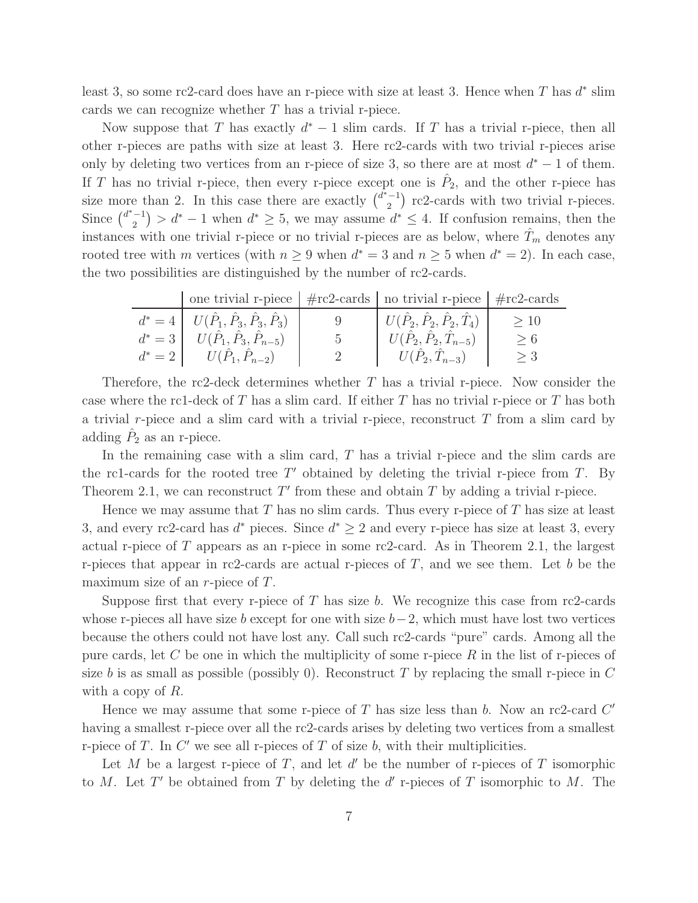least 3, so some rc2-card does have an r-piece with size at least 3. Hence when T has  $d^*$  slim cards we can recognize whether  $T$  has a trivial r-piece.

Now suppose that T has exactly  $d^* - 1$  slim cards. If T has a trivial r-piece, then all other r-pieces are paths with size at least 3. Here rc2-cards with two trivial r-pieces arise only by deleting two vertices from an r-piece of size 3, so there are at most  $d^* - 1$  of them. If T has no trivial r-piece, then every r-piece except one is  $\hat{P}_2$ , and the other r-piece has size more than 2. In this case there are exactly  $\binom{d^* - 1}{2}$  $\binom{-1}{2}$  rc2-cards with two trivial r-pieces. Since  $\binom{d^*-1}{2}$  $\binom{-1}{2}$  >  $d^* - 1$  when  $d^* \geq 5$ , we may assume  $d^* \leq 4$ . If confusion remains, then the instances with one trivial r-piece or no trivial r-pieces are as below, where  $T_m$  denotes any rooted tree with m vertices (with  $n \geq 9$  when  $d^* = 3$  and  $n \geq 5$  when  $d^* = 2$ ). In each case, the two possibilities are distinguished by the number of rc2-cards.

| one trivial r-piece $\frac{1}{2}$ #rc2-cards $\frac{1}{2}$ no trivial r-piece $\frac{1}{2}$ #rc2-cards |     |                                              |     |
|--------------------------------------------------------------------------------------------------------|-----|----------------------------------------------|-----|
| $d^* = 4   U(\hat{P}_1, \hat{P}_3, \hat{P}_3, \hat{P}_3)  $                                            |     | $U(\hat{P}_2,\hat{P}_2,\hat{P}_2,\hat{T}_4)$ | >10 |
| $d^* = 3 \mid U(\hat{P}_1, \hat{P}_3, \hat{P}_{n-5})$                                                  | - 5 | $U(\hat{P}_2, \hat{P}_2, \hat{T}_{n-5})$     | > 6 |
| $d^* = 2$   $U(P_1, P_{n-2})$                                                                          |     | $U(P_2, T_{n-3})$                            | >3  |

Therefore, the rc2-deck determines whether  $T$  has a trivial r-piece. Now consider the case where the rc1-deck of  $T$  has a slim card. If either  $T$  has no trivial r-piece or  $T$  has both a trivial r-piece and a slim card with a trivial r-piece, reconstruct  $T$  from a slim card by adding  $\hat{P}_2$  as an r-piece.

In the remaining case with a slim card,  $T$  has a trivial r-piece and the slim cards are the rc1-cards for the rooted tree  $T'$  obtained by deleting the trivial r-piece from  $T$ . By Theorem 2.1, we can reconstruct  $T'$  from these and obtain  $T$  by adding a trivial r-piece.

Hence we may assume that T has no slim cards. Thus every r-piece of T has size at least 3, and every rc2-card has  $d^*$  pieces. Since  $d^* \geq 2$  and every r-piece has size at least 3, every actual r-piece of T appears as an r-piece in some rc2-card. As in Theorem 2.1, the largest r-pieces that appear in rc2-cards are actual r-pieces of  $T$ , and we see them. Let b be the maximum size of an  $r$ -piece of  $T$ .

Suppose first that every r-piece of T has size b. We recognize this case from rc2-cards whose r-pieces all have size b except for one with size  $b-2$ , which must have lost two vertices because the others could not have lost any. Call such rc2-cards "pure" cards. Among all the pure cards, let C be one in which the multiplicity of some r-piece  $R$  in the list of r-pieces of size b is as small as possible (possibly 0). Reconstruct T by replacing the small r-piece in  $C$ with a copy of R.

Hence we may assume that some r-piece of  $T$  has size less than  $b$ . Now an rc2-card  $C'$ having a smallest r-piece over all the rc2-cards arises by deleting two vertices from a smallest r-piece of  $T$ . In  $C'$  we see all r-pieces of  $T$  of size  $b$ , with their multiplicities.

Let M be a largest r-piece of T, and let  $d'$  be the number of r-pieces of T isomorphic to M. Let T' be obtained from T by deleting the  $d'$  r-pieces of T isomorphic to M. The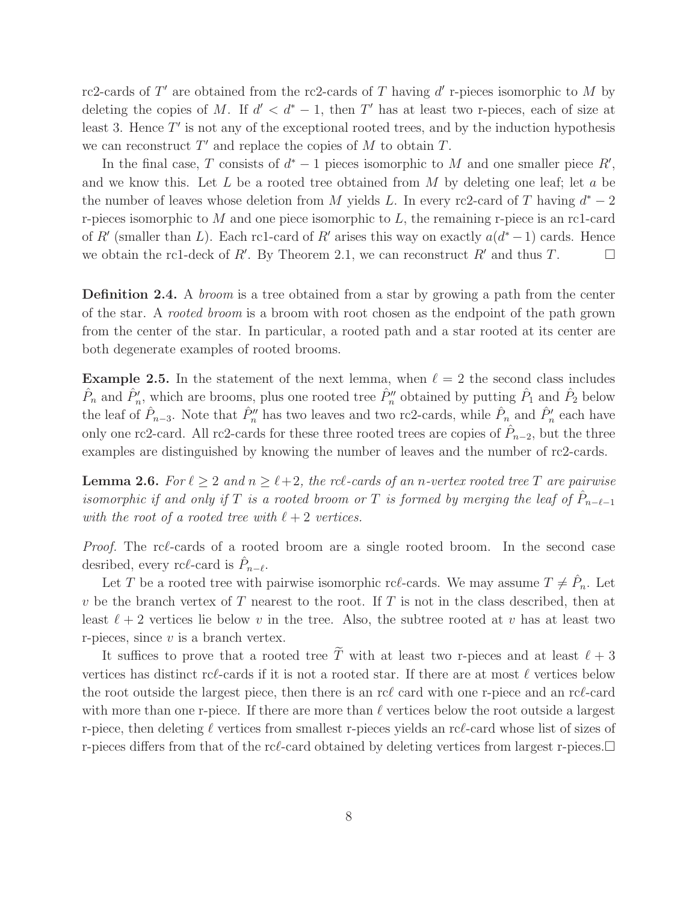rc2-cards of T' are obtained from the rc2-cards of T having d' r-pieces isomorphic to M by deleting the copies of M. If  $d' < d^* - 1$ , then T' has at least two r-pieces, each of size at least 3. Hence  $T'$  is not any of the exceptional rooted trees, and by the induction hypothesis we can reconstruct  $T'$  and replace the copies of  $M$  to obtain  $T$ .

In the final case, T consists of  $d^* - 1$  pieces isomorphic to M and one smaller piece  $R'$ , and we know this. Let  $L$  be a rooted tree obtained from  $M$  by deleting one leaf; let  $a$  be the number of leaves whose deletion from M yields L. In every rc2-card of T having  $d^* - 2$ r-pieces isomorphic to  $M$  and one piece isomorphic to  $L$ , the remaining r-piece is an rc1-card of R' (smaller than L). Each rc1-card of R' arises this way on exactly  $a(d^*-1)$  cards. Hence we obtain the rc1-deck of R'. By Theorem 2.1, we can reconstruct R' and thus T.

**Definition 2.4.** A *broom* is a tree obtained from a star by growing a path from the center of the star. A rooted broom is a broom with root chosen as the endpoint of the path grown from the center of the star. In particular, a rooted path and a star rooted at its center are both degenerate examples of rooted brooms.

**Example 2.5.** In the statement of the next lemma, when  $\ell = 2$  the second class includes  $\hat{P}_n$  and  $\hat{P}'_n$ , which are brooms, plus one rooted tree  $\hat{P}''_n$  obtained by putting  $\hat{P}_1$  and  $\hat{P}_2$  below the leaf of  $\hat{P}_{n-3}$ . Note that  $\hat{P}_n''$  has two leaves and two rc2-cards, while  $\hat{P}_n$  and  $\hat{P}_n'$  each have only one rc2-card. All rc2-cards for these three rooted trees are copies of  $\hat{P}_{n-2}$ , but the three examples are distinguished by knowing the number of leaves and the number of rc2-cards.

**Lemma 2.6.** For  $\ell \geq 2$  and  $n \geq \ell + 2$ , the rc $\ell$ -cards of an n-vertex rooted tree T are pairwise isomorphic if and only if T is a rooted broom or T is formed by merging the leaf of  $\hat{P}_{n-\ell-1}$ with the root of a rooted tree with  $\ell + 2$  vertices.

*Proof.* The rcl-cards of a rooted broom are a single rooted broom. In the second case desribed, every rc $\ell$ -card is  $\hat{P}_{n-\ell}$ .

Let T be a rooted tree with pairwise isomorphic rc $\ell$ -cards. We may assume  $T \neq \hat{P}_n$ . Let v be the branch vertex of  $T$  nearest to the root. If  $T$  is not in the class described, then at least  $\ell + 2$  vertices lie below v in the tree. Also, the subtree rooted at v has at least two r-pieces, since  $v$  is a branch vertex.

It suffices to prove that a rooted tree  $\widetilde{T}$  with at least two r-pieces and at least  $\ell + 3$ vertices has distinct rcℓ-cards if it is not a rooted star. If there are at most  $\ell$  vertices below the root outside the largest piece, then there is an rcℓ card with one r-piece and an rcℓ-card with more than one r-piece. If there are more than  $\ell$  vertices below the root outside a largest r-piece, then deleting  $\ell$  vertices from smallest r-pieces yields an rc $\ell$ -card whose list of sizes of r-pieces differs from that of the rc $\ell$ -card obtained by deleting vertices from largest r-pieces.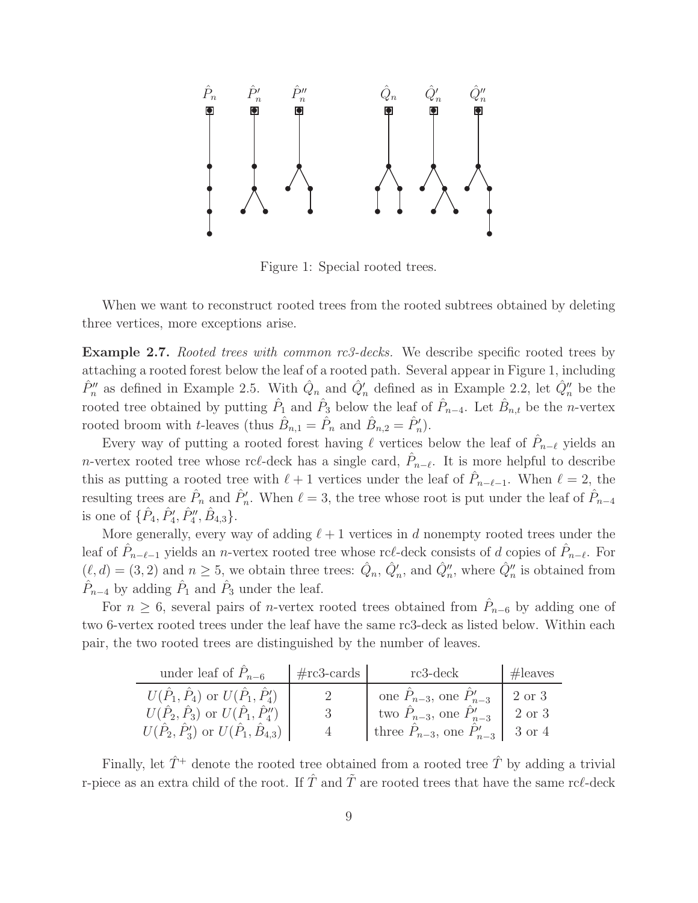

Figure 1: Special rooted trees.

When we want to reconstruct rooted trees from the rooted subtrees obtained by deleting three vertices, more exceptions arise.

**Example 2.7.** Rooted trees with common  $rc3$ -decks. We describe specific rooted trees by attaching a rooted forest below the leaf of a rooted path. Several appear in Figure 1, including  $\hat{P}''_n$  as defined in Example 2.5. With  $\hat{Q}_n$  and  $\hat{Q}'_n$  defined as in Example 2.2, let  $\hat{Q}''_n$  be the rooted tree obtained by putting  $\hat{P}_1$  and  $\hat{P}_3$  below the leaf of  $\hat{P}_{n-4}$ . Let  $\hat{B}_{n,t}$  be the *n*-vertex rooted broom with *t*-leaves (thus  $\hat{B}_{n,1} = \hat{P}_n$  and  $\hat{B}_{n,2} = \hat{P}'_n$ ).

Every way of putting a rooted forest having  $\ell$  vertices below the leaf of  $\hat{P}_{n-\ell}$  yields an *n*-vertex rooted tree whose rc $\ell$ -deck has a single card,  $\hat{P}_{n-\ell}$ . It is more helpful to describe this as putting a rooted tree with  $\ell+1$  vertices under the leaf of  $\hat{P}_{n-\ell-1}$ . When  $\ell=2$ , the resulting trees are  $\hat{P}_n$  and  $\hat{P}'_n$ . When  $\ell = 3$ , the tree whose root is put under the leaf of  $\hat{P}_{n-4}$ is one of  $\{\hat{P}_4, \hat{P}_4', \hat{P}_4'', \hat{B}_{4,3}\}.$ 

More generally, every way of adding  $\ell + 1$  vertices in d nonempty rooted trees under the leaf of  $\hat{P}_{n-\ell-1}$  yields an *n*-vertex rooted tree whose rc $\ell$ -deck consists of d copies of  $\hat{P}_{n-\ell}$ . For  $(\ell, d) = (3, 2)$  and  $n \ge 5$ , we obtain three trees:  $\hat{Q}_n$ ,  $\hat{Q}'_n$ , and  $\hat{Q}''_n$ , where  $\hat{Q}''_n$  is obtained from  $\hat{P}_{n-4}$  by adding  $\hat{P}_1$  and  $\hat{P}_3$  under the leaf.

For  $n \geq 6$ , several pairs of *n*-vertex rooted trees obtained from  $\hat{P}_{n-6}$  by adding one of two 6-vertex rooted trees under the leaf have the same rc3-deck as listed below. Within each pair, the two rooted trees are distinguished by the number of leaves.

| under leaf of $P_{n-6}$                                     | $#rc3$ -cards | rc3-deck                                  | $\#$ leaves |
|-------------------------------------------------------------|---------------|-------------------------------------------|-------------|
| $U(\hat{P}_1, \hat{P}_4)$ or $U(\hat{P}_1, \hat{P}'_4)$     |               | one $P_{n-3}$ , one $P'_{n-3}$            | 2 or 3      |
| $U(\hat{P}_2, \hat{P}_3)$ or $U(\hat{P}_1, \hat{P}_4'')$    |               | two $P_{n-3}$ , one $P'_{n-3}$            | 2 or 3      |
| $U(\hat{P}_2, \hat{P}'_3)$ or $U(\hat{P}_1, \hat{B}_{4,3})$ |               | three $P_{n-3}$ , one $P'_{n-3}$   3 or 4 |             |

Finally, let  $\hat{T}^+$  denote the rooted tree obtained from a rooted tree  $\hat{T}$  by adding a trivial r-piece as an extra child of the root. If  $\hat{T}$  and  $\hat{T}$  are rooted trees that have the same rcl-deck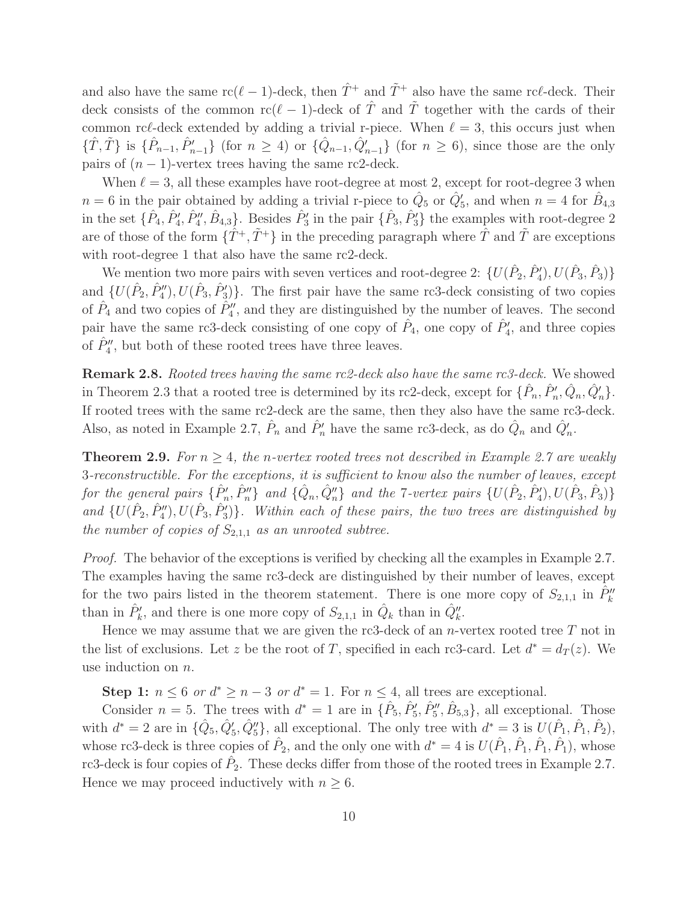and also have the same  $rc(\ell-1)$ -deck, then  $\hat{T}^+$  and  $\tilde{T}^+$  also have the same rc $\ell$ -deck. Their deck consists of the common rc( $\ell-1$ )-deck of  $\hat{T}$  and  $\tilde{T}$  together with the cards of their common rc $\ell$ -deck extended by adding a trivial r-piece. When  $\ell = 3$ , this occurs just when  $\{\hat{T}, \tilde{T}\}\$ is  $\{\hat{P}_{n-1}, \hat{P}_{n-1}'\}$  (for  $n \geq 4$ ) or  $\{\hat{Q}_{n-1}, \hat{Q}_{n-1}'\}$  (for  $n \geq 6$ ), since those are the only pairs of  $(n - 1)$ -vertex trees having the same rc2-deck.

When  $\ell = 3$ , all these examples have root-degree at most 2, except for root-degree 3 when  $n = 6$  in the pair obtained by adding a trivial r-piece to  $\hat{Q}_5$  or  $\hat{Q}'_5$ , and when  $n = 4$  for  $\hat{B}_{4,3}$ in the set  $\{\hat{P}_4, \hat{P}'_4, \hat{P}''_4, \hat{B}_{4,3}\}$ . Besides  $\hat{P}'_3$  in the pair  $\{\hat{P}_3, \hat{P}'_3\}$  the examples with root-degree 2 are of those of the form  $\{\hat{T}^+,\tilde{T}^+\}$  in the preceding paragraph where  $\hat{T}$  and  $\tilde{T}$  are exceptions with root-degree 1 that also have the same rc2-deck.

We mention two more pairs with seven vertices and root-degree 2:  $\{U(\hat{P}_2, \hat{P}'_4), U(\hat{P}_3, \hat{P}_3)\}$ and  $\{U(\hat{P}_2, \hat{P}_4''), U(\hat{P}_3, \hat{P}_3')\}$ . The first pair have the same rc3-deck consisting of two copies of  $\hat{P}_4$  and two copies of  $\hat{P}_4''$ , and they are distinguished by the number of leaves. The second pair have the same rc3-deck consisting of one copy of  $\hat{P}_4$ , one copy of  $\hat{P}'_4$ , and three copies of  $\hat{P}''_4$ , but both of these rooted trees have three leaves.

Remark 2.8. Rooted trees having the same rc2-deck also have the same rc3-deck. We showed in Theorem 2.3 that a rooted tree is determined by its rc2-deck, except for  $\{\hat{P}_n, \hat{P}'_n, \hat{Q}_n, \hat{Q}'_n\}$ . If rooted trees with the same rc2-deck are the same, then they also have the same rc3-deck. Also, as noted in Example 2.7,  $\hat{P}_n$  and  $\hat{P}'_n$  have the same rc3-deck, as do  $\hat{Q}_n$  and  $\hat{Q}'_n$ .

**Theorem 2.9.** For  $n \geq 4$ , the n-vertex rooted trees not described in Example 2.7 are weakly 3-reconstructible. For the exceptions, it is sufficient to know also the number of leaves, except for the general pairs  $\{\hat{P}'_n, \hat{P}''_n\}$  and  $\{\hat{Q}_n, \hat{Q}''_n\}$  and the 7-vertex pairs  $\{U(\hat{P}_2, \hat{P}'_4), U(\hat{P}_3, \hat{P}_3)\}$ and  $\{U(\hat{P}_2, \hat{P}_4''), U(\hat{P}_3, \hat{P}_3')\}$ . Within each of these pairs, the two trees are distinguished by the number of copies of  $S_{2,1,1}$  as an unrooted subtree.

Proof. The behavior of the exceptions is verified by checking all the examples in Example 2.7. The examples having the same rc3-deck are distinguished by their number of leaves, except for the two pairs listed in the theorem statement. There is one more copy of  $S_{2,1,1}$  in  $\hat{P}''_k$ than in  $\hat{P}'_k$ , and there is one more copy of  $S_{2,1,1}$  in  $\hat{Q}_k$  than in  $\hat{Q}_k''$ .

Hence we may assume that we are given the rc3-deck of an *n*-vertex rooted tree  $T$  not in the list of exclusions. Let z be the root of T, specified in each rc3-card. Let  $d^* = d_T(z)$ . We use induction on n.

Step 1:  $n \leq 6$  or  $d^* \geq n-3$  or  $d^* = 1$ . For  $n \leq 4$ , all trees are exceptional.

Consider  $n = 5$ . The trees with  $d^* = 1$  are in  $\{\hat{P}_5, \hat{P}_5', \hat{P}_5'', \hat{B}_{5,3}\}\$ , all exceptional. Those with  $d^* = 2$  are in  $\{\hat{Q}_5, \hat{Q}_5, \hat{Q}_5''\}$ , all exceptional. The only tree with  $d^* = 3$  is  $U(\hat{P}_1, \hat{P}_1, \hat{P}_2)$ , whose rc3-deck is three copies of  $\hat{P}_2$ , and the only one with  $d^* = 4$  is  $U(\hat{P}_1, \hat{P}_1, \hat{P}_1, \hat{P}_1)$ , whose rc3-deck is four copies of  $\hat{P}_2$ . These decks differ from those of the rooted trees in Example 2.7. Hence we may proceed inductively with  $n \geq 6$ .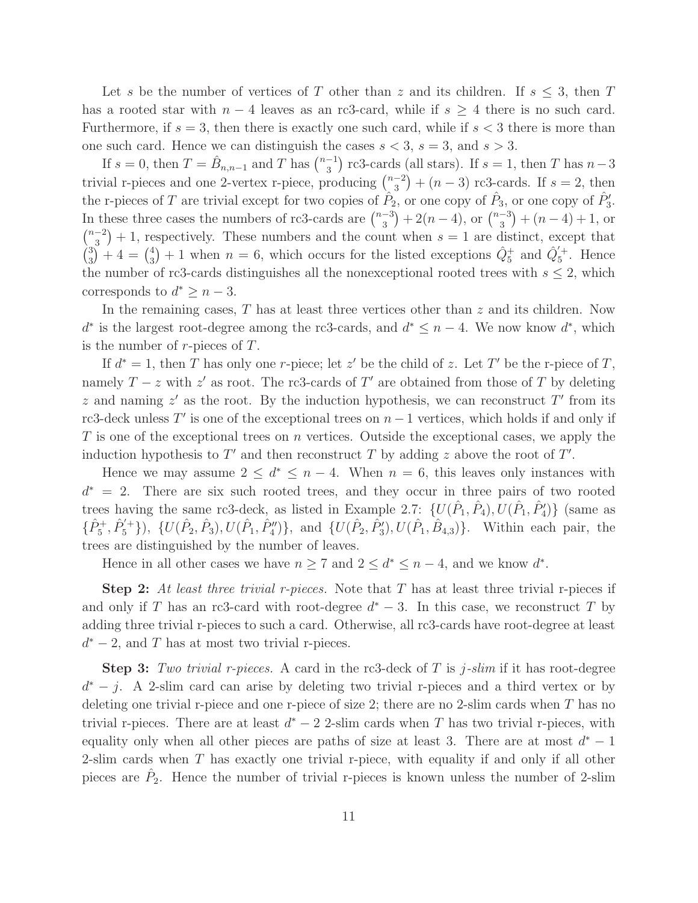Let s be the number of vertices of T other than z and its children. If  $s \leq 3$ , then T has a rooted star with  $n-4$  leaves as an rc3-card, while if  $s \geq 4$  there is no such card. Furthermore, if  $s = 3$ , then there is exactly one such card, while if  $s < 3$  there is more than one such card. Hence we can distinguish the cases  $s < 3$ ,  $s = 3$ , and  $s > 3$ .

If  $s = 0$ , then  $T = \hat{B}_{n,n-1}$  and T has  $\binom{n-1}{3}$  $\binom{-1}{3}$  rc3-cards (all stars). If  $s = 1$ , then T has  $n-3$ trivial r-pieces and one 2-vertex r-piece, producing  $\binom{n-2}{3}$  $\binom{-2}{3}$  +  $(n-3)$  rc3-cards. If  $s = 2$ , then the r-pieces of T are trivial except for two copies of  $\hat{P}_2$ , or one copy of  $\hat{P}_3$ , or one copy of  $\hat{P}'_3$ . In these three cases the numbers of rc3-cards are  $\binom{n-3}{3}$  $\binom{-3}{3} + 2(n-4)$ , or  $\binom{n-3}{3}$  $\binom{-3}{3} + (n-4) + 1$ , or  $\binom{n-2}{2}$  $\binom{-2}{3}+1$ , respectively. These numbers and the count when  $s=1$  are distinct, except that  $\binom{3}{3}$  $\binom{3}{3}+4=\binom{4}{3}$  $\hat{Q}_5^+$  + 1 when  $n = 6$ , which occurs for the listed exceptions  $\hat{Q}_5^+$  and  $\hat{Q}_5'^{+}$ . Hence the number of rc3-cards distinguishes all the nonexceptional rooted trees with  $s \leq 2$ , which corresponds to  $d^* \geq n-3$ .

In the remaining cases,  $T$  has at least three vertices other than  $z$  and its children. Now  $d^*$  is the largest root-degree among the rc3-cards, and  $d^* \leq n-4$ . We now know  $d^*$ , which is the number of  $r$ -pieces of  $T$ .

If  $d^* = 1$ , then T has only one r-piece; let z' be the child of z. Let T' be the r-piece of T, namely  $T - z$  with  $z'$  as root. The rc3-cards of T' are obtained from those of T by deleting z and naming  $z'$  as the root. By the induction hypothesis, we can reconstruct T' from its rc3-deck unless  $T'$  is one of the exceptional trees on  $n-1$  vertices, which holds if and only if  $T$  is one of the exceptional trees on n vertices. Outside the exceptional cases, we apply the induction hypothesis to  $T'$  and then reconstruct T by adding z above the root of  $T'$ .

Hence we may assume  $2 \leq d^* \leq n-4$ . When  $n = 6$ , this leaves only instances with  $d^* = 2$ . There are six such rooted trees, and they occur in three pairs of two rooted trees having the same rc3-deck, as listed in Example 2.7:  $\{U(\hat{P}_1, \hat{P}_4), U(\hat{P}_1, \hat{P}'_4)\}$  (same as  $\{\hat{P}_5^+,\hat{P}_5^{'+}\}\)$ ,  $\{U(\hat{P}_2,\hat{P}_3),U(\hat{P}_1,\hat{P}_4'')\}$ , and  $\{U(\hat{P}_2,\hat{P}_3'),U(\hat{P}_1,\hat{B}_{4,3})\}$ . Within each pair, the trees are distinguished by the number of leaves.

Hence in all other cases we have  $n \ge 7$  and  $2 \le d^* \le n-4$ , and we know  $d^*$ .

Step 2: At least three trivial r-pieces. Note that  $T$  has at least three trivial r-pieces if and only if T has an rc3-card with root-degree  $d^* - 3$ . In this case, we reconstruct T by adding three trivial r-pieces to such a card. Otherwise, all rc3-cards have root-degree at least  $d^*$  – 2, and T has at most two trivial r-pieces.

**Step 3:** Two trivial r-pieces. A card in the rc3-deck of T is j-slim if it has root-degree  $d^* - j$ . A 2-slim card can arise by deleting two trivial r-pieces and a third vertex or by deleting one trivial r-piece and one r-piece of size 2; there are no 2-slim cards when  $T$  has no trivial r-pieces. There are at least  $d^* - 2$  2-slim cards when T has two trivial r-pieces, with equality only when all other pieces are paths of size at least 3. There are at most  $d^* - 1$ 2-slim cards when T has exactly one trivial r-piece, with equality if and only if all other pieces are  $\hat{P}_2$ . Hence the number of trivial r-pieces is known unless the number of 2-slim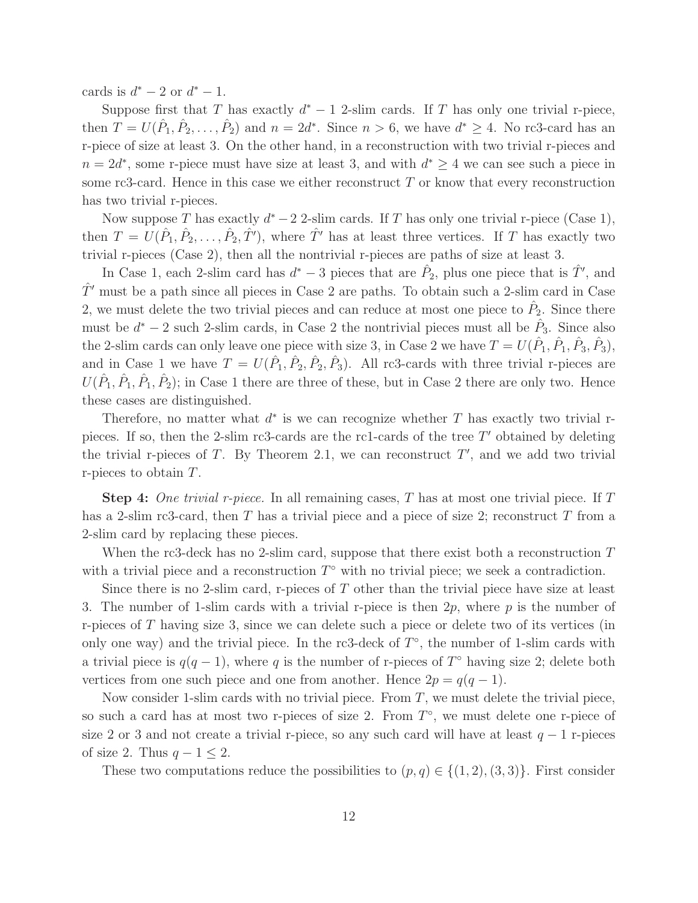cards is  $d^* - 2$  or  $d^* - 1$ .

Suppose first that T has exactly  $d^* - 1$  2-slim cards. If T has only one trivial r-piece, then  $T = U(\hat{P}_1, \hat{P}_2, \dots, \hat{P}_2)$  and  $n = 2d^*$ . Since  $n > 6$ , we have  $d^* \geq 4$ . No rc3-card has an r-piece of size at least 3. On the other hand, in a reconstruction with two trivial r-pieces and  $n = 2d^*$ , some r-piece must have size at least 3, and with  $d^* \geq 4$  we can see such a piece in some rc3-card. Hence in this case we either reconstruct  $T$  or know that every reconstruction has two trivial r-pieces.

Now suppose T has exactly  $d^* - 2$  2-slim cards. If T has only one trivial r-piece (Case 1), then  $T = U(\hat{P}_1, \hat{P}_2, \ldots, \hat{P}_2, \hat{T}')$ , where  $\hat{T}'$  has at least three vertices. If T has exactly two trivial r-pieces (Case 2), then all the nontrivial r-pieces are paths of size at least 3.

In Case 1, each 2-slim card has  $d^* - 3$  pieces that are  $\hat{P}_2$ , plus one piece that is  $\hat{T}'$ , and  $\hat{T}'$  must be a path since all pieces in Case 2 are paths. To obtain such a 2-slim card in Case 2, we must delete the two trivial pieces and can reduce at most one piece to  $\hat{P}_2$ . Since there must be  $d^* - 2$  such 2-slim cards, in Case 2 the nontrivial pieces must all be  $\hat{P}_3$ . Since also the 2-slim cards can only leave one piece with size 3, in Case 2 we have  $T = U(\hat{P}_1, \hat{P}_1, \hat{P}_3, \hat{P}_3)$ , and in Case 1 we have  $T = U(\hat{P}_1, \hat{P}_2, \hat{P}_3, \hat{P}_3)$ . All rc3-cards with three trivial r-pieces are  $U(\hat{P}_1, \hat{P}_1, \hat{P}_2)$ ; in Case 1 there are three of these, but in Case 2 there are only two. Hence these cases are distinguished.

Therefore, no matter what  $d^*$  is we can recognize whether T has exactly two trivial rpieces. If so, then the 2-slim rc3-cards are the rc1-cards of the tree  $T'$  obtained by deleting the trivial r-pieces of T. By Theorem 2.1, we can reconstruct  $T'$ , and we add two trivial r-pieces to obtain T.

**Step 4:** One trivial r-piece. In all remaining cases, T has at most one trivial piece. If T has a 2-slim rc3-card, then T has a trivial piece and a piece of size 2; reconstruct T from a 2-slim card by replacing these pieces.

When the rc3-deck has no 2-slim card, suppose that there exist both a reconstruction  $T$ with a trivial piece and a reconstruction  $T^{\circ}$  with no trivial piece; we seek a contradiction.

Since there is no 2-slim card, r-pieces of  $T$  other than the trivial piece have size at least 3. The number of 1-slim cards with a trivial r-piece is then  $2p$ , where p is the number of r-pieces of T having size 3, since we can delete such a piece or delete two of its vertices (in only one way) and the trivial piece. In the rc3-deck of  $T^{\circ}$ , the number of 1-slim cards with a trivial piece is  $q(q-1)$ , where q is the number of r-pieces of  $T^{\circ}$  having size 2; delete both vertices from one such piece and one from another. Hence  $2p = q(q-1)$ .

Now consider 1-slim cards with no trivial piece. From  $T$ , we must delete the trivial piece. so such a card has at most two r-pieces of size 2. From  $T^{\circ}$ , we must delete one r-piece of size 2 or 3 and not create a trivial r-piece, so any such card will have at least  $q - 1$  r-pieces of size 2. Thus  $q - 1 \leq 2$ .

These two computations reduce the possibilities to  $(p, q) \in \{(1, 2), (3, 3)\}.$  First consider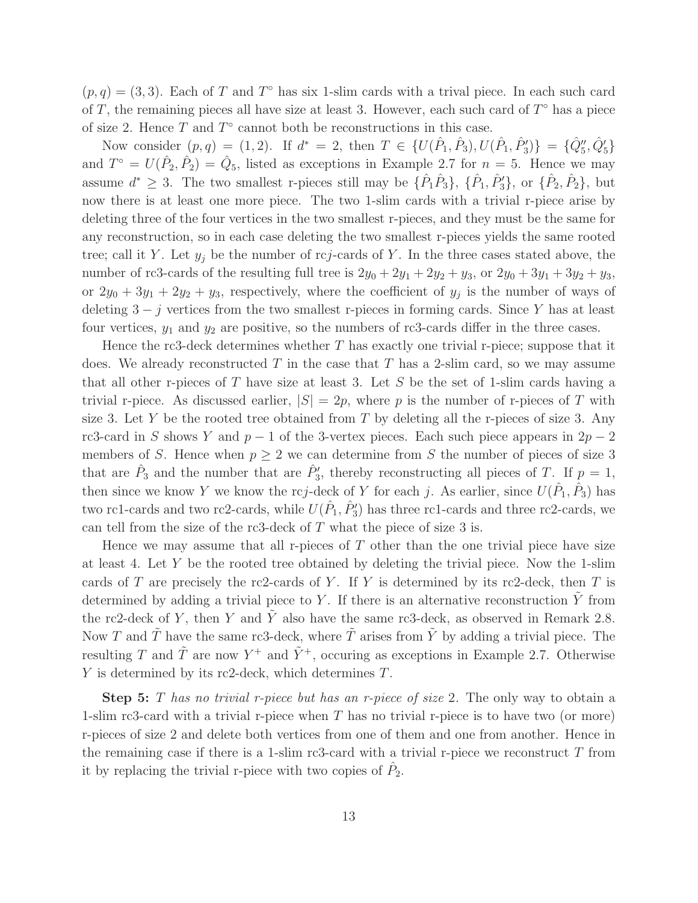$(p, q) = (3, 3)$ . Each of T and T<sup>o</sup> has six 1-slim cards with a trival piece. In each such card of T, the remaining pieces all have size at least 3. However, each such card of  $T^{\circ}$  has a piece of size 2. Hence  $T$  and  $T^{\circ}$  cannot both be reconstructions in this case.

Now consider  $(p, q) = (1, 2)$ . If  $d^* = 2$ , then  $T \in \{U(\hat{P}_1, \hat{P}_3), U(\hat{P}_1, \hat{P}_3')\} = \{\hat{Q}_5'', \hat{Q}_5'\}$ and  $T^{\circ} = U(\hat{P}_2, \hat{P}_2) = \hat{Q}_5$ , listed as exceptions in Example 2.7 for  $n = 5$ . Hence we may assume  $d^* \geq 3$ . The two smallest r-pieces still may be  $\{\hat{P}_1\hat{P}_3\}, \{\hat{P}_1,\hat{P}_3'\}, \text{ or } \{\hat{P}_2,\hat{P}_2\}, \text{ but }$ now there is at least one more piece. The two 1-slim cards with a trivial r-piece arise by deleting three of the four vertices in the two smallest r-pieces, and they must be the same for any reconstruction, so in each case deleting the two smallest r-pieces yields the same rooted tree; call it Y. Let  $y_j$  be the number of rcj-cards of Y. In the three cases stated above, the number of rc3-cards of the resulting full tree is  $2y_0 + 2y_1 + 2y_2 + y_3$ , or  $2y_0 + 3y_1 + 3y_2 + y_3$ , or  $2y_0 + 3y_1 + 2y_2 + y_3$ , respectively, where the coefficient of  $y_j$  is the number of ways of deleting  $3 - j$  vertices from the two smallest r-pieces in forming cards. Since Y has at least four vertices,  $y_1$  and  $y_2$  are positive, so the numbers of rc3-cards differ in the three cases.

Hence the rc3-deck determines whether  $T$  has exactly one trivial r-piece; suppose that it does. We already reconstructed T in the case that T has a 2-slim card, so we may assume that all other r-pieces of T have size at least 3. Let S be the set of 1-slim cards having a trivial r-piece. As discussed earlier,  $|S| = 2p$ , where p is the number of r-pieces of T with size 3. Let Y be the rooted tree obtained from T by deleting all the r-pieces of size 3. Any rc3-card in S shows Y and  $p-1$  of the 3-vertex pieces. Each such piece appears in  $2p-2$ members of S. Hence when  $p \geq 2$  we can determine from S the number of pieces of size 3 that are  $\hat{P}_3$  and the number that are  $\hat{P}'_3$ , thereby reconstructing all pieces of T. If  $p=1$ , then since we know Y we know the rcj-deck of Y for each j. As earlier, since  $U(\hat{P}_1, \hat{P}_3)$  has two rc1-cards and two rc2-cards, while  $U(\hat{P}_1, \hat{P}'_3)$  has three rc1-cards and three rc2-cards, we can tell from the size of the rc3-deck of  $T$  what the piece of size 3 is.

Hence we may assume that all r-pieces of  $T$  other than the one trivial piece have size at least 4. Let Y be the rooted tree obtained by deleting the trivial piece. Now the 1-slim cards of T are precisely the rc2-cards of Y. If Y is determined by its rc2-deck, then T is determined by adding a trivial piece to  $Y$ . If there is an alternative reconstruction  $Y$  from the rc2-deck of Y, then Y and  $\tilde{Y}$  also have the same rc3-deck, as observed in Remark 2.8. Now T and  $\tilde{T}$  have the same rc3-deck, where  $\tilde{T}$  arises from  $\tilde{Y}$  by adding a trivial piece. The resulting T and  $\tilde{T}$  are now  $Y^+$  and  $\tilde{Y}^+$ , occuring as exceptions in Example 2.7. Otherwise Y is determined by its rc2-deck, which determines T.

**Step 5:** T has no trivial r-piece but has an r-piece of size 2. The only way to obtain a 1-slim rc3-card with a trivial r-piece when  $T$  has no trivial r-piece is to have two (or more) r-pieces of size 2 and delete both vertices from one of them and one from another. Hence in the remaining case if there is a 1-slim rc3-card with a trivial r-piece we reconstruct  $T$  from it by replacing the trivial r-piece with two copies of  $\hat{P}_2$ .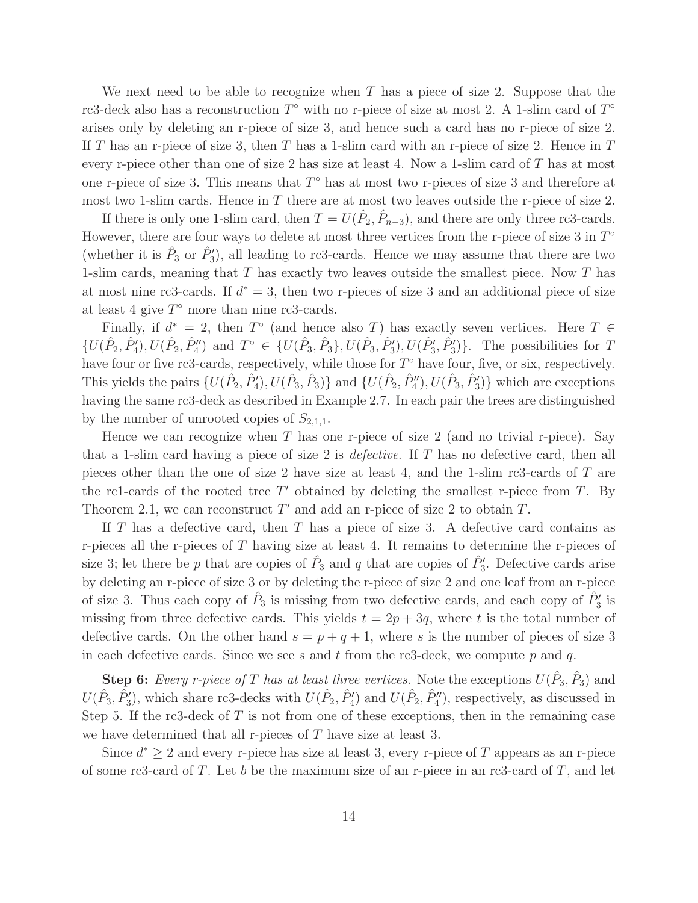We next need to be able to recognize when T has a piece of size 2. Suppose that the rc3-deck also has a reconstruction  $T^{\circ}$  with no r-piece of size at most 2. A 1-slim card of  $T^{\circ}$ arises only by deleting an r-piece of size 3, and hence such a card has no r-piece of size 2. If T has an r-piece of size 3, then T has a 1-slim card with an r-piece of size 2. Hence in  $T$ every r-piece other than one of size 2 has size at least 4. Now a 1-slim card of T has at most one r-piece of size 3. This means that  $T^{\circ}$  has at most two r-pieces of size 3 and therefore at most two 1-slim cards. Hence in  $T$  there are at most two leaves outside the r-piece of size 2.

If there is only one 1-slim card, then  $T = U(\hat{P}_2, \hat{P}_{n-3})$ , and there are only three rc3-cards. However, there are four ways to delete at most three vertices from the r-piece of size 3 in  $T^{\circ}$ (whether it is  $\hat{P}_3$  or  $\hat{P}'_3$ ), all leading to rc3-cards. Hence we may assume that there are two 1-slim cards, meaning that  $T$  has exactly two leaves outside the smallest piece. Now  $T$  has at most nine rc3-cards. If  $d^* = 3$ , then two r-pieces of size 3 and an additional piece of size at least 4 give  $T^{\circ}$  more than nine rc3-cards.

Finally, if  $d^* = 2$ , then  $T^{\circ}$  (and hence also T) has exactly seven vertices. Here  $T \in$  $\{U(\hat{P}_2, \hat{P}_4'), U(\hat{P}_2, \hat{P}_4'')\}$  and  $T^{\circ} \in \{U(\hat{P}_3, \hat{P}_3\}, U(\hat{P}_3, \hat{P}_3'), U(\hat{P}_3', \hat{P}_3')\}$ . The possibilities for T have four or five rc3-cards, respectively, while those for  $T^{\circ}$  have four, five, or six, respectively. This yields the pairs  $\{U(\hat{P}_2, \hat{P}'_4), U(\hat{P}_3, \hat{P}_3)\}$  and  $\{U(\hat{P}_2, \hat{P}''_4), U(\hat{P}_3, \hat{P}'_3)\}$  which are exceptions having the same rc3-deck as described in Example 2.7. In each pair the trees are distinguished by the number of unrooted copies of  $S_{2,1,1}$ .

Hence we can recognize when T has one r-piece of size 2 (and no trivial r-piece). Say that a 1-slim card having a piece of size 2 is *defective*. If T has no defective card, then all pieces other than the one of size 2 have size at least 4, and the 1-slim rc3-cards of T are the rc1-cards of the rooted tree  $T'$  obtained by deleting the smallest r-piece from  $T$ . By Theorem 2.1, we can reconstruct  $T'$  and add an r-piece of size 2 to obtain  $T$ .

If  $T$  has a defective card, then  $T$  has a piece of size 3. A defective card contains as r-pieces all the r-pieces of  $T$  having size at least 4. It remains to determine the r-pieces of size 3; let there be p that are copies of  $\hat{P}_3$  and q that are copies of  $\hat{P}'_3$ . Defective cards arise by deleting an r-piece of size 3 or by deleting the r-piece of size 2 and one leaf from an r-piece of size 3. Thus each copy of  $\hat{P}_3$  is missing from two defective cards, and each copy of  $\hat{P}'_3$  is missing from three defective cards. This yields  $t = 2p + 3q$ , where t is the total number of defective cards. On the other hand  $s = p + q + 1$ , where s is the number of pieces of size 3 in each defective cards. Since we see s and t from the rc3-deck, we compute p and q.

**Step 6:** Every r-piece of T has at least three vertices. Note the exceptions  $U(\hat{P}_3, \hat{P}_3)$  and  $U(\hat{P}_3, \hat{P}'_3)$ , which share rc3-decks with  $U(\hat{P}_2, \hat{P}'_4)$  and  $U(\hat{P}_2, \hat{P}''_4)$ , respectively, as discussed in Step 5. If the rc3-deck of  $T$  is not from one of these exceptions, then in the remaining case we have determined that all r-pieces of  $T$  have size at least 3.

Since  $d^* \geq 2$  and every r-piece has size at least 3, every r-piece of T appears as an r-piece of some rc3-card of  $T$ . Let  $b$  be the maximum size of an r-piece in an rc3-card of  $T$ , and let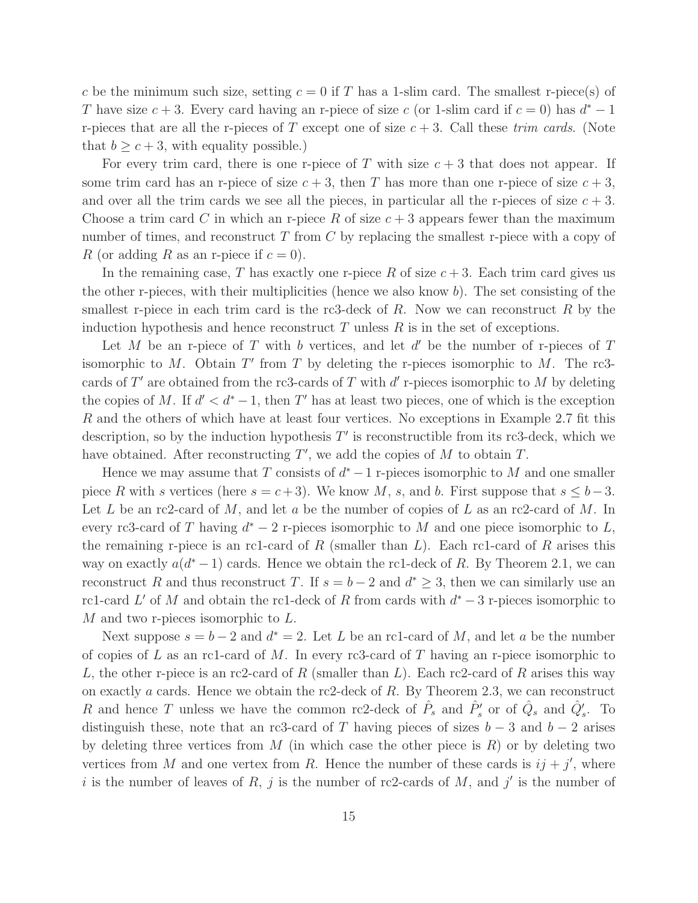c be the minimum such size, setting  $c = 0$  if T has a 1-slim card. The smallest r-piece(s) of T have size  $c + 3$ . Every card having an r-piece of size c (or 1-slim card if  $c = 0$ ) has  $d^* - 1$ r-pieces that are all the r-pieces of T except one of size  $c + 3$ . Call these trim cards. (Note that  $b \geq c+3$ , with equality possible.)

For every trim card, there is one r-piece of T with size  $c + 3$  that does not appear. If some trim card has an r-piece of size  $c + 3$ , then T has more than one r-piece of size  $c + 3$ , and over all the trim cards we see all the pieces, in particular all the r-pieces of size  $c + 3$ . Choose a trim card C in which an r-piece R of size  $c + 3$  appears fewer than the maximum number of times, and reconstruct  $T$  from  $C$  by replacing the smallest r-piece with a copy of R (or adding R as an r-piece if  $c = 0$ ).

In the remaining case, T has exactly one r-piece R of size  $c+3$ . Each trim card gives us the other r-pieces, with their multiplicities (hence we also know  $b$ ). The set consisting of the smallest r-piece in each trim card is the rc3-deck of  $R$ . Now we can reconstruct  $R$  by the induction hypothesis and hence reconstruct  $T$  unless  $R$  is in the set of exceptions.

Let M be an r-piece of T with b vertices, and let  $d'$  be the number of r-pieces of T isomorphic to  $M$ . Obtain  $T'$  from  $T$  by deleting the r-pieces isomorphic to  $M$ . The rc3cards of  $T'$  are obtained from the rc3-cards of  $T$  with  $d'$  r-pieces isomorphic to  $M$  by deleting the copies of M. If  $d' < d^* - 1$ , then T' has at least two pieces, one of which is the exception R and the others of which have at least four vertices. No exceptions in Example 2.7 fit this description, so by the induction hypothesis  $T'$  is reconstructible from its rc3-deck, which we have obtained. After reconstructing  $T'$ , we add the copies of  $M$  to obtain  $T$ .

Hence we may assume that  $T$  consists of  $d^* - 1$  r-pieces isomorphic to  $M$  and one smaller piece R with s vertices (here  $s = c+3$ ). We know M, s, and b. First suppose that  $s \leq b-3$ . Let L be an rc2-card of M, and let a be the number of copies of L as an rc2-card of M. In every rc3-card of T having  $d^* - 2$  r-pieces isomorphic to M and one piece isomorphic to L, the remaining r-piece is an rc1-card of R (smaller than  $L$ ). Each rc1-card of R arises this way on exactly  $a(d^*-1)$  cards. Hence we obtain the rc1-deck of R. By Theorem 2.1, we can reconstruct R and thus reconstruct T. If  $s = b - 2$  and  $d^* \geq 3$ , then we can similarly use an rc1-card L' of M and obtain the rc1-deck of R from cards with  $d^* - 3$  r-pieces isomorphic to M and two r-pieces isomorphic to L.

Next suppose  $s = b - 2$  and  $d^* = 2$ . Let L be an rc1-card of M, and let a be the number of copies of L as an rc1-card of M. In every rc3-card of T having an r-piece isomorphic to L, the other r-piece is an rc2-card of R (smaller than L). Each rc2-card of R arises this way on exactly a cards. Hence we obtain the rc2-deck of R. By Theorem 2.3, we can reconstruct R and hence T unless we have the common rc2-deck of  $\hat{P}_s$  and  $\hat{P}'_s$  or of  $\hat{Q}_s$  and  $\hat{Q}'_s$ . To distinguish these, note that an rc3-card of T having pieces of sizes  $b-3$  and  $b-2$  arises by deleting three vertices from  $M$  (in which case the other piece is  $R$ ) or by deleting two vertices from M and one vertex from R. Hence the number of these cards is  $ij + j'$ , where i is the number of leaves of R, j is the number of rc2-cards of M, and j' is the number of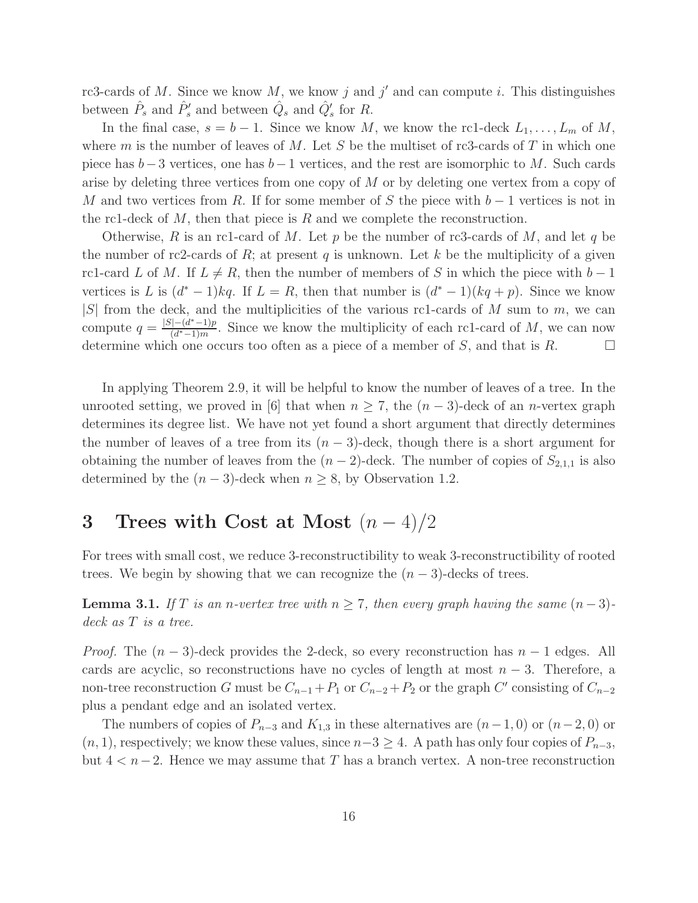rc3-cards of M. Since we know  $M$ , we know j and j' and can compute i. This distinguishes between  $\hat{P}_s$  and  $\hat{P}'_s$  and between  $\hat{Q}_s$  and  $\hat{Q}'_s$  for R.

In the final case,  $s = b - 1$ . Since we know M, we know the rc1-deck  $L_1, \ldots, L_m$  of M, where m is the number of leaves of M. Let S be the multiset of rc3-cards of T in which one piece has  $b-3$  vertices, one has  $b-1$  vertices, and the rest are isomorphic to M. Such cards arise by deleting three vertices from one copy of  $M$  or by deleting one vertex from a copy of M and two vertices from R. If for some member of S the piece with  $b-1$  vertices is not in the rc1-deck of  $M$ , then that piece is  $R$  and we complete the reconstruction.

Otherwise, R is an rc1-card of M. Let p be the number of rc3-cards of M, and let q be the number of rc2-cards of  $R$ ; at present  $q$  is unknown. Let  $k$  be the multiplicity of a given rc1-card L of M. If  $L \neq R$ , then the number of members of S in which the piece with  $b - 1$ vertices is L is  $(d^* - 1)kq$ . If  $L = R$ , then that number is  $(d^* - 1)(kq + p)$ . Since we know  $|S|$  from the deck, and the multiplicities of the various rc1-cards of M sum to m, we can compute  $q = \frac{|S| - (d^* - 1)p}{(d^* - 1)m}$  $\frac{(-a^x-1)p}{(d^x-1)m}$ . Since we know the multiplicity of each rc1-card of M, we can now determine which one occurs too often as a piece of a member of S, and that is R.

In applying Theorem 2.9, it will be helpful to know the number of leaves of a tree. In the unrooted setting, we proved in [6] that when  $n \geq 7$ , the  $(n-3)$ -deck of an *n*-vertex graph determines its degree list. We have not yet found a short argument that directly determines the number of leaves of a tree from its  $(n-3)$ -deck, though there is a short argument for obtaining the number of leaves from the  $(n-2)$ -deck. The number of copies of  $S_{2,1,1}$  is also determined by the  $(n-3)$ -deck when  $n \geq 8$ , by Observation 1.2.

## 3 Trees with Cost at Most  $(n-4)/2$

For trees with small cost, we reduce 3-reconstructibility to weak 3-reconstructibility of rooted trees. We begin by showing that we can recognize the  $(n-3)$ -decks of trees.

**Lemma 3.1.** If T is an n-vertex tree with  $n \ge 7$ , then every graph having the same  $(n-3)$ deck as T is a tree.

*Proof.* The  $(n-3)$ -deck provides the 2-deck, so every reconstruction has  $n-1$  edges. All cards are acyclic, so reconstructions have no cycles of length at most  $n-3$ . Therefore, a non-tree reconstruction G must be  $C_{n-1} + P_1$  or  $C_{n-2} + P_2$  or the graph C' consisting of  $C_{n-2}$ plus a pendant edge and an isolated vertex.

The numbers of copies of  $P_{n-3}$  and  $K_{1,3}$  in these alternatives are  $(n-1, 0)$  or  $(n-2, 0)$  or  $(n, 1)$ , respectively; we know these values, since  $n-3 \geq 4$ . A path has only four copies of  $P_{n-3}$ , but  $4 < n-2$ . Hence we may assume that T has a branch vertex. A non-tree reconstruction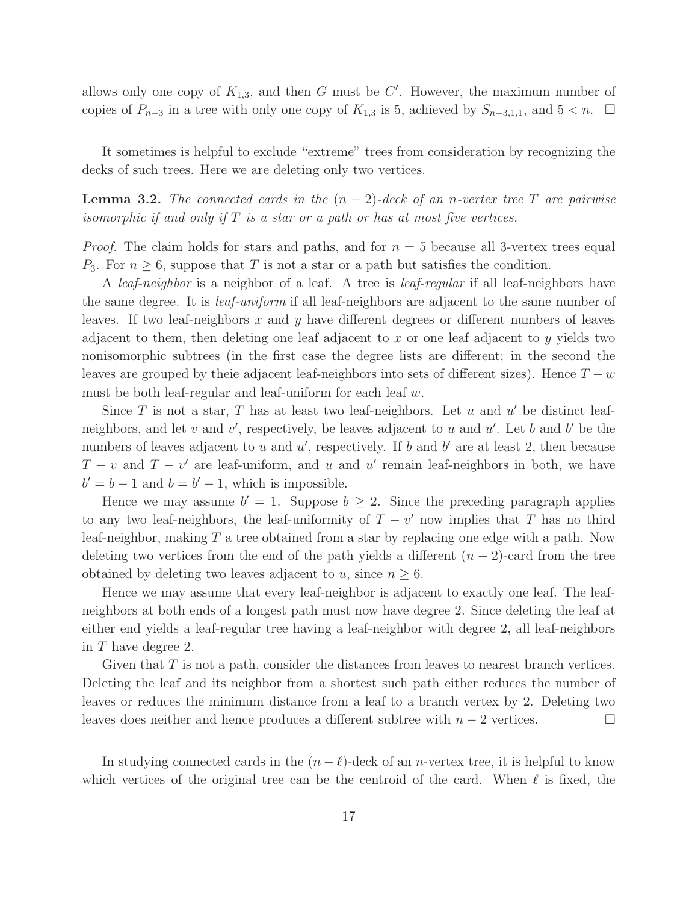allows only one copy of  $K_{1,3}$ , and then G must be C'. However, the maximum number of copies of  $P_{n-3}$  in a tree with only one copy of  $K_{1,3}$  is 5, achieved by  $S_{n-3,1,1}$ , and  $5 < n$ .  $\Box$ 

It sometimes is helpful to exclude "extreme" trees from consideration by recognizing the decks of such trees. Here we are deleting only two vertices.

**Lemma 3.2.** The connected cards in the  $(n-2)$ -deck of an n-vertex tree T are pairwise isomorphic if and only if  $T$  is a star or a path or has at most five vertices.

*Proof.* The claim holds for stars and paths, and for  $n = 5$  because all 3-vertex trees equal  $P_3$ . For  $n \geq 6$ , suppose that T is not a star or a path but satisfies the condition.

A *leaf-neighbor* is a neighbor of a leaf. A tree is *leaf-regular* if all leaf-neighbors have the same degree. It is leaf-uniform if all leaf-neighbors are adjacent to the same number of leaves. If two leaf-neighbors x and y have different degrees or different numbers of leaves adjacent to them, then deleting one leaf adjacent to x or one leaf adjacent to y yields two nonisomorphic subtrees (in the first case the degree lists are different; in the second the leaves are grouped by theie adjacent leaf-neighbors into sets of different sizes). Hence  $T - w$ must be both leaf-regular and leaf-uniform for each leaf  $w$ .

Since  $T$  is not a star,  $T$  has at least two leaf-neighbors. Let  $u$  and  $u'$  be distinct leafneighbors, and let  $v$  and  $v'$ , respectively, be leaves adjacent to  $u$  and  $u'$ . Let  $b$  and  $b'$  be the numbers of leaves adjacent to  $u$  and  $u'$ , respectively. If  $b$  and  $b'$  are at least 2, then because  $T - v$  and  $T - v'$  are leaf-uniform, and u and u' remain leaf-neighbors in both, we have  $b' = b - 1$  and  $b = b' - 1$ , which is impossible.

Hence we may assume  $b' = 1$ . Suppose  $b \geq 2$ . Since the preceding paragraph applies to any two leaf-neighbors, the leaf-uniformity of  $T - v'$  now implies that T has no third leaf-neighbor, making  $T$  a tree obtained from a star by replacing one edge with a path. Now deleting two vertices from the end of the path yields a different  $(n-2)$ -card from the tree obtained by deleting two leaves adjacent to u, since  $n \geq 6$ .

Hence we may assume that every leaf-neighbor is adjacent to exactly one leaf. The leafneighbors at both ends of a longest path must now have degree 2. Since deleting the leaf at either end yields a leaf-regular tree having a leaf-neighbor with degree 2, all leaf-neighbors in T have degree 2.

Given that  $T$  is not a path, consider the distances from leaves to nearest branch vertices. Deleting the leaf and its neighbor from a shortest such path either reduces the number of leaves or reduces the minimum distance from a leaf to a branch vertex by 2. Deleting two leaves does neither and hence produces a different subtree with  $n-2$  vertices.

In studying connected cards in the  $(n - \ell)$ -deck of an *n*-vertex tree, it is helpful to know which vertices of the original tree can be the centroid of the card. When  $\ell$  is fixed, the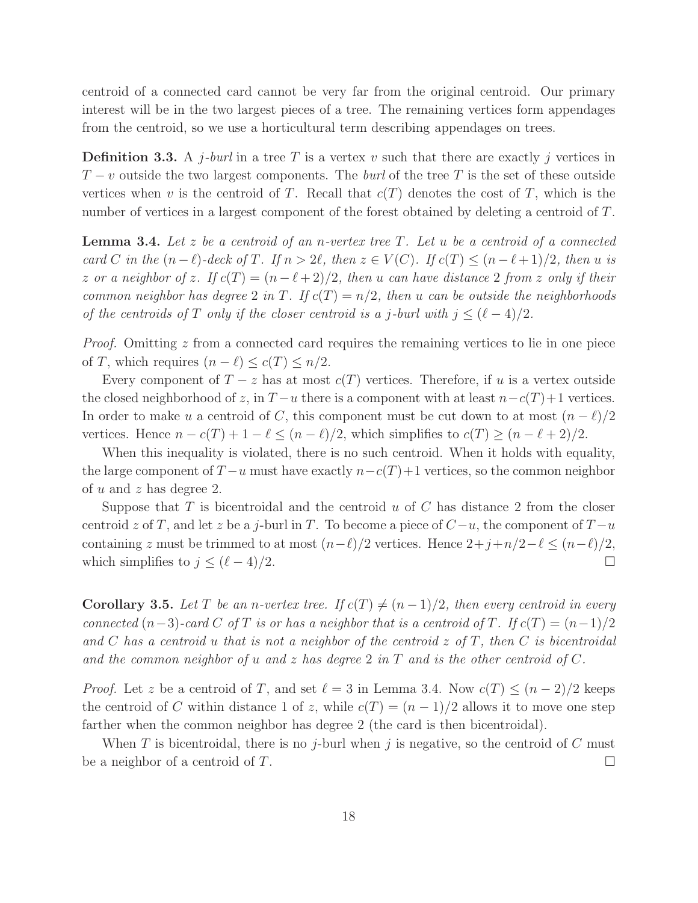centroid of a connected card cannot be very far from the original centroid. Our primary interest will be in the two largest pieces of a tree. The remaining vertices form appendages from the centroid, so we use a horticultural term describing appendages on trees.

**Definition 3.3.** A j-burl in a tree T is a vertex v such that there are exactly j vertices in  $T-v$  outside the two largest components. The *burl* of the tree T is the set of these outside vertices when v is the centroid of T. Recall that  $c(T)$  denotes the cost of T, which is the number of vertices in a largest component of the forest obtained by deleting a centroid of T.

**Lemma 3.4.** Let z be a centroid of an n-vertex tree  $T$ . Let u be a centroid of a connected card C in the  $(n - \ell)$ -deck of T. If  $n > 2\ell$ , then  $z \in V(C)$ . If  $c(T) \leq (n - \ell + 1)/2$ , then u is z or a neighbor of z. If  $c(T) = (n - \ell + 2)/2$ , then u can have distance 2 from z only if their common neighbor has degree 2 in T. If  $c(T) = n/2$ , then u can be outside the neighborhoods of the centroids of T only if the closer centroid is a j-burl with  $j < (\ell - 4)/2$ .

*Proof.* Omitting  $z$  from a connected card requires the remaining vertices to lie in one piece of T, which requires  $(n - \ell) \leq c(T) \leq n/2$ .

Every component of  $T - z$  has at most  $c(T)$  vertices. Therefore, if u is a vertex outside the closed neighborhood of z, in  $T - u$  there is a component with at least  $n - c(T) + 1$  vertices. In order to make u a centroid of C, this component must be cut down to at most  $(n - \ell)/2$ vertices. Hence  $n - c(T) + 1 - \ell \leq (n - \ell)/2$ , which simplifies to  $c(T) \geq (n - \ell + 2)/2$ .

When this inequality is violated, there is no such centroid. When it holds with equality, the large component of  $T - u$  must have exactly  $n - c(T) + 1$  vertices, so the common neighbor of u and z has degree 2.

Suppose that  $T$  is bicentroidal and the centroid  $u$  of  $C$  has distance 2 from the closer centroid z of T, and let z be a j-burl in T. To become a piece of  $C-u$ , the component of  $T-u$ containing z must be trimmed to at most  $(n-\ell)/2$  vertices. Hence  $2+j+n/2-\ell \leq (n-\ell)/2$ , which simplifies to  $j \leq (\ell - 4)/2$ .

**Corollary 3.5.** Let T be an n-vertex tree. If  $c(T) \neq (n-1)/2$ , then every centroid in every connected  $(n-3)$ -card C of T is or has a neighbor that is a centroid of T. If  $c(T) = (n-1)/2$ and C has a centroid u that is not a neighbor of the centroid  $z$  of T, then C is bicentroidal and the common neighbor of u and z has degree 2 in T and is the other centroid of C.

*Proof.* Let z be a centroid of T, and set  $\ell = 3$  in Lemma 3.4. Now  $c(T) \leq (n-2)/2$  keeps the centroid of C within distance 1 of z, while  $c(T) = (n-1)/2$  allows it to move one step farther when the common neighbor has degree 2 (the card is then bicentroidal).

When T is bicentroidal, there is no j-burl when j is negative, so the centroid of C must be a neighbor of a centroid of T.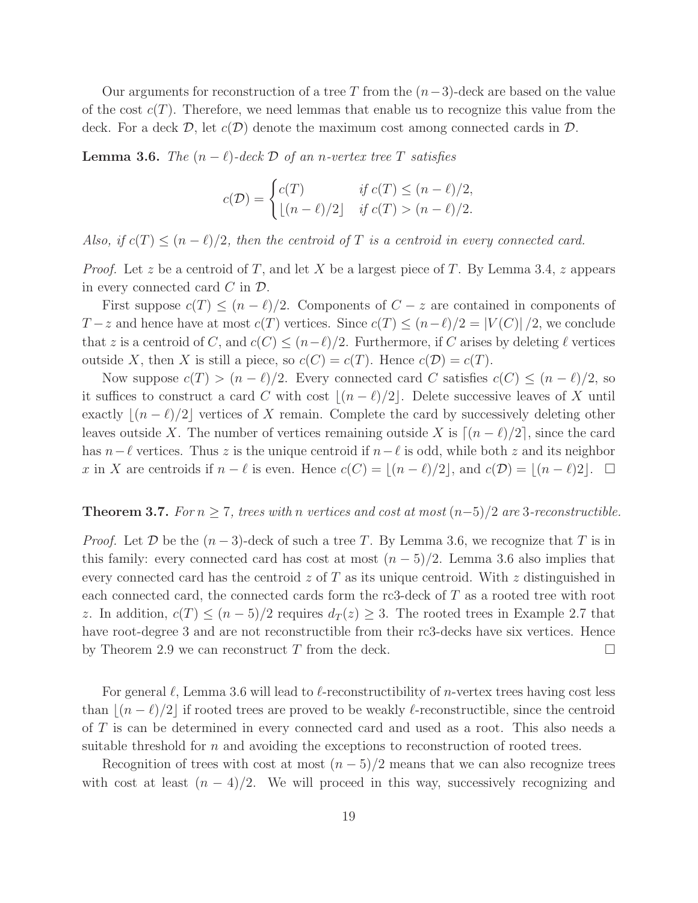Our arguments for reconstruction of a tree T from the  $(n-3)$ -deck are based on the value of the cost  $c(T)$ . Therefore, we need lemmas that enable us to recognize this value from the deck. For a deck  $\mathcal{D}$ , let  $c(\mathcal{D})$  denote the maximum cost among connected cards in  $\mathcal{D}$ .

**Lemma 3.6.** The  $(n - \ell)$ -deck  $\mathcal{D}$  of an n-vertex tree T satisfies

$$
c(\mathcal{D}) = \begin{cases} c(T) & \text{if } c(T) \le (n - \ell)/2, \\ \lfloor (n - \ell)/2 \rfloor & \text{if } c(T) > (n - \ell)/2. \end{cases}
$$

Also, if  $c(T) \leq (n - \ell)/2$ , then the centroid of T is a centroid in every connected card.

*Proof.* Let z be a centroid of T, and let X be a largest piece of T. By Lemma 3.4, z appears in every connected card  $C$  in  $\mathcal{D}$ .

First suppose  $c(T) \leq (n - \ell)/2$ . Components of  $C - z$  are contained in components of  $T-z$  and hence have at most  $c(T)$  vertices. Since  $c(T) \leq (n-\ell)/2 = |V(C)|/2$ , we conclude that z is a centroid of C, and  $c(C) \leq (n-\ell)/2$ . Furthermore, if C arises by deleting  $\ell$  vertices outside X, then X is still a piece, so  $c(C) = c(T)$ . Hence  $c(D) = c(T)$ .

Now suppose  $c(T) > (n - \ell)/2$ . Every connected card C satisfies  $c(C) \leq (n - \ell)/2$ , so it suffices to construct a card C with cost  $|(n - \ell)/2|$ . Delete successive leaves of X until exactly  $|(n - \ell)/2|$  vertices of X remain. Complete the card by successively deleting other leaves outside X. The number of vertices remaining outside X is  $[(n - \ell)/2]$ , since the card has  $n-\ell$  vertices. Thus z is the unique centroid if  $n-\ell$  is odd, while both z and its neighbor x in X are centroids if  $n - \ell$  is even. Hence  $c(C) = |(n - \ell)/2|$ , and  $c(D) = |(n - \ell)/2|$ .  $\Box$ 

### **Theorem 3.7.** For  $n \geq 7$ , trees with n vertices and cost at most  $(n-5)/2$  are 3-reconstructible.

*Proof.* Let D be the  $(n-3)$ -deck of such a tree T. By Lemma 3.6, we recognize that T is in this family: every connected card has cost at most  $(n-5)/2$ . Lemma 3.6 also implies that every connected card has the centroid  $z$  of T as its unique centroid. With  $z$  distinguished in each connected card, the connected cards form the rc3-deck of T as a rooted tree with root z. In addition,  $c(T) \leq (n-5)/2$  requires  $d_T(z) \geq 3$ . The rooted trees in Example 2.7 that have root-degree 3 and are not reconstructible from their rc3-decks have six vertices. Hence by Theorem 2.9 we can reconstruct T from the deck.  $\Box$ 

For general  $\ell$ , Lemma 3.6 will lead to  $\ell$ -reconstructibility of *n*-vertex trees having cost less than  $|(n - \ell)/2|$  if rooted trees are proved to be weakly  $\ell$ -reconstructible, since the centroid of T is can be determined in every connected card and used as a root. This also needs a suitable threshold for n and avoiding the exceptions to reconstruction of rooted trees.

Recognition of trees with cost at most  $(n-5)/2$  means that we can also recognize trees with cost at least  $(n - 4)/2$ . We will proceed in this way, successively recognizing and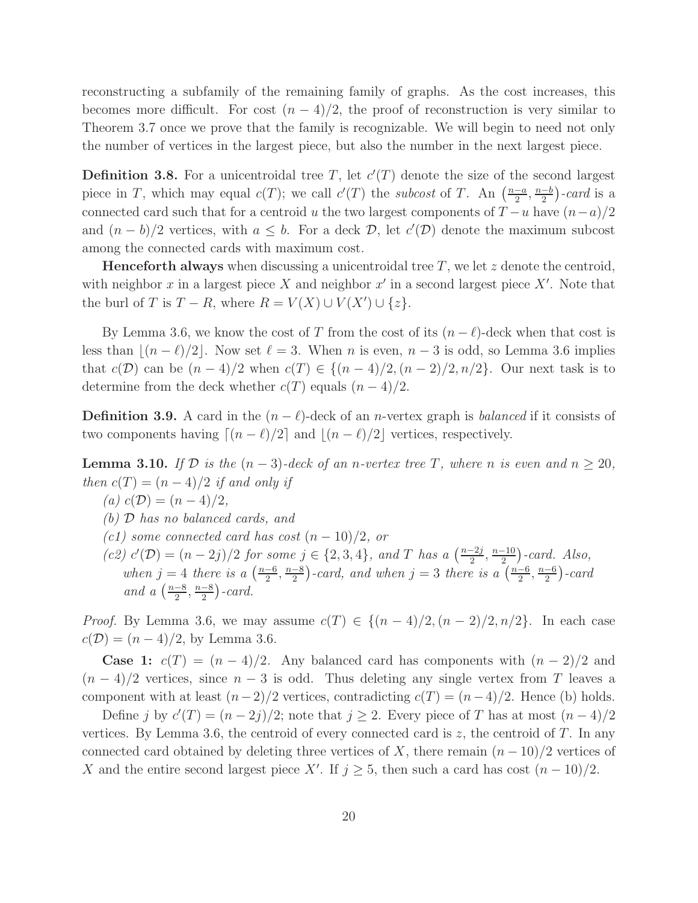reconstructing a subfamily of the remaining family of graphs. As the cost increases, this becomes more difficult. For cost  $(n-4)/2$ , the proof of reconstruction is very similar to Theorem 3.7 once we prove that the family is recognizable. We will begin to need not only the number of vertices in the largest piece, but also the number in the next largest piece.

**Definition 3.8.** For a unicentroidal tree T, let  $c'(T)$  denote the size of the second largest piece in T, which may equal  $c(T)$ ; we call  $c'(T)$  the *subcost* of T. An  $\left(\frac{n-a}{2}\right)$  $\frac{-a}{2}, \frac{n-b}{2}$  $\frac{-b}{2}$ )-card is a connected card such that for a centroid u the two largest components of  $T - u$  have  $(n - a)/2$ and  $(n - b)/2$  vertices, with  $a \leq b$ . For a deck  $D$ , let  $c'(\mathcal{D})$  denote the maximum subcost among the connected cards with maximum cost.

**Henceforth always** when discussing a unicentroidal tree  $T$ , we let z denote the centroid, with neighbor x in a largest piece X and neighbor  $x'$  in a second largest piece  $X'$ . Note that the burl of T is  $T - R$ , where  $R = V(X) \cup V(X') \cup \{z\}$ .

By Lemma 3.6, we know the cost of T from the cost of its  $(n - \ell)$ -deck when that cost is less than  $|(n-\ell)/2|$ . Now set  $\ell=3$ . When n is even,  $n-3$  is odd, so Lemma 3.6 implies that  $c(\mathcal{D})$  can be  $(n-4)/2$  when  $c(T) \in \{(n-4)/2,(n-2)/2,n/2\}$ . Our next task is to determine from the deck whether  $c(T)$  equals  $(n-4)/2$ .

**Definition 3.9.** A card in the  $(n - \ell)$ -deck of an *n*-vertex graph is *balanced* if it consists of two components having  $\lceil (n - \ell)/2 \rceil$  and  $\lceil (n - \ell)/2 \rceil$  vertices, respectively.

**Lemma 3.10.** If D is the  $(n-3)$ -deck of an n-vertex tree T, where n is even and  $n \geq 20$ , then  $c(T) = (n-4)/2$  if and only if

(a)  $c(\mathcal{D}) = (n-4)/2$ ,

(b) D has no balanced cards, and

 $(c1)$  some connected card has cost  $(n-10)/2$ , or

(c2)  $c'(\mathcal{D}) = (n-2j)/2$  for some  $j \in \{2, 3, 4\}$ , and T has a  $\left(\frac{n-2j}{2}\right)$  $\frac{-2j}{2}, \frac{n-10}{2}$  $\binom{-10}{2}$ -card. Also, when  $j = 4$  there is a  $\left(\frac{n-6}{2}\right)$  $\frac{-6}{2}, \frac{n-8}{2}$  $\frac{-8}{2}$ )-card, and when  $j=3$  there is a  $\left(\frac{n-6}{2}\right)$  $\frac{-6}{2}, \frac{n-6}{2}$  $\frac{-6}{2}$ ) - card and a  $\left(\frac{n-8}{2}\right)$  $\frac{-8}{2}, \frac{n-8}{2}$  $\frac{-8}{2}$ ) - card.

*Proof.* By Lemma 3.6, we may assume  $c(T) \in \{(n-4)/2, (n-2)/2, n/2\}$ . In each case  $c(\mathcal{D}) = (n-4)/2$ , by Lemma 3.6.

Case 1:  $c(T) = (n-4)/2$ . Any balanced card has components with  $(n-2)/2$  and  $(n-4)/2$  vertices, since  $n-3$  is odd. Thus deleting any single vertex from T leaves a component with at least  $(n-2)/2$  vertices, contradicting  $c(T) = (n-4)/2$ . Hence (b) holds.

Define j by  $c'(T) = (n-2j)/2$ ; note that  $j \ge 2$ . Every piece of T has at most  $(n-4)/2$ vertices. By Lemma 3.6, the centroid of every connected card is  $z$ , the centroid of  $T$ . In any connected card obtained by deleting three vertices of X, there remain  $(n-10)/2$  vertices of X and the entire second largest piece X'. If  $j \geq 5$ , then such a card has cost  $(n-10)/2$ .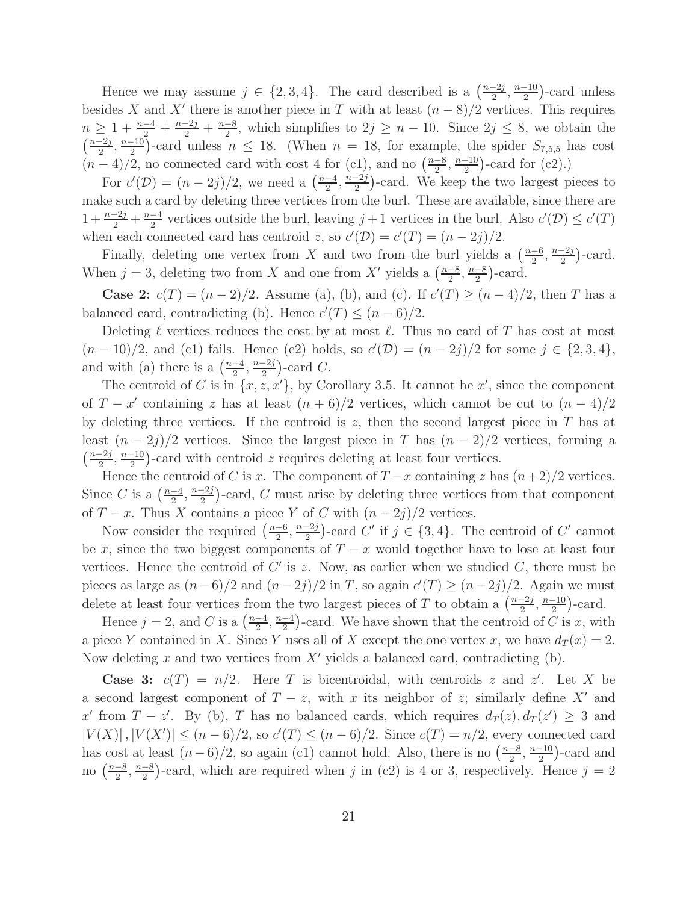Hence we may assume  $j \in \{2, 3, 4\}$ . The card described is a  $\left(\frac{n-2j}{2}\right)$  $\frac{-2j}{2}, \frac{n-10}{2}$  $\frac{-10}{2}$ )-card unless besides X and X' there is another piece in T with at least  $(n-8)/2$  vertices. This requires  $n \geq 1 + \frac{n-4}{2} + \frac{n-2j}{2} + \frac{n-8}{2}$  $\frac{-8}{2}$ , which simplifies to  $2j \geq n-10$ . Since  $2j \leq 8$ , we obtain the  $\left(\frac{n-2j}{2}\right)$  $\frac{-2j}{2}, \frac{n-10}{2}$  $\frac{-10}{2}$ )-card unless  $n \leq 18$ . (When  $n = 18$ , for example, the spider  $S_{7,5,5}$  has cost  $(n-4)/2$ , no connected card with cost 4 for (c1), and no  $\left(\frac{n-8}{2}\right)$  $\frac{-8}{2}, \frac{n-10}{2}$  $\frac{-10}{2}$ )-card for (c2).)

For  $c'(\mathcal{D}) = (n-2j)/2$ , we need a  $\left(\frac{n-4}{2}\right)$  $\frac{-4}{2}, \frac{n-2j}{2}$  $\frac{-2j}{2}$ )-card. We keep the two largest pieces to make such a card by deleting three vertices from the burl. These are available, since there are  $1 + \frac{n-2j}{2} + \frac{n-4}{2}$  $\frac{-4}{2}$  vertices outside the burl, leaving  $j+1$  vertices in the burl. Also  $c'(\mathcal{D}) \leq c'(T)$ when each connected card has centroid z, so  $c'(\mathcal{D}) = c'(T) = (n - 2j)/2$ .

Finally, deleting one vertex from X and two from the burl yields a  $\left(\frac{n-6}{2}\right)$  $\frac{-6}{2}$ ,  $\frac{n-2j}{2}$  $\frac{-2j}{2}$ )-card. When  $j = 3$ , deleting two from X and one from X' yields a  $\left(\frac{n-8}{2}\right)$  $\frac{-8}{2}, \frac{n-8}{2}$  $\frac{-8}{2}$ )-card.

**Case 2:**  $c(T) = (n-2)/2$ . Assume (a), (b), and (c). If  $c'(T) \ge (n-4)/2$ , then T has a balanced card, contradicting (b). Hence  $c'(T) \leq (n-6)/2$ .

Deleting  $\ell$  vertices reduces the cost by at most  $\ell$ . Thus no card of T has cost at most  $(n-10)/2$ , and (c1) fails. Hence (c2) holds, so  $c'(\mathcal{D}) = (n-2j)/2$  for some  $j \in \{2,3,4\}$ , and with (a) there is a  $\left(\frac{n-4}{2}\right)$  $\frac{-4}{2}, \frac{n-2j}{2}$  $\frac{-2j}{2}$ )-card C.

The centroid of C is in  $\{x, z, x'\}$ , by Corollary 3.5. It cannot be  $x'$ , since the component of  $T - x'$  containing z has at least  $(n + 6)/2$  vertices, which cannot be cut to  $(n - 4)/2$ by deleting three vertices. If the centroid is  $z$ , then the second largest piece in  $T$  has at least  $(n-2j)/2$  vertices. Since the largest piece in T has  $(n-2)/2$  vertices, forming a  $\left(\frac{n-2j}{2}\right)$  $\frac{-2j}{2}, \frac{n-10}{2}$  $\frac{10}{2}$ )-card with centroid z requires deleting at least four vertices.

Hence the centroid of C is x. The component of  $T-x$  containing z has  $(n+2)/2$  vertices. Since C is a  $\left(\frac{n-4}{2}\right)$  $\frac{-4}{2}, \frac{n-2j}{2}$  $\frac{-2j}{2}$ )-card, C must arise by deleting three vertices from that component of  $T - x$ . Thus X contains a piece Y of C with  $(n - 2j)/2$  vertices.

Now consider the required  $\left(\frac{n-6}{2}\right)$  $\frac{-6}{2}, \frac{n-2j}{2}$  $\frac{-2j}{2}$ )-card C' if  $j \in \{3, 4\}$ . The centroid of C' cannot be x, since the two biggest components of  $T - x$  would together have to lose at least four vertices. Hence the centroid of  $C'$  is z. Now, as earlier when we studied  $C$ , there must be pieces as large as  $(n-6)/2$  and  $(n-2j)/2$  in T, so again  $c'(T) \ge (n-2j)/2$ . Again we must delete at least four vertices from the two largest pieces of T to obtain a  $\left(\frac{n-2j}{2}\right)$  $\frac{-2j}{2}, \frac{n-10}{2}$  $\frac{-10}{2}$ )-card.

Hence  $j = 2$ , and C is a  $\left(\frac{n-4}{2}\right)$  $\frac{-4}{2}, \frac{n-4}{2}$  $\frac{-4}{2}$ )-card. We have shown that the centroid of C is x, with a piece Y contained in X. Since Y uses all of X except the one vertex x, we have  $d_T(x) = 2$ . Now deleting x and two vertices from X' yields a balanced card, contradicting  $(b)$ .

**Case 3:**  $c(T) = n/2$ . Here T is bicentroidal, with centroids z and z'. Let X be a second largest component of  $T - z$ , with x its neighbor of z; similarly define X' and x' from  $T - z'$ . By (b), T has no balanced cards, which requires  $d_T(z)$ ,  $d_T(z') \geq 3$  and  $|V(X)|, |V(X')| \le (n-6)/2$ , so  $c'(T) \le (n-6)/2$ . Since  $c(T) = n/2$ , every connected card has cost at least  $(n-6)/2$ , so again (c1) cannot hold. Also, there is no  $\left(\frac{n-8}{2}\right)$  $\frac{-8}{2}, \frac{n-10}{2}$  $\frac{-10}{2}$ )-card and no  $\left(\frac{n-8}{2}\right)$  $\frac{-8}{2}, \frac{n-8}{2}$  $\frac{-8}{2}$ )-card, which are required when j in (c2) is 4 or 3, respectively. Hence  $j = 2$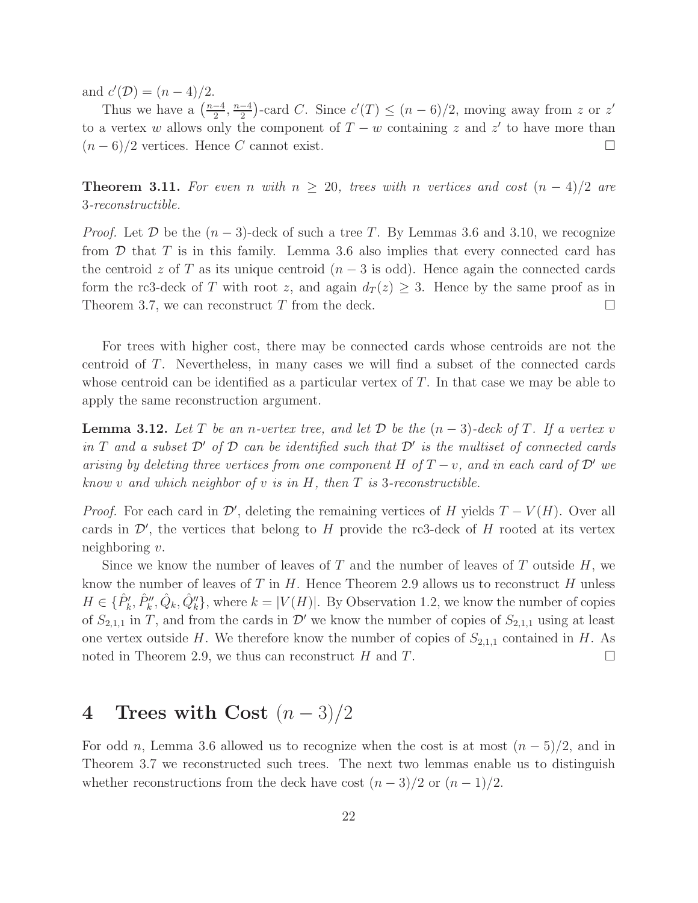and  $c'(\mathcal{D}) = (n-4)/2$ .

Thus we have a  $\left(\frac{n-4}{2}\right)$  $\frac{-4}{2}, \frac{n-4}{2}$  $\frac{-4}{2}$ )-card C. Since  $c'(T) \leq (n-6)/2$ , moving away from z or z' to a vertex w allows only the component of  $T - w$  containing z and z' to have more than  $(n-6)/2$  vertices. Hence C cannot exist.

**Theorem 3.11.** For even n with  $n \geq 20$ , trees with n vertices and cost  $(n-4)/2$  are 3-reconstructible.

*Proof.* Let  $\mathcal D$  be the  $(n-3)$ -deck of such a tree T. By Lemmas 3.6 and 3.10, we recognize from  $D$  that  $T$  is in this family. Lemma 3.6 also implies that every connected card has the centroid z of T as its unique centroid  $(n-3$  is odd). Hence again the connected cards form the rc3-deck of T with root z, and again  $d_T(z) \geq 3$ . Hence by the same proof as in Theorem 3.7, we can reconstruct  $T$  from the deck.  $\Box$ 

For trees with higher cost, there may be connected cards whose centroids are not the centroid of T. Nevertheless, in many cases we will find a subset of the connected cards whose centroid can be identified as a particular vertex of  $T$ . In that case we may be able to apply the same reconstruction argument.

**Lemma 3.12.** Let T be an n-vertex tree, and let D be the  $(n-3)$ -deck of T. If a vertex v in T and a subset  $\mathcal{D}'$  of  $\mathcal D$  can be identified such that  $\mathcal D'$  is the multiset of connected cards arising by deleting three vertices from one component H of  $T - v$ , and in each card of  $\mathcal{D}'$  we know v and which neighbor of v is in  $H$ , then  $T$  is 3-reconstructible.

*Proof.* For each card in  $\mathcal{D}'$ , deleting the remaining vertices of H yields  $T - V(H)$ . Over all cards in  $\mathcal{D}'$ , the vertices that belong to H provide the rc3-deck of H rooted at its vertex neighboring  $v$ .

Since we know the number of leaves of T and the number of leaves of T outside  $H$ , we know the number of leaves of  $T$  in  $H$ . Hence Theorem 2.9 allows us to reconstruct  $H$  unless  $H \in \{ \hat{P}_k', \hat{P}_k'', \hat{Q}_k, \hat{Q}_k'' \}$ , where  $k = |V(H)|$ . By Observation 1.2, we know the number of copies of  $S_{2,1,1}$  in T, and from the cards in  $\mathcal{D}'$  we know the number of copies of  $S_{2,1,1}$  using at least one vertex outside H. We therefore know the number of copies of  $S_{2,1,1}$  contained in H. As noted in Theorem 2.9, we thus can reconstruct H and T.

## 4 Trees with Cost  $(n-3)/2$

For odd n, Lemma 3.6 allowed us to recognize when the cost is at most  $(n-5)/2$ , and in Theorem 3.7 we reconstructed such trees. The next two lemmas enable us to distinguish whether reconstructions from the deck have cost  $(n-3)/2$  or  $(n-1)/2$ .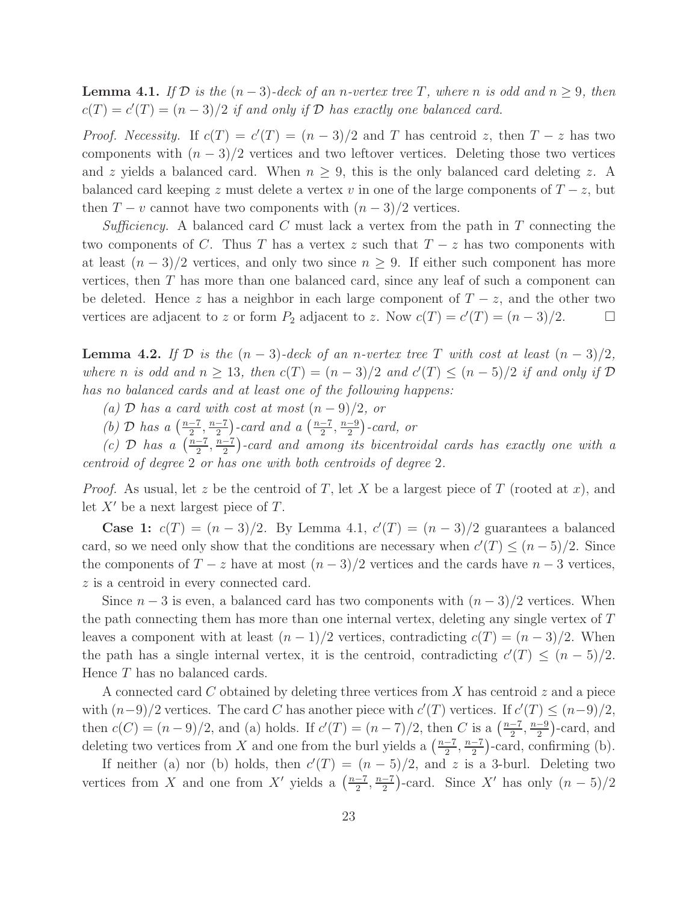**Lemma 4.1.** If D is the  $(n-3)$ -deck of an n-vertex tree T, where n is odd and  $n \geq 9$ , then  $c(T) = c'(T) = (n-3)/2$  if and only if  $D$  has exactly one balanced card.

*Proof.* Necessity. If  $c(T) = c'(T) = (n-3)/2$  and T has centroid z, then  $T - z$  has two components with  $(n-3)/2$  vertices and two leftover vertices. Deleting those two vertices and z yields a balanced card. When  $n \geq 9$ , this is the only balanced card deleting z. A balanced card keeping z must delete a vertex v in one of the large components of  $T - z$ , but then  $T - v$  cannot have two components with  $(n-3)/2$  vertices.

Sufficiency. A balanced card C must lack a vertex from the path in T connecting the two components of C. Thus T has a vertex z such that  $T - z$  has two components with at least  $(n-3)/2$  vertices, and only two since  $n \geq 9$ . If either such component has more vertices, then T has more than one balanced card, since any leaf of such a component can be deleted. Hence z has a neighbor in each large component of  $T - z$ , and the other two vertices are adjacent to z or form  $P_2$  adjacent to z. Now  $c(T) = c'(T) = (n-3)/2$ .  $\Box$ 

**Lemma 4.2.** If  $D$  is the  $(n-3)$ -deck of an n-vertex tree T with cost at least  $(n-3)/2$ , where n is odd and  $n \geq 13$ , then  $c(T) = (n-3)/2$  and  $c'(T) \leq (n-5)/2$  if and only if  $D$ has no balanced cards and at least one of the following happens:

- (a) D has a card with cost at most  $(n-9)/2$ , or
- (b)  $\mathcal{D}$  has a  $\left(\frac{n-7}{2}\right)$  $\frac{-7}{2}, \frac{n-7}{2}$  $\frac{-7}{2}$ )-card and a  $\left(\frac{n-7}{2}\right)$  $\frac{-7}{2}, \frac{n-9}{2}$  $\frac{-9}{2}$ )-card, or

(c)  $\mathcal{D}$  has a  $\left(\frac{n-7}{2}\right)$  $\frac{n-7}{2}, \frac{n-7}{2}$  $\frac{(-7)}{2}$ -card and among its bicentroidal cards has exactly one with a centroid of degree 2 or has one with both centroids of degree 2.

*Proof.* As usual, let z be the centroid of T, let X be a largest piece of T (rooted at x), and let  $X'$  be a next largest piece of  $T$ .

**Case 1:**  $c(T) = (n-3)/2$ . By Lemma 4.1,  $c'(T) = (n-3)/2$  guarantees a balanced card, so we need only show that the conditions are necessary when  $c'(T) \leq (n-5)/2$ . Since the components of  $T - z$  have at most  $(n - 3)/2$  vertices and the cards have  $n - 3$  vertices, z is a centroid in every connected card.

Since  $n-3$  is even, a balanced card has two components with  $(n-3)/2$  vertices. When the path connecting them has more than one internal vertex, deleting any single vertex of T leaves a component with at least  $(n-1)/2$  vertices, contradicting  $c(T) = (n-3)/2$ . When the path has a single internal vertex, it is the centroid, contradicting  $c'(T) \leq (n-5)/2$ . Hence T has no balanced cards.

A connected card  $C$  obtained by deleting three vertices from  $X$  has centroid  $z$  and a piece with  $(n-9)/2$  vertices. The card C has another piece with  $c'(T)$  vertices. If  $c'(T) \le (n-9)/2$ , then  $c(C) = (n-9)/2$ , and (a) holds. If  $c'(T) = (n-7)/2$ , then C is a  $\left(\frac{n-7}{2}\right)$  $\frac{-7}{2}, \frac{n-9}{2}$  $\frac{-9}{2}$ )-card, and deleting two vertices from X and one from the burl yields a  $\left(\frac{n-7}{2}\right)$  $\frac{-7}{2}, \frac{n-7}{2}$  $\frac{-7}{2}$ )-card, confirming (b).

If neither (a) nor (b) holds, then  $c'(T) = (n-5)/2$ , and z is a 3-burl. Deleting two vertices from X and one from X' yields a  $\left(\frac{n-7}{2}\right)$  $\frac{-7}{2}, \frac{n-7}{2}$  $\frac{-7}{2}$ -card. Since X' has only  $(n-5)/2$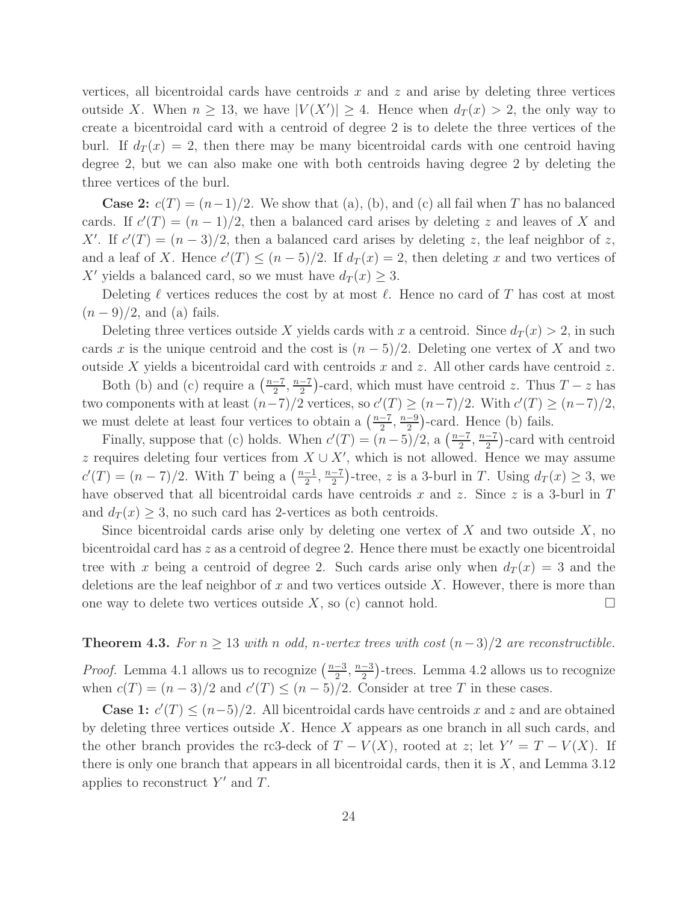vertices, all bicentroidal cards have centroids  $x$  and  $z$  and arise by deleting three vertices outside X. When  $n \geq 13$ , we have  $|V(X')| \geq 4$ . Hence when  $d_T(x) > 2$ , the only way to create a bicentroidal card with a centroid of degree 2 is to delete the three vertices of the burl. If  $d_T(x) = 2$ , then there may be many bicentroidal cards with one centroid having degree 2, but we can also make one with both centroids having degree 2 by deleting the three vertices of the burl.

**Case 2:**  $c(T) = (n-1)/2$ . We show that (a), (b), and (c) all fail when T has no balanced cards. If  $c'(T) = (n-1)/2$ , then a balanced card arises by deleting z and leaves of X and X'. If  $c'(T) = (n-3)/2$ , then a balanced card arises by deleting z, the leaf neighbor of z, and a leaf of X. Hence  $c'(T) \le (n-5)/2$ . If  $d_T(x) = 2$ , then deleting x and two vertices of X' yields a balanced card, so we must have  $d_T(x) \geq 3$ .

Deleting  $\ell$  vertices reduces the cost by at most  $\ell$ . Hence no card of T has cost at most  $(n-9)/2$ , and (a) fails.

Deleting three vertices outside X yields cards with x a centroid. Since  $d_T(x) > 2$ , in such cards x is the unique centroid and the cost is  $(n-5)/2$ . Deleting one vertex of X and two outside X yields a bicentroidal card with centroids x and z. All other cards have centroid z.

Both (b) and (c) require a  $\left(\frac{n-7}{2}\right)$  $\frac{-7}{2}, \frac{n-7}{2}$  $\frac{-7}{2}$ )-card, which must have centroid z. Thus  $T - z$  has two components with at least  $(n-7)/2$  vertices, so  $c'(T) \ge (n-7)/2$ . With  $c'(T) \ge (n-7)/2$ , we must delete at least four vertices to obtain a  $\left(\frac{n-7}{2}\right)$  $\frac{-7}{2}, \frac{n-9}{2}$  $\frac{-9}{2}$ )-card. Hence (b) fails.

Finally, suppose that (c) holds. When  $c'(T) = (n-5)/2$ , a  $\left(\frac{n-7}{2}\right)$  $\frac{-7}{2}, \frac{n-7}{2}$  $\frac{-7}{2}$ )-card with centroid z requires deleting four vertices from  $X \cup X'$ , which is not allowed. Hence we may assume  $c'(T) = (n-7)/2$ . With T being a  $\left(\frac{n-1}{2}\right)$  $\frac{-1}{2}, \frac{n-7}{2}$  $\frac{-7}{2}$ )-tree, z is a 3-burl in T. Using  $d_T(x) \geq 3$ , we have observed that all bicentroidal cards have centroids x and z. Since z is a 3-burl in  $T$ and  $d_T(x) \geq 3$ , no such card has 2-vertices as both centroids.

Since bicentroidal cards arise only by deleting one vertex of  $X$  and two outside  $X$ , no bicentroidal card has z as a centroid of degree 2. Hence there must be exactly one bicentroidal tree with x being a centroid of degree 2. Such cards arise only when  $d_T(x) = 3$  and the deletions are the leaf neighbor of  $x$  and two vertices outside  $X$ . However, there is more than one way to delete two vertices outside  $X$ , so (c) cannot hold.

### **Theorem 4.3.** For  $n \geq 13$  with n odd, n-vertex trees with cost  $(n-3)/2$  are reconstructible.

*Proof.* Lemma 4.1 allows us to recognize  $\left(\frac{n-3}{2}\right)$  $\frac{-3}{2}, \frac{n-3}{2}$  $\frac{-3}{2}$ )-trees. Lemma 4.2 allows us to recognize when  $c(T) = (n-3)/2$  and  $c'(T) \le (n-5)/2$ . Consider at tree T in these cases.

**Case 1:**  $c'(T) \le (n-5)/2$ . All bicentroidal cards have centroids x and z and are obtained by deleting three vertices outside  $X$ . Hence  $X$  appears as one branch in all such cards, and the other branch provides the rc3-deck of  $T - V(X)$ , rooted at z; let  $Y' = T - V(X)$ . If there is only one branch that appears in all bicentroidal cards, then it is  $X$ , and Lemma 3.12 applies to reconstruct  $Y'$  and  $T$ .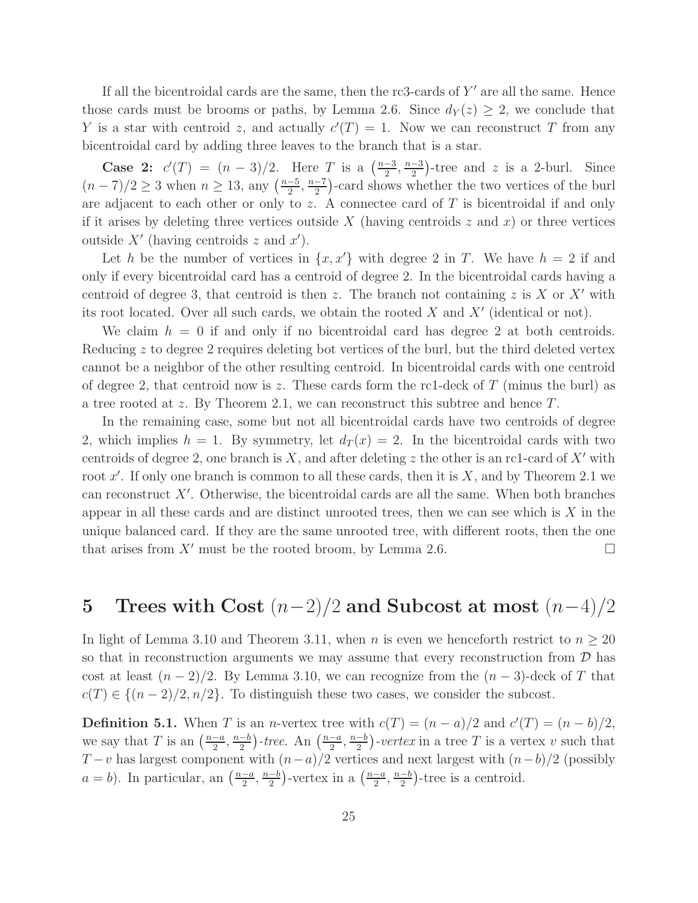If all the bicentroidal cards are the same, then the rc3-cards of  $Y'$  are all the same. Hence those cards must be brooms or paths, by Lemma 2.6. Since  $d_Y(z) \geq 2$ , we conclude that Y is a star with centroid z, and actually  $c'(T) = 1$ . Now we can reconstruct T from any bicentroidal card by adding three leaves to the branch that is a star.

**Case 2:**  $c'(T) = (n-3)/2$ . Here T is a  $(\frac{n-3}{2})$  $\frac{-3}{2}, \frac{n-3}{2}$  $\frac{-3}{2}$ )-tree and z is a 2-burl. Since  $(n-7)/2 \ge 3$  when  $n \ge 13$ , any  $\left(\frac{n-5}{2}\right)$  $\frac{-5}{2}, \frac{n-7}{2}$  $\frac{-7}{2}$ )-card shows whether the two vertices of the burl are adjacent to each other or only to z. A connectee card of  $T$  is bicentroidal if and only if it arises by deleting three vertices outside X (having centroids  $z$  and  $x$ ) or three vertices outside  $X'$  (having centroids z and  $x'$ ).

Let h be the number of vertices in  $\{x, x'\}$  with degree 2 in T. We have  $h = 2$  if and only if every bicentroidal card has a centroid of degree 2. In the bicentroidal cards having a centroid of degree 3, that centroid is then z. The branch not containing z is X or X' with its root located. Over all such cards, we obtain the rooted  $X$  and  $X'$  (identical or not).

We claim  $h = 0$  if and only if no bicentroidal card has degree 2 at both centroids. Reducing z to degree 2 requires deleting bot vertices of the burl, but the third deleted vertex cannot be a neighbor of the other resulting centroid. In bicentroidal cards with one centroid of degree 2, that centroid now is z. These cards form the rc1-deck of  $T$  (minus the burl) as a tree rooted at z. By Theorem 2.1, we can reconstruct this subtree and hence T.

In the remaining case, some but not all bicentroidal cards have two centroids of degree 2, which implies  $h = 1$ . By symmetry, let  $d_T(x) = 2$ . In the bicentroidal cards with two centroids of degree 2, one branch is X, and after deleting z the other is an rc1-card of  $X'$  with root  $x'$ . If only one branch is common to all these cards, then it is  $X$ , and by Theorem 2.1 we can reconstruct X′ . Otherwise, the bicentroidal cards are all the same. When both branches appear in all these cards and are distinct unrooted trees, then we can see which is  $X$  in the unique balanced card. If they are the same unrooted tree, with different roots, then the one that arises from  $X'$  must be the rooted broom, by Lemma 2.6.

## 5 Trees with Cost  $(n-2)/2$  and Subcost at most  $(n-4)/2$

In light of Lemma 3.10 and Theorem 3.11, when n is even we henceforth restrict to  $n \geq 20$ so that in reconstruction arguments we may assume that every reconstruction from  $D$  has cost at least  $(n-2)/2$ . By Lemma 3.10, we can recognize from the  $(n-3)$ -deck of T that  $c(T) \in \{(n-2)/2, n/2\}$ . To distinguish these two cases, we consider the subcost.

**Definition 5.1.** When T is an n-vertex tree with  $c(T) = (n - a)/2$  and  $c'(T) = (n - b)/2$ , we say that T is an  $\left(\frac{n-a}{2}\right)$  $\frac{-a}{2}, \frac{n-b}{2}$  $\frac{-b}{2}$ )-tree. An  $\left(\frac{n-a}{2}\right)$  $\frac{-a}{2}, \frac{n-b}{2}$  $\frac{-b}{2}$ )-vertex in a tree T is a vertex v such that  $T-v$  has largest component with  $(n-a)/2$  vertices and next largest with  $(n-b)/2$  (possibly  $a = b$ ). In particular, an  $\left(\frac{n-a}{2}\right)$  $\frac{-a}{2}, \frac{n-b}{2}$  $\frac{-b}{2}$ )-vertex in a  $\left(\frac{n-a}{2}\right)$  $\frac{-a}{2}, \frac{n-b}{2}$  $\frac{-b}{2}$ )-tree is a centroid.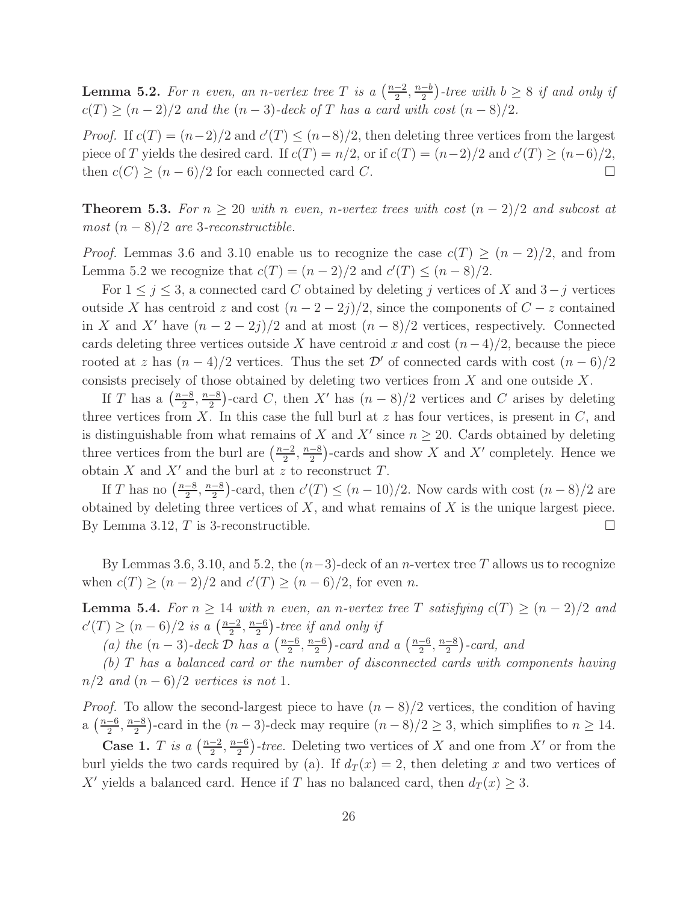**Lemma 5.2.** For n even, an n-vertex tree T is a  $\left(\frac{n-2}{2}\right)$  $\frac{-2}{2}, \frac{n-b}{2}$  $\frac{-b}{2}$ )-tree with  $b \geq 8$  if and only if  $c(T) \ge (n-2)/2$  and the  $(n-3)$ -deck of T has a card with cost  $(n-8)/2$ .

*Proof.* If  $c(T) = (n-2)/2$  and  $c'(T) \le (n-8)/2$ , then deleting three vertices from the largest piece of T yields the desired card. If  $c(T) = n/2$ , or if  $c(T) = (n-2)/2$  and  $c'(T) \ge (n-6)/2$ , then  $c(C) \ge (n-6)/2$  for each connected card C.

**Theorem 5.3.** For  $n \geq 20$  with n even, n-vertex trees with cost  $(n-2)/2$  and subcost at most  $(n-8)/2$  are 3-reconstructible.

*Proof.* Lemmas 3.6 and 3.10 enable us to recognize the case  $c(T) \ge (n-2)/2$ , and from Lemma 5.2 we recognize that  $c(T) = (n-2)/2$  and  $c'(T) \le (n-8)/2$ .

For  $1 \leq j \leq 3$ , a connected card C obtained by deleting j vertices of X and  $3-j$  vertices outside X has centroid z and cost  $(n-2-2j)/2$ , since the components of  $C-z$  contained in X and X' have  $(n-2-2j)/2$  and at most  $(n-8)/2$  vertices, respectively. Connected cards deleting three vertices outside X have centroid x and cost  $(n-4)/2$ , because the piece rooted at z has  $(n-4)/2$  vertices. Thus the set  $\mathcal{D}'$  of connected cards with cost  $(n-6)/2$ consists precisely of those obtained by deleting two vertices from X and one outside X.

If T has a  $\left(\frac{n-8}{2}\right)$  $\frac{-8}{2}, \frac{n-8}{2}$  $\frac{-8}{2}$ )-card C, then X' has  $(n-8)/2$  vertices and C arises by deleting three vertices from X. In this case the full burl at  $z$  has four vertices, is present in  $C$ , and is distinguishable from what remains of X and X' since  $n \geq 20$ . Cards obtained by deleting three vertices from the burl are  $\left(\frac{n-2}{2}\right)$  $\frac{-2}{2}, \frac{n-8}{2}$  $\frac{-8}{2}$ )-cards and show X and X' completely. Hence we obtain  $X$  and  $X'$  and the burl at z to reconstruct  $T$ .

If T has no  $\left(\frac{n-8}{2}\right)$  $\frac{-8}{2}, \frac{n-8}{2}$  $\frac{-8}{2}$ )-card, then  $c'(T) \le (n-10)/2$ . Now cards with cost  $(n-8)/2$  are obtained by deleting three vertices of  $X$ , and what remains of  $X$  is the unique largest piece. By Lemma 3.12,  $T$  is 3-reconstructible.

By Lemmas 3.6, 3.10, and 5.2, the  $(n-3)$ -deck of an *n*-vertex tree T allows us to recognize when  $c(T) \ge (n-2)/2$  and  $c'(T) \ge (n-6)/2$ , for even n.

**Lemma 5.4.** For  $n \geq 14$  with n even, an n-vertex tree T satisfying  $c(T) \geq (n-2)/2$  and  $c'(T) \ge (n-6)/2$  is a  $\left(\frac{n-2}{2}\right)$  $\frac{-2}{2}, \frac{n-6}{2}$  $\frac{-6}{2}$ )-tree if and only if

(a) the  $(n-3)$ -deck  $\overline{\mathcal{D}}$  has a  $\left(\frac{n-6}{2}\right)$  $\frac{-6}{2}, \frac{n-6}{2}$  $\frac{-6}{2}$ )-card and a  $\left(\frac{n-6}{2}\right)$  $\frac{-6}{2}, \frac{n-8}{2}$  $\frac{-8}{2}$ )-card, and

(b) T has a balanced card or the number of disconnected cards with components having  $n/2$  and  $(n-6)/2$  vertices is not 1.

*Proof.* To allow the second-largest piece to have  $(n-8)/2$  vertices, the condition of having  $a\left(\frac{n-6}{2}\right)$  $\frac{-6}{2}, \frac{n-8}{2}$  $\frac{-8}{2}$ )-card in the  $(n-3)$ -deck may require  $(n-8)/2 \ge 3$ , which simplifies to  $n \ge 14$ .

Case 1. T is a  $\left(\frac{n-2}{2}\right)$  $\frac{-2}{2}, \frac{n-6}{2}$  $\frac{-6}{2}$ )-*tree*. Deleting two vertices of X and one from X' or from the burl yields the two cards required by (a). If  $d_T(x) = 2$ , then deleting x and two vertices of X' yields a balanced card. Hence if T has no balanced card, then  $d_T(x) \geq 3$ .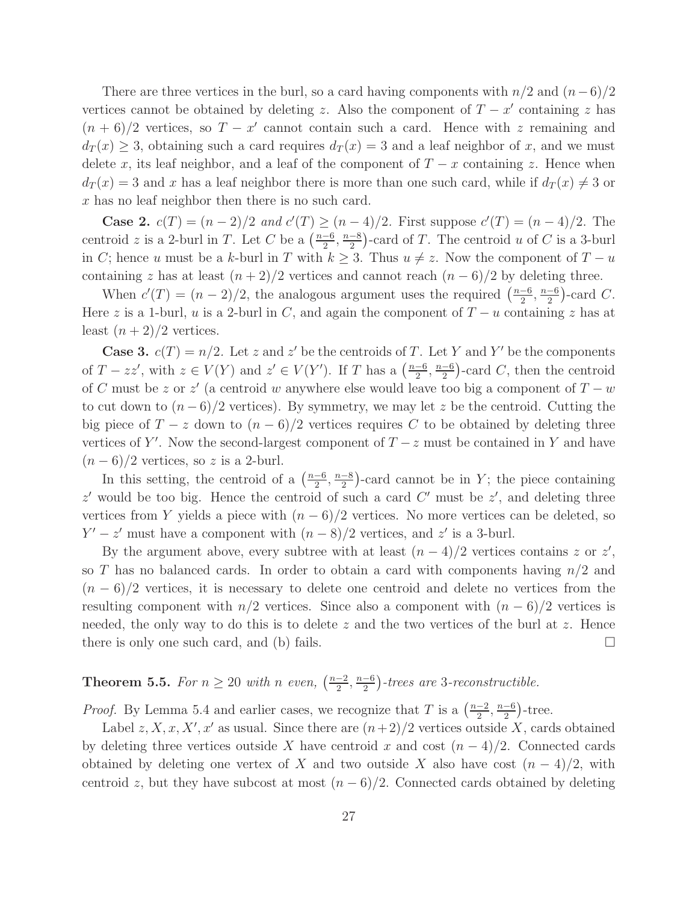There are three vertices in the burl, so a card having components with  $n/2$  and  $(n-6)/2$ vertices cannot be obtained by deleting z. Also the component of  $T - x'$  containing z has  $(n+6)/2$  vertices, so  $T - x'$  cannot contain such a card. Hence with z remaining and  $d_T(x) \geq 3$ , obtaining such a card requires  $d_T(x) = 3$  and a leaf neighbor of x, and we must delete x, its leaf neighbor, and a leaf of the component of  $T - x$  containing z. Hence when  $d_T(x) = 3$  and x has a leaf neighbor there is more than one such card, while if  $d_T(x) \neq 3$  or x has no leaf neighbor then there is no such card.

**Case 2.**  $c(T) = (n-2)/2$  and  $c'(T) \ge (n-4)/2$ . First suppose  $c'(T) = (n-4)/2$ . The centroid z is a 2-burl in T. Let C be a  $\left(\frac{n-6}{2}\right)$  $\frac{-6}{2}, \frac{n-8}{2}$  $\frac{-8}{2}$ )-card of T. The centroid u of C is a 3-burl in C; hence u must be a k-burl in T with  $k \geq 3$ . Thus  $u \neq z$ . Now the component of  $T - u$ containing z has at least  $(n+2)/2$  vertices and cannot reach  $(n-6)/2$  by deleting three.

When  $c'(T) = (n-2)/2$ , the analogous argument uses the required  $\left(\frac{n-6}{2}\right)$  $\frac{-6}{2}, \frac{n-6}{2}$  $\frac{-6}{2}$ )-card C. Here z is a 1-burl, u is a 2-burl in C, and again the component of  $T - u$  containing z has at least  $(n+2)/2$  vertices.

**Case 3.**  $c(T) = n/2$ . Let z and z' be the centroids of T. Let Y and Y' be the components of  $T - zz'$ , with  $z \in V(Y)$  and  $z' \in V(Y')$ . If T has a  $\left(\frac{n-6}{2}\right)$  $\frac{-6}{2}, \frac{n-6}{2}$  $\frac{-6}{2}$ )-card C, then the centroid of C must be z or z' (a centroid w anywhere else would leave too big a component of  $T - w$ to cut down to  $(n-6)/2$  vertices). By symmetry, we may let z be the centroid. Cutting the big piece of  $T - z$  down to  $(n - 6)/2$  vertices requires C to be obtained by deleting three vertices of Y'. Now the second-largest component of  $T - z$  must be contained in Y and have  $(n-6)/2$  vertices, so z is a 2-burl.

In this setting, the centroid of a  $\left(\frac{n-6}{2}\right)$  $\frac{-6}{2}, \frac{n-8}{2}$  $\frac{-8}{2}$ )-card cannot be in Y; the piece containing  $z'$  would be too big. Hence the centroid of such a card  $C'$  must be  $z'$ , and deleting three vertices from Y yields a piece with  $(n-6)/2$  vertices. No more vertices can be deleted, so  $Y' - z'$  must have a component with  $(n-8)/2$  vertices, and  $z'$  is a 3-burl.

By the argument above, every subtree with at least  $(n-4)/2$  vertices contains z or z', so T has no balanced cards. In order to obtain a card with components having  $n/2$  and  $(n - 6)/2$  vertices, it is necessary to delete one centroid and delete no vertices from the resulting component with  $n/2$  vertices. Since also a component with  $(n-6)/2$  vertices is needed, the only way to do this is to delete z and the two vertices of the burl at z. Hence there is only one such card, and (b) fails.  $\square$ 

#### Theorem 5.5. For  $n \geq 20$  with n even,  $\left(\frac{n-2}{2}\right)$  $\frac{-2}{2}, \frac{n-6}{2}$  $\frac{-6}{2}$ )-trees are 3-reconstructible.

*Proof.* By Lemma 5.4 and earlier cases, we recognize that T is a  $\left(\frac{n-2}{2}\right)$  $\frac{-2}{2}, \frac{n-6}{2}$  $\frac{-6}{2}$ )-tree.

Label  $z, X, x, X', x'$  as usual. Since there are  $(n+2)/2$  vertices outside X, cards obtained by deleting three vertices outside X have centroid x and cost  $(n-4)/2$ . Connected cards obtained by deleting one vertex of X and two outside X also have cost  $(n-4)/2$ , with centroid z, but they have subcost at most  $(n-6)/2$ . Connected cards obtained by deleting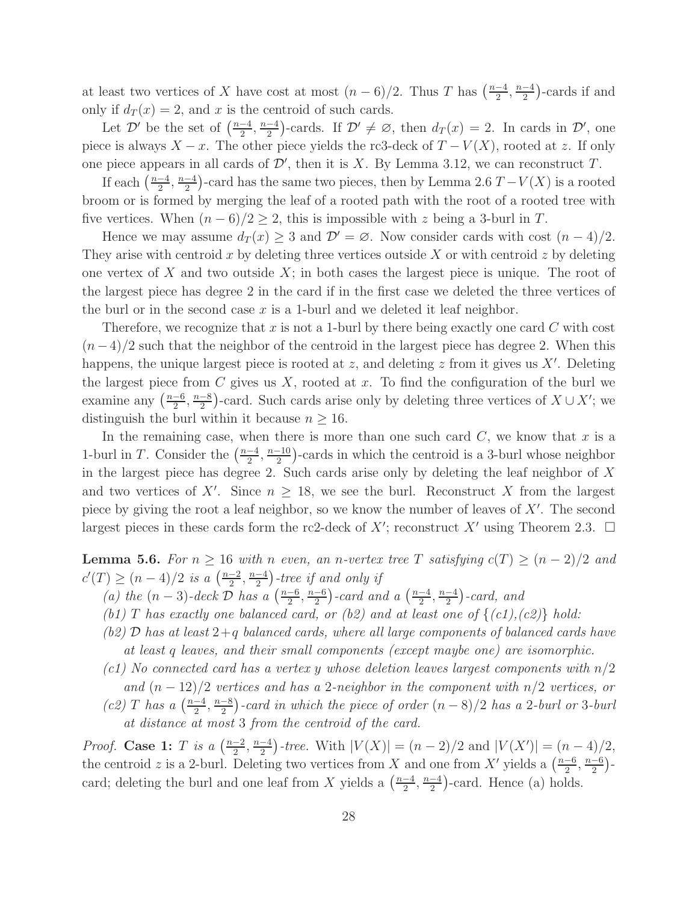at least two vertices of X have cost at most  $(n-6)/2$ . Thus T has  $\left(\frac{n-4}{2}\right)$  $\frac{-4}{2}, \frac{n-4}{2}$  $\frac{-4}{2}$ )-cards if and only if  $d_T(x) = 2$ , and x is the centroid of such cards.

Let  $\mathcal{D}'$  be the set of  $\left(\frac{n-4}{2}\right)$  $\frac{-4}{2}, \frac{n-4}{2}$  $\frac{-4}{2}$ )-cards. If  $\mathcal{D}' \neq \emptyset$ , then  $d_T(x) = 2$ . In cards in  $\mathcal{D}'$ , one piece is always  $X - x$ . The other piece yields the rc3-deck of  $T - V(X)$ , rooted at z. If only one piece appears in all cards of  $\mathcal{D}'$ , then it is X. By Lemma 3.12, we can reconstruct T.

If each  $\left(\frac{n-4}{2}\right)$  $\frac{-4}{2}, \frac{n-4}{2}$  $\frac{-4}{2}$ )-card has the same two pieces, then by Lemma 2.6  $T - V(X)$  is a rooted broom or is formed by merging the leaf of a rooted path with the root of a rooted tree with five vertices. When  $(n-6)/2 \geq 2$ , this is impossible with z being a 3-burl in T.

Hence we may assume  $d_T(x) \geq 3$  and  $\mathcal{D}' = \emptyset$ . Now consider cards with cost  $(n-4)/2$ . They arise with centroid x by deleting three vertices outside X or with centroid z by deleting one vertex of X and two outside  $X$ ; in both cases the largest piece is unique. The root of the largest piece has degree 2 in the card if in the first case we deleted the three vertices of the burl or in the second case  $x$  is a 1-burl and we deleted it leaf neighbor.

Therefore, we recognize that x is not a 1-burl by there being exactly one card  $C$  with cost  $(n-4)/2$  such that the neighbor of the centroid in the largest piece has degree 2. When this happens, the unique largest piece is rooted at  $z$ , and deleting  $z$  from it gives us  $X'$ . Deleting the largest piece from  $C$  gives us  $X$ , rooted at  $x$ . To find the configuration of the burl we examine any  $\left(\frac{n-6}{2}\right)$  $\frac{-6}{2}, \frac{n-8}{2}$  $\frac{-8}{2}$ )-card. Such cards arise only by deleting three vertices of  $X \cup X'$ ; we distinguish the burl within it because  $n \geq 16$ .

In the remaining case, when there is more than one such card  $C$ , we know that x is a 1-burl in T. Consider the  $\left(\frac{n-4}{2}\right)$  $\frac{-4}{2}, \frac{n-10}{2}$  $\frac{-10}{2}$ )-cards in which the centroid is a 3-burl whose neighbor in the largest piece has degree 2. Such cards arise only by deleting the leaf neighbor of X and two vertices of X'. Since  $n \geq 18$ , we see the burl. Reconstruct X from the largest piece by giving the root a leaf neighbor, so we know the number of leaves of  $X'$ . The second largest pieces in these cards form the rc2-deck of  $X'$ ; reconstruct  $X'$  using Theorem 2.3.  $\Box$ 

**Lemma 5.6.** For  $n \geq 16$  with n even, an n-vertex tree T satisfying  $c(T) \geq (n-2)/2$  and  $c'(T) \ge (n-4)/2$  is a  $\left(\frac{n-2}{2}\right)$  $\frac{-2}{2}, \frac{n-4}{2}$  $\frac{-4}{2}$ )-tree if and only if

- (a) the  $(n-3)$ -deck  $\overline{\mathcal{D}}$  has a  $\left(\frac{n-6}{2}\right)$  $\frac{-6}{2}, \frac{n-6}{2}$  $\frac{-6}{2}$ )-card and a  $\left(\frac{n-4}{2}\right)$  $\frac{-4}{2}, \frac{n-4}{2}$  $\frac{-4}{2}$ )-card, and
- (b1) T has exactly one balanced card, or (b2) and at least one of  $\{(c1), (c2)\}$  hold:
- (b2)  $\mathcal{D}$  has at least  $2+q$  balanced cards, where all large components of balanced cards have at least q leaves, and their small components (except maybe one) are isomorphic.
- (c1) No connected card has a vertex y whose deletion leaves largest components with  $n/2$ and  $(n-12)/2$  vertices and has a 2-neighbor in the component with  $n/2$  vertices, or  $(c2)$  T has a  $\left(\frac{n-4}{2}\right)$  $\frac{-4}{2}, \frac{n-8}{2}$  $\frac{-8}{2}$ )-card in which the piece of order  $(n-8)/2$  has a 2-burl or 3-burl at distance at most 3 from the centroid of the card.

*Proof.* Case 1: T is a  $\left(\frac{n-2}{2}\right)$  $\frac{-2}{2}, \frac{n-4}{2}$  $\frac{-4}{2}$ -tree. With  $|V(X)| = (n-2)/2$  and  $|V(X')| = (n-4)/2$ , the centroid z is a 2-burl. Deleting two vertices from X and one from X' yields a  $\left(\frac{n-6}{2}\right)$  $\frac{-6}{2}, \frac{n-6}{2}$  $\frac{-6}{2}$ )card; deleting the burl and one leaf from X yields a  $\left(\frac{n-4}{2}\right)$  $\frac{-4}{2}, \frac{n-4}{2}$  $\frac{-4}{2}$ )-card. Hence (a) holds.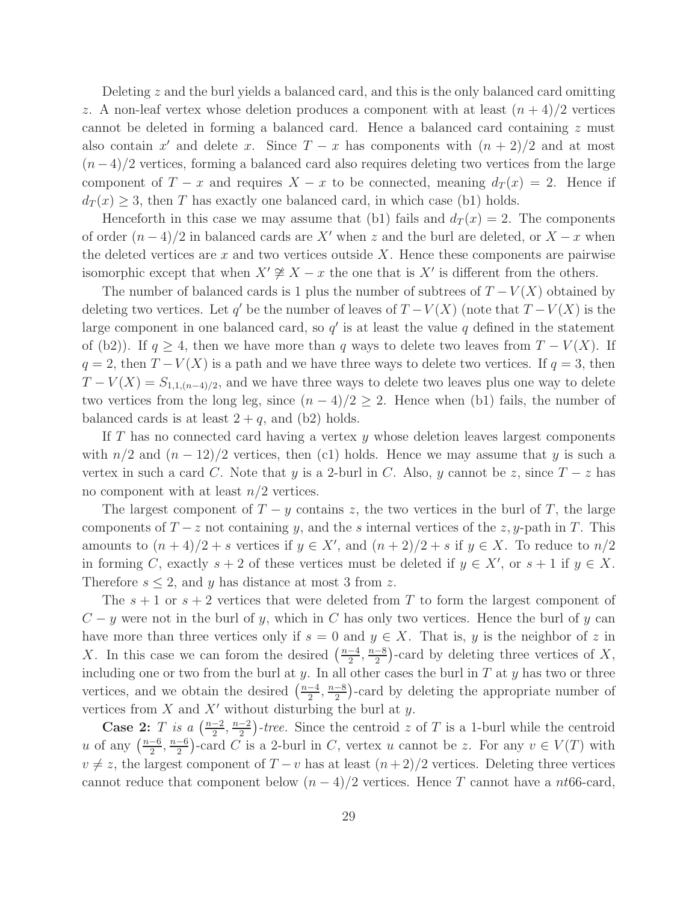Deleting z and the burl yields a balanced card, and this is the only balanced card omitting z. A non-leaf vertex whose deletion produces a component with at least  $(n+4)/2$  vertices cannot be deleted in forming a balanced card. Hence a balanced card containing z must also contain  $x'$  and delete x. Since  $T - x$  has components with  $(n + 2)/2$  and at most  $(n-4)/2$  vertices, forming a balanced card also requires deleting two vertices from the large component of  $T - x$  and requires  $X - x$  to be connected, meaning  $d_T(x) = 2$ . Hence if  $d_T(x) \geq 3$ , then T has exactly one balanced card, in which case (b1) holds.

Henceforth in this case we may assume that (b1) fails and  $d_T(x) = 2$ . The components of order  $(n-4)/2$  in balanced cards are X' when z and the burl are deleted, or  $X-x$  when the deleted vertices are x and two vertices outside  $X$ . Hence these components are pairwise isomorphic except that when  $X' \not\cong X - x$  the one that is  $X'$  is different from the others.

The number of balanced cards is 1 plus the number of subtrees of  $T - V(X)$  obtained by deleting two vertices. Let  $q'$  be the number of leaves of  $T - V(X)$  (note that  $T - V(X)$  is the large component in one balanced card, so  $q'$  is at least the value q defined in the statement of (b2)). If  $q > 4$ , then we have more than q ways to delete two leaves from  $T - V(X)$ . If  $q = 2$ , then  $T - V(X)$  is a path and we have three ways to delete two vertices. If  $q = 3$ , then  $T - V(X) = S_{1,1,(n-4)/2}$ , and we have three ways to delete two leaves plus one way to delete two vertices from the long leg, since  $(n-4)/2 \geq 2$ . Hence when (b1) fails, the number of balanced cards is at least  $2 + q$ , and (b2) holds.

If T has no connected card having a vertex y whose deletion leaves largest components with  $n/2$  and  $(n - 12)/2$  vertices, then (c1) holds. Hence we may assume that y is such a vertex in such a card C. Note that y is a 2-burl in C. Also, y cannot be z, since  $T - z$  has no component with at least  $n/2$  vertices.

The largest component of  $T - y$  contains z, the two vertices in the burl of T, the large components of  $T - z$  not containing y, and the s internal vertices of the z, y-path in T. This amounts to  $(n+4)/2 + s$  vertices if  $y \in X'$ , and  $(n+2)/2 + s$  if  $y \in X$ . To reduce to  $n/2$ in forming C, exactly  $s + 2$  of these vertices must be deleted if  $y \in X'$ , or  $s + 1$  if  $y \in X$ . Therefore  $s \leq 2$ , and y has distance at most 3 from z.

The  $s + 1$  or  $s + 2$  vertices that were deleted from T to form the largest component of  $C - y$  were not in the burl of y, which in C has only two vertices. Hence the burl of y can have more than three vertices only if  $s = 0$  and  $y \in X$ . That is, y is the neighbor of z in X. In this case we can forom the desired  $\left(\frac{n-4}{2}\right)$  $\frac{-4}{2}, \frac{n-8}{2}$  $\frac{-8}{2}$ )-card by deleting three vertices of X, including one or two from the burl at y. In all other cases the burl in  $T$  at y has two or three vertices, and we obtain the desired  $\left(\frac{n-4}{2}\right)$  $\frac{-4}{2}, \frac{n-8}{2}$  $\frac{-8}{2}$ )-card by deleting the appropriate number of vertices from  $X$  and  $X'$  without disturbing the burl at  $y$ .

Case 2: T is a  $\left(\frac{n-2}{2}\right)$  $\frac{-2}{2}, \frac{n-2}{2}$  $\frac{-2}{2}$ )-tree. Since the centroid z of T is a 1-burl while the centroid u of any  $\left(\frac{n-6}{2}\right)$  $\frac{-6}{2}, \frac{n-6}{2}$  $\frac{-6}{2}$ )-card C is a 2-burl in C, vertex u cannot be z. For any  $v \in V(T)$  with  $v \neq z$ , the largest component of  $T - v$  has at least  $(n+2)/2$  vertices. Deleting three vertices cannot reduce that component below  $(n-4)/2$  vertices. Hence T cannot have a nt66-card,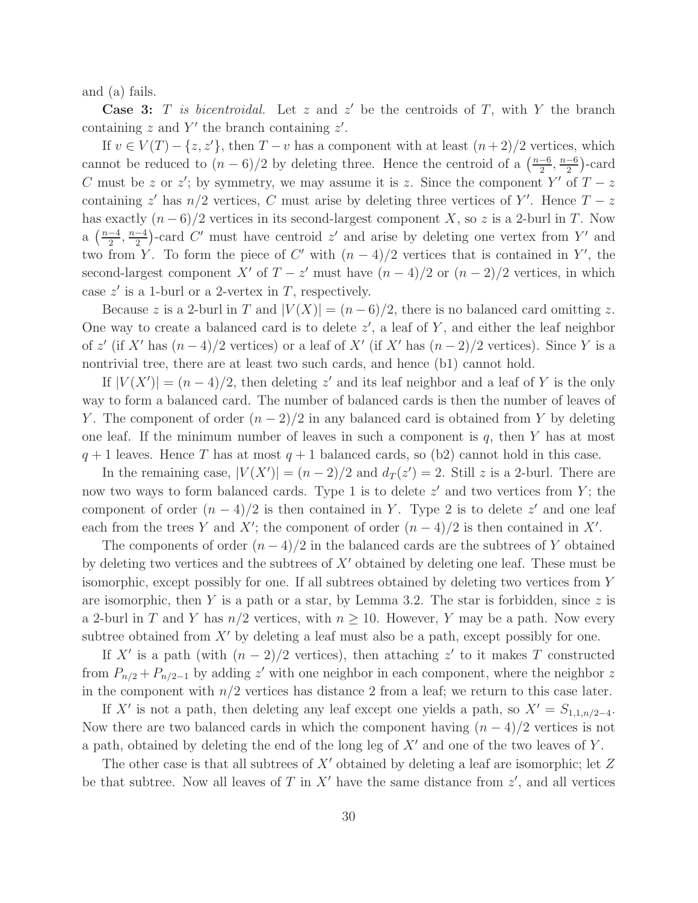and (a) fails.

**Case 3:** T is bicentroidal. Let z and z' be the centroids of T, with Y the branch containing  $z$  and  $Y'$  the branch containing  $z'$ .

If  $v \in V(T) - \{z, z'\}$ , then  $T - v$  has a component with at least  $(n+2)/2$  vertices, which cannot be reduced to  $(n-6)/2$  by deleting three. Hence the centroid of a  $\left(\frac{n-6}{2}\right)$  $\frac{-6}{2}, \frac{n-6}{2}$  $\frac{-6}{2}$ )-card C must be z or z'; by symmetry, we may assume it is z. Since the component  $Y'$  of  $T-z$ containing  $z'$  has  $n/2$  vertices, C must arise by deleting three vertices of Y'. Hence  $T - z$ has exactly  $(n-6)/2$  vertices in its second-largest component X, so z is a 2-burl in T. Now a  $\left(\frac{n-4}{2}\right)$  $\frac{-4}{2}, \frac{n-4}{2}$  $\frac{-4}{2}$ )-card C' must have centroid z' and arise by deleting one vertex from Y' and two from Y. To form the piece of  $C'$  with  $(n-4)/2$  vertices that is contained in Y', the second-largest component X' of  $T - z'$  must have  $(n - 4)/2$  or  $(n - 2)/2$  vertices, in which case  $z'$  is a 1-burl or a 2-vertex in T, respectively.

Because z is a 2-burl in T and  $|V(X)| = (n-6)/2$ , there is no balanced card omitting z. One way to create a balanced card is to delete  $z'$ , a leaf of Y, and either the leaf neighbor of z' (if X' has  $(n-4)/2$  vertices) or a leaf of X' (if X' has  $(n-2)/2$  vertices). Since Y is a nontrivial tree, there are at least two such cards, and hence (b1) cannot hold.

If  $|V(X')| = (n-4)/2$ , then deleting z' and its leaf neighbor and a leaf of Y is the only way to form a balanced card. The number of balanced cards is then the number of leaves of Y. The component of order  $(n-2)/2$  in any balanced card is obtained from Y by deleting one leaf. If the minimum number of leaves in such a component is  $q$ , then Y has at most  $q + 1$  leaves. Hence T has at most  $q + 1$  balanced cards, so (b2) cannot hold in this case.

In the remaining case,  $|V(X')| = (n-2)/2$  and  $d_T(z') = 2$ . Still z is a 2-burl. There are now two ways to form balanced cards. Type 1 is to delete  $z'$  and two vertices from Y; the component of order  $(n-4)/2$  is then contained in Y. Type 2 is to delete z' and one leaf each from the trees Y and X'; the component of order  $(n-4)/2$  is then contained in X'.

The components of order  $(n-4)/2$  in the balanced cards are the subtrees of Y obtained by deleting two vertices and the subtrees of  $X'$  obtained by deleting one leaf. These must be isomorphic, except possibly for one. If all subtrees obtained by deleting two vertices from Y are isomorphic, then Y is a path or a star, by Lemma 3.2. The star is forbidden, since z is a 2-burl in T and Y has  $n/2$  vertices, with  $n \geq 10$ . However, Y may be a path. Now every subtree obtained from  $X'$  by deleting a leaf must also be a path, except possibly for one.

If X' is a path (with  $(n-2)/2$  vertices), then attaching z' to it makes T constructed from  $P_{n/2} + P_{n/2-1}$  by adding z' with one neighbor in each component, where the neighbor z in the component with  $n/2$  vertices has distance 2 from a leaf; we return to this case later.

If X' is not a path, then deleting any leaf except one yields a path, so  $X' = S_{1,1,n/2-4}$ . Now there are two balanced cards in which the component having  $(n - 4)/2$  vertices is not a path, obtained by deleting the end of the long leg of  $X'$  and one of the two leaves of  $Y$ .

The other case is that all subtrees of  $X'$  obtained by deleting a leaf are isomorphic; let  $Z$ be that subtree. Now all leaves of T in  $X'$  have the same distance from  $z'$ , and all vertices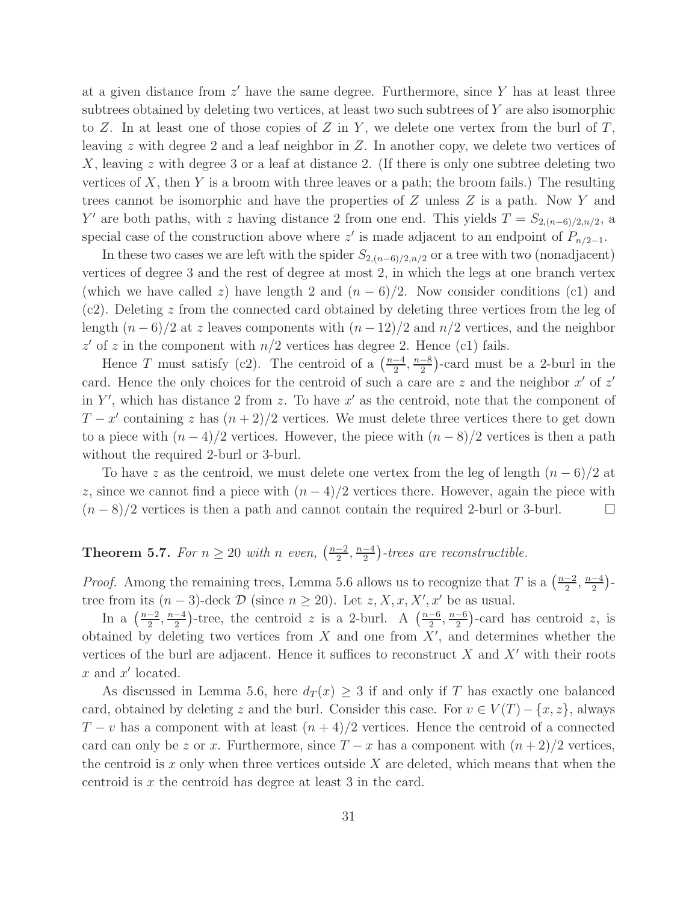at a given distance from  $z'$  have the same degree. Furthermore, since Y has at least three subtrees obtained by deleting two vertices, at least two such subtrees of Y are also isomorphic to Z. In at least one of those copies of Z in Y, we delete one vertex from the burl of  $T$ , leaving z with degree 2 and a leaf neighbor in  $Z$ . In another copy, we delete two vertices of X, leaving z with degree 3 or a leaf at distance 2. (If there is only one subtree deleting two vertices of  $X$ , then  $Y$  is a broom with three leaves or a path; the broom fails.) The resulting trees cannot be isomorphic and have the properties of Z unless Z is a path. Now Y and Y' are both paths, with z having distance 2 from one end. This yields  $T = S_{2,(n-6)/2,n/2}$ , a special case of the construction above where z' is made adjacent to an endpoint of  $P_{n/2-1}$ .

In these two cases we are left with the spider  $S_{2,(n-6)/2,n/2}$  or a tree with two (nonadjacent) vertices of degree 3 and the rest of degree at most 2, in which the legs at one branch vertex (which we have called z) have length 2 and  $(n-6)/2$ . Now consider conditions (c1) and (c2). Deleting z from the connected card obtained by deleting three vertices from the leg of length  $(n-6)/2$  at z leaves components with  $(n-12)/2$  and  $n/2$  vertices, and the neighbor  $z'$  of z in the component with  $n/2$  vertices has degree 2. Hence (c1) fails.

Hence T must satisfy (c2). The centroid of a  $\left(\frac{n-4}{2}\right)$  $\frac{-4}{2}, \frac{n-8}{2}$  $\frac{-8}{2}$ )-card must be a 2-burl in the card. Hence the only choices for the centroid of such a care are  $z$  and the neighbor  $x'$  of  $z'$ in Y', which has distance 2 from z. To have  $x'$  as the centroid, note that the component of  $T - x'$  containing z has  $(n + 2)/2$  vertices. We must delete three vertices there to get down to a piece with  $(n-4)/2$  vertices. However, the piece with  $(n-8)/2$  vertices is then a path without the required 2-burl or 3-burl.

To have z as the centroid, we must delete one vertex from the leg of length  $(n-6)/2$  at z, since we cannot find a piece with  $(n-4)/2$  vertices there. However, again the piece with  $(n-8)/2$  vertices is then a path and cannot contain the required 2-burl or 3-burl.  $\Box$ 

#### Theorem 5.7. For  $n \geq 20$  with n even,  $\left(\frac{n-2}{2}\right)$  $\frac{-2}{2}, \frac{n-4}{2}$  $\frac{-4}{2}$ )-trees are reconstructible.

*Proof.* Among the remaining trees, Lemma 5.6 allows us to recognize that T is a  $\left(\frac{n-2}{2}\right)$  $\frac{-2}{2}, \frac{n-4}{2}$  $\frac{-4}{2}$ )tree from its  $(n-3)$ -deck  $\mathcal D$  (since  $n \geq 20$ ). Let  $z, X, x, X', x'$  be as usual.

In a  $\left(\frac{n-2}{2}\right)$  $\frac{-2}{2}, \frac{n-4}{2}$  $\frac{-4}{2}$ )-tree, the centroid z is a 2-burl. A  $\left(\frac{n-6}{2}\right)$  $\frac{-6}{2}, \frac{n-6}{2}$  $\frac{-6}{2}$ )-card has centroid z, is obtained by deleting two vertices from  $X$  and one from  $X'$ , and determines whether the vertices of the burl are adjacent. Hence it suffices to reconstruct  $X$  and  $X'$  with their roots  $x$  and  $x'$  located.

As discussed in Lemma 5.6, here  $d_T(x) \geq 3$  if and only if T has exactly one balanced card, obtained by deleting z and the burl. Consider this case. For  $v \in V(T) - \{x, z\}$ , always  $T - v$  has a component with at least  $(n + 4)/2$  vertices. Hence the centroid of a connected card can only be z or x. Furthermore, since  $T - x$  has a component with  $(n + 2)/2$  vertices, the centroid is  $x$  only when three vertices outside  $X$  are deleted, which means that when the centroid is x the centroid has degree at least 3 in the card.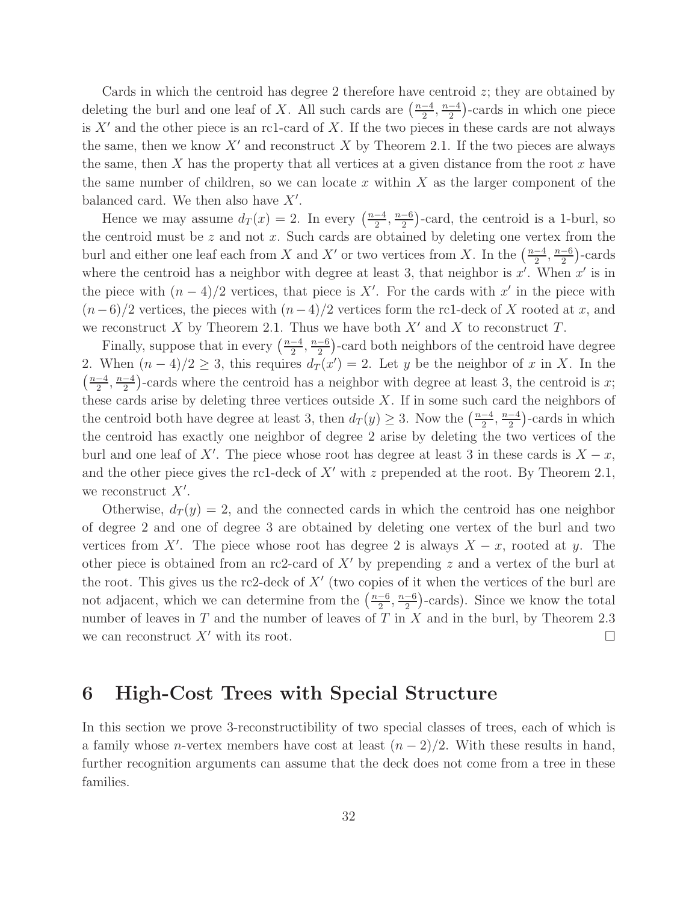Cards in which the centroid has degree 2 therefore have centroid z; they are obtained by deleting the burl and one leaf of X. All such cards are  $\left(\frac{n-4}{2}\right)$  $\frac{-4}{2}, \frac{n-4}{2}$  $\frac{-4}{2}$ )-cards in which one piece is  $X'$  and the other piece is an rc1-card of X. If the two pieces in these cards are not always the same, then we know  $X'$  and reconstruct X by Theorem 2.1. If the two pieces are always the same, then X has the property that all vertices at a given distance from the root  $x$  have the same number of children, so we can locate x within  $X$  as the larger component of the balanced card. We then also have  $X'$ .

Hence we may assume  $d_T(x) = 2$ . In every  $\left(\frac{n-4}{2}\right)$  $\frac{-4}{2}, \frac{n-6}{2}$  $\frac{-6}{2}$ )-card, the centroid is a 1-burl, so the centroid must be  $z$  and not  $x$ . Such cards are obtained by deleting one vertex from the burl and either one leaf each from X and X' or two vertices from X. In the  $\left(\frac{n-4}{2}\right)$  $\frac{-4}{2}, \frac{n-6}{2}$  $\frac{-6}{2}$ )-cards where the centroid has a neighbor with degree at least 3, that neighbor is  $x'$ . When  $x'$  is in the piece with  $(n-4)/2$  vertices, that piece is X'. For the cards with x' in the piece with  $(n-6)/2$  vertices, the pieces with  $(n-4)/2$  vertices form the rc1-deck of X rooted at x, and we reconstruct X by Theorem 2.1. Thus we have both  $X'$  and X to reconstruct T.

Finally, suppose that in every  $\left(\frac{n-4}{2}\right)$  $\frac{-4}{2}, \frac{n-6}{2}$  $\frac{-6}{2}$ )-card both neighbors of the centroid have degree 2. When  $(n-4)/2 \geq 3$ , this requires  $d_T(x') = 2$ . Let y be the neighbor of x in X. In the  $\left(\frac{n-4}{2}\right)$  $\frac{-4}{2}, \frac{n-4}{2}$  $\frac{-4}{2}$ )-cards where the centroid has a neighbor with degree at least 3, the centroid is x; these cards arise by deleting three vertices outside  $X$ . If in some such card the neighbors of the centroid both have degree at least 3, then  $d_T(y) \geq 3$ . Now the  $\left(\frac{n-4}{2}\right)$  $\frac{-4}{2}, \frac{n-4}{2}$  $\frac{-4}{2}$ )-cards in which the centroid has exactly one neighbor of degree 2 arise by deleting the two vertices of the burl and one leaf of X'. The piece whose root has degree at least 3 in these cards is  $X - x$ , and the other piece gives the rc1-deck of  $X'$  with z prepended at the root. By Theorem 2.1, we reconstruct  $X'$ .

Otherwise,  $d_T(y) = 2$ , and the connected cards in which the centroid has one neighbor of degree 2 and one of degree 3 are obtained by deleting one vertex of the burl and two vertices from X'. The piece whose root has degree 2 is always  $X - x$ , rooted at y. The other piece is obtained from an rc2-card of  $X'$  by prepending z and a vertex of the burl at the root. This gives us the rc2-deck of  $X'$  (two copies of it when the vertices of the burl are not adjacent, which we can determine from the  $\left(\frac{n-6}{2}\right)$  $\frac{-6}{2}, \frac{n-6}{2}$  $\frac{-6}{2}$ )-cards). Since we know the total number of leaves in  $T$  and the number of leaves of  $T$  in  $X$  and in the burl, by Theorem 2.3 we can reconstruct  $X'$  with its root.

### 6 High-Cost Trees with Special Structure

In this section we prove 3-reconstructibility of two special classes of trees, each of which is a family whose *n*-vertex members have cost at least  $(n-2)/2$ . With these results in hand, further recognition arguments can assume that the deck does not come from a tree in these families.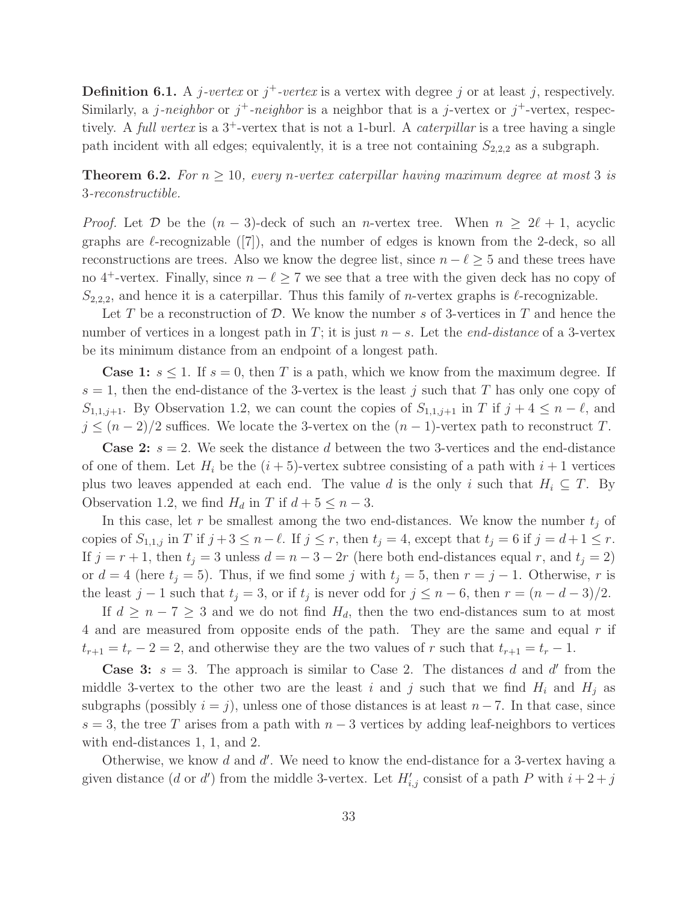**Definition 6.1.** A *j*-vertex or  $j^+$ -vertex is a vertex with degree j or at least j, respectively. Similarly, a j-neighbor or  $j^+$ -neighbor is a neighbor that is a j-vertex or  $j^+$ -vertex, respectively. A full vertex is a  $3^+$ -vertex that is not a 1-burl. A *caterpillar* is a tree having a single path incident with all edges; equivalently, it is a tree not containing  $S_{2,2,2}$  as a subgraph.

**Theorem 6.2.** For  $n \geq 10$ , every n-vertex caterpillar having maximum degree at most 3 is 3-reconstructible.

*Proof.* Let  $\mathcal{D}$  be the  $(n-3)$ -deck of such an *n*-vertex tree. When  $n \geq 2\ell + 1$ , acyclic graphs are  $\ell$ -recognizable ([7]), and the number of edges is known from the 2-deck, so all reconstructions are trees. Also we know the degree list, since  $n - \ell \geq 5$  and these trees have no 4<sup>+</sup>-vertex. Finally, since  $n - \ell \geq 7$  we see that a tree with the given deck has no copy of  $S_{2,2,2}$ , and hence it is a caterpillar. Thus this family of *n*-vertex graphs is  $\ell$ -recognizable.

Let T be a reconstruction of D. We know the number s of 3-vertices in T and hence the number of vertices in a longest path in T; it is just  $n - s$ . Let the *end-distance* of a 3-vertex be its minimum distance from an endpoint of a longest path.

**Case 1:**  $s \leq 1$ . If  $s = 0$ , then T is a path, which we know from the maximum degree. If  $s = 1$ , then the end-distance of the 3-vertex is the least j such that T has only one copy of  $S_{1,1,j+1}$ . By Observation 1.2, we can count the copies of  $S_{1,1,j+1}$  in T if  $j+4 \leq n-\ell$ , and  $j \leq (n-2)/2$  suffices. We locate the 3-vertex on the  $(n-1)$ -vertex path to reconstruct T.

**Case 2:**  $s = 2$ . We seek the distance d between the two 3-vertices and the end-distance of one of them. Let  $H_i$  be the  $(i + 5)$ -vertex subtree consisting of a path with  $i + 1$  vertices plus two leaves appended at each end. The value d is the only i such that  $H_i \subseteq T$ . By Observation 1.2, we find  $H_d$  in T if  $d + 5 \leq n - 3$ .

In this case, let r be smallest among the two end-distances. We know the number  $t_i$  of copies of  $S_{1,1,j}$  in T if  $j + 3 \leq n - \ell$ . If  $j \leq r$ , then  $t_j = 4$ , except that  $t_j = 6$  if  $j = d + 1 \leq r$ . If  $j = r + 1$ , then  $t_j = 3$  unless  $d = n - 3 - 2r$  (here both end-distances equal r, and  $t_j = 2$ ) or  $d = 4$  (here  $t_j = 5$ ). Thus, if we find some j with  $t_j = 5$ , then  $r = j - 1$ . Otherwise, r is the least  $j-1$  such that  $t_j = 3$ , or if  $t_j$  is never odd for  $j \leq n-6$ , then  $r = (n - d - 3)/2$ .

If  $d \geq n-7 \geq 3$  and we do not find  $H_d$ , then the two end-distances sum to at most 4 and are measured from opposite ends of the path. They are the same and equal r if  $t_{r+1} = t_r - 2 = 2$ , and otherwise they are the two values of r such that  $t_{r+1} = t_r - 1$ .

**Case 3:**  $s = 3$ . The approach is similar to Case 2. The distances d and d' from the middle 3-vertex to the other two are the least i and j such that we find  $H_i$  and  $H_j$  as subgraphs (possibly  $i = j$ ), unless one of those distances is at least  $n - 7$ . In that case, since  $s = 3$ , the tree T arises from a path with  $n - 3$  vertices by adding leaf-neighbors to vertices with end-distances 1, 1, and 2.

Otherwise, we know  $d$  and  $d'$ . We need to know the end-distance for a 3-vertex having a given distance (*d* or *d'*) from the middle 3-vertex. Let  $H'_{i,j}$  consist of a path P with  $i + 2 + j$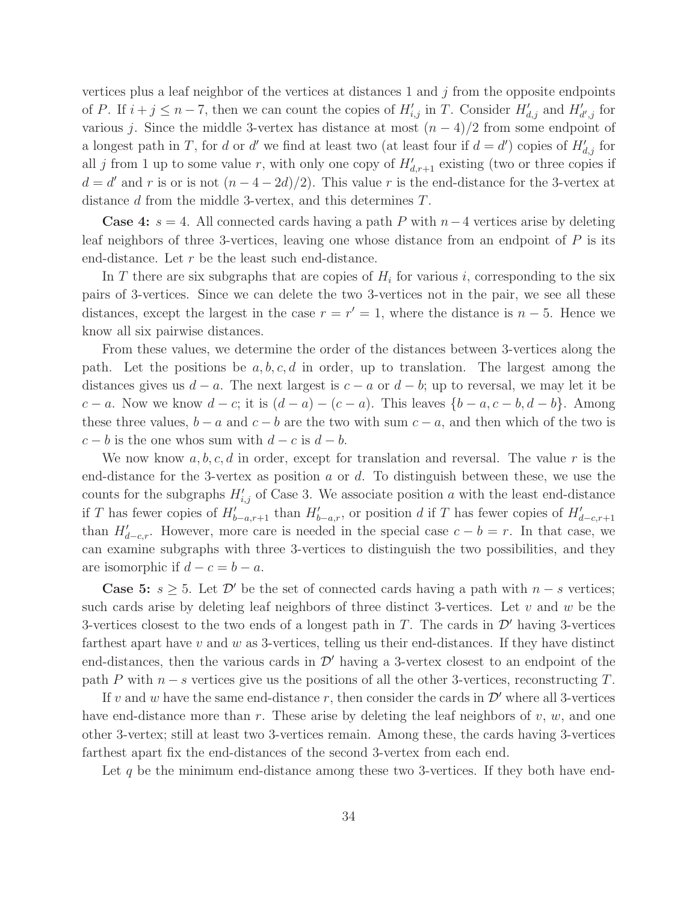vertices plus a leaf neighbor of the vertices at distances  $1$  and  $j$  from the opposite endpoints of P. If  $i + j \leq n - 7$ , then we can count the copies of  $H'_{i,j}$  in T. Consider  $H'_{d,j}$  and  $H'_{d',j}$  for various j. Since the middle 3-vertex has distance at most  $(n-4)/2$  from some endpoint of a longest path in T, for d or d' we find at least two (at least four if  $d = d'$ ) copies of  $H'_{d,j}$  for all j from 1 up to some value r, with only one copy of  $H'_{d,r+1}$  existing (two or three copies if  $d = d'$  and r is or is not  $(n - 4 - 2d)/2$ ). This value r is the end-distance for the 3-vertex at distance d from the middle 3-vertex, and this determines T.

**Case 4:**  $s = 4$ . All connected cards having a path P with  $n-4$  vertices arise by deleting leaf neighbors of three 3-vertices, leaving one whose distance from an endpoint of P is its end-distance. Let  $r$  be the least such end-distance.

In T there are six subgraphs that are copies of  $H_i$  for various i, corresponding to the six pairs of 3-vertices. Since we can delete the two 3-vertices not in the pair, we see all these distances, except the largest in the case  $r = r' = 1$ , where the distance is  $n - 5$ . Hence we know all six pairwise distances.

From these values, we determine the order of the distances between 3-vertices along the path. Let the positions be  $a, b, c, d$  in order, up to translation. The largest among the distances gives us  $d - a$ . The next largest is  $c - a$  or  $d - b$ ; up to reversal, we may let it be c − a. Now we know  $d - c$ ; it is  $(d - a) - (c - a)$ . This leaves  $\{b - a, c - b, d - b\}$ . Among these three values,  $b - a$  and  $c - b$  are the two with sum  $c - a$ , and then which of the two is  $c - b$  is the one whos sum with  $d - c$  is  $d - b$ .

We now know  $a, b, c, d$  in order, except for translation and reversal. The value r is the end-distance for the 3-vertex as position a or d. To distinguish between these, we use the counts for the subgraphs  $H'_{i,j}$  of Case 3. We associate position a with the least end-distance if T has fewer copies of  $H'_{b-a,r+1}$  than  $H'_{b-a,r}$ , or position d if T has fewer copies of  $H'_{d-c,r+1}$ than  $H'_{d-c,r}$ . However, more care is needed in the special case  $c - b = r$ . In that case, we can examine subgraphs with three 3-vertices to distinguish the two possibilities, and they are isomorphic if  $d - c = b - a$ .

**Case 5:**  $s \geq 5$ . Let  $\mathcal{D}'$  be the set of connected cards having a path with  $n - s$  vertices; such cards arise by deleting leaf neighbors of three distinct 3-vertices. Let  $v$  and  $w$  be the 3-vertices closest to the two ends of a longest path in T. The cards in  $\mathcal{D}'$  having 3-vertices farthest apart have  $v$  and  $w$  as 3-vertices, telling us their end-distances. If they have distinct end-distances, then the various cards in  $\mathcal{D}'$  having a 3-vertex closest to an endpoint of the path P with  $n - s$  vertices give us the positions of all the other 3-vertices, reconstructing T.

If v and w have the same end-distance r, then consider the cards in  $\mathcal{D}'$  where all 3-vertices have end-distance more than  $r$ . These arise by deleting the leaf neighbors of  $v, w$ , and one other 3-vertex; still at least two 3-vertices remain. Among these, the cards having 3-vertices farthest apart fix the end-distances of the second 3-vertex from each end.

Let  $q$  be the minimum end-distance among these two 3-vertices. If they both have end-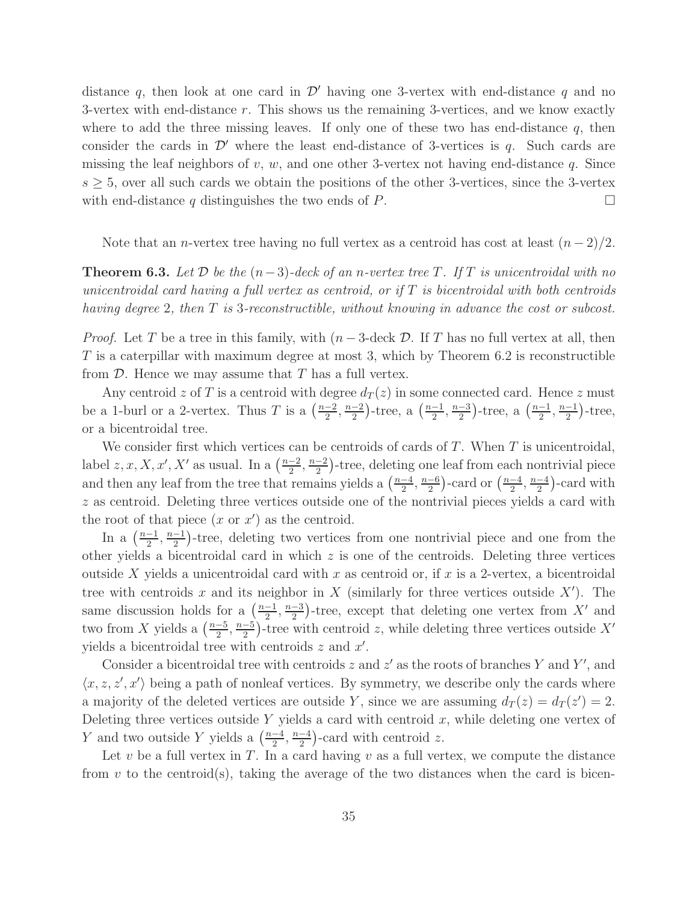distance q, then look at one card in  $\mathcal{D}'$  having one 3-vertex with end-distance q and no 3-vertex with end-distance r. This shows us the remaining 3-vertices, and we know exactly where to add the three missing leaves. If only one of these two has end-distance  $q$ , then consider the cards in  $\mathcal{D}'$  where the least end-distance of 3-vertices is q. Such cards are missing the leaf neighbors of v, w, and one other 3-vertex not having end-distance q. Since  $s \geq 5$ , over all such cards we obtain the positions of the other 3-vertices, since the 3-vertex with end-distance q distinguishes the two ends of P.  $\Box$ 

Note that an *n*-vertex tree having no full vertex as a centroid has cost at least  $(n-2)/2$ .

**Theorem 6.3.** Let  $\mathcal{D}$  be the  $(n-3)$ -deck of an n-vertex tree T. If T is unicentroidal with no unicentroidal card having a full vertex as centroid, or if  $T$  is bicentroidal with both centroids having degree 2, then T is 3-reconstructible, without knowing in advance the cost or subcost.

*Proof.* Let T be a tree in this family, with  $(n-3$ -deck D. If T has no full vertex at all, then  $T$  is a caterpillar with maximum degree at most 3, which by Theorem 6.2 is reconstructible from  $D$ . Hence we may assume that  $T$  has a full vertex.

Any centroid z of T is a centroid with degree  $d_T(z)$  in some connected card. Hence z must be a 1-burl or a 2-vertex. Thus T is a  $\left(\frac{n-2}{2}\right)$  $\frac{-2}{2}, \frac{n-2}{2}$  $\frac{-2}{2}$ )-tree, a  $\left(\frac{n-1}{2}\right)$  $\frac{-1}{2}$ ,  $\frac{n-3}{2}$  $\frac{-3}{2}$ )-tree, a  $\left(\frac{n-1}{2}\right)$  $\frac{-1}{2}, \frac{n-1}{2}$  $\frac{-1}{2}$ )-tree, or a bicentroidal tree.

We consider first which vertices can be centroids of cards of  $T$ . When  $T$  is unicentroidal, label  $z, x, X, x', X'$  as usual. In a  $\left(\frac{n-2}{2}\right)$  $\frac{-2}{2}, \frac{n-2}{2}$  $\frac{-2}{2}$ )-tree, deleting one leaf from each nontrivial piece and then any leaf from the tree that remains yields a  $\left(\frac{n-4}{2}\right)$  $\frac{-4}{2}, \frac{n-6}{2}$  $\frac{-6}{2}$ )-card or  $\left(\frac{n-4}{2}\right)$  $\frac{-4}{2}, \frac{n-4}{2}$  $\frac{-4}{2}$ )-card with z as centroid. Deleting three vertices outside one of the nontrivial pieces yields a card with the root of that piece  $(x \text{ or } x')$  as the centroid.

In a  $\left(\frac{n-1}{2}\right)$  $\frac{-1}{2}, \frac{n-1}{2}$  $\frac{-1}{2}$ )-tree, deleting two vertices from one nontrivial piece and one from the other yields a bicentroidal card in which  $z$  is one of the centroids. Deleting three vertices outside X yields a unicentroidal card with x as centroid or, if x is a 2-vertex, a bicentroidal tree with centroids x and its neighbor in X (similarly for three vertices outside  $X'$ ). The same discussion holds for a  $\left(\frac{n-1}{2}\right)$  $\frac{-1}{2}, \frac{n-3}{2}$  $\frac{-3}{2}$ )-tree, except that deleting one vertex from X' and two from X yields a  $\left(\frac{n-5}{2}\right)$  $\frac{-5}{2}, \frac{n-5}{2}$  $\frac{-5}{2}$ )-tree with centroid z, while deleting three vertices outside X' yields a bicentroidal tree with centroids  $z$  and  $x'$ .

Consider a bicentroidal tree with centroids  $z$  and  $z'$  as the roots of branches Y and Y', and  $\langle x, z, z', x' \rangle$  being a path of nonleaf vertices. By symmetry, we describe only the cards where a majority of the deleted vertices are outside Y, since we are assuming  $d_T(z) = d_T(z') = 2$ . Deleting three vertices outside Y yields a card with centroid  $x$ , while deleting one vertex of Y and two outside Y yields a  $\left(\frac{n-4}{2}\right)$  $\frac{-4}{2}, \frac{n-4}{2}$  $\frac{-4}{2}$ )-card with centroid z.

Let  $v$  be a full vertex in  $T$ . In a card having  $v$  as a full vertex, we compute the distance from  $v$  to the centroid(s), taking the average of the two distances when the card is bicen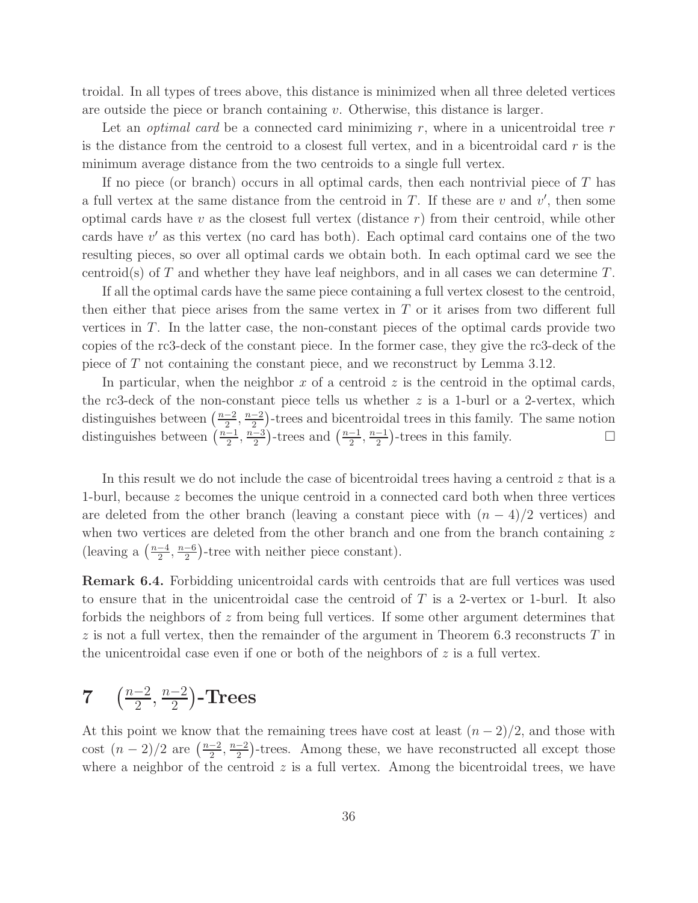troidal. In all types of trees above, this distance is minimized when all three deleted vertices are outside the piece or branch containing  $v$ . Otherwise, this distance is larger.

Let an *optimal card* be a connected card minimizing r, where in a unicentroidal tree r is the distance from the centroid to a closest full vertex, and in a bicentroidal card  $r$  is the minimum average distance from the two centroids to a single full vertex.

If no piece (or branch) occurs in all optimal cards, then each nontrivial piece of  $T$  has a full vertex at the same distance from the centroid in  $T$ . If these are  $v$  and  $v'$ , then some optimal cards have  $v$  as the closest full vertex (distance  $r$ ) from their centroid, while other cards have v ′ as this vertex (no card has both). Each optimal card contains one of the two resulting pieces, so over all optimal cards we obtain both. In each optimal card we see the centroid(s) of T and whether they have leaf neighbors, and in all cases we can determine  $T$ .

If all the optimal cards have the same piece containing a full vertex closest to the centroid, then either that piece arises from the same vertex in  $T$  or it arises from two different full vertices in T. In the latter case, the non-constant pieces of the optimal cards provide two copies of the rc3-deck of the constant piece. In the former case, they give the rc3-deck of the piece of T not containing the constant piece, and we reconstruct by Lemma 3.12.

In particular, when the neighbor x of a centroid  $z$  is the centroid in the optimal cards, the rc3-deck of the non-constant piece tells us whether  $z$  is a 1-burl or a 2-vertex, which distinguishes between  $\left(\frac{n-2}{2}\right)$  $\frac{-2}{2}, \frac{n-2}{2}$  $\frac{-2}{2}$ )-trees and bicentroidal trees in this family. The same notion distinguishes between  $\left(\frac{n-1}{2}\right)$  $\frac{-1}{2}, \frac{n-3}{2}$  $\frac{-3}{2}$ )-trees and  $\left(\frac{n-1}{2}\right)$  $\frac{-1}{2}, \frac{n-1}{2}$  $\frac{-1}{2}$ )-trees in this family.  $\square$ 

In this result we do not include the case of bicentroidal trees having a centroid  $z$  that is a 1-burl, because z becomes the unique centroid in a connected card both when three vertices are deleted from the other branch (leaving a constant piece with  $(n - 4)/2$  vertices) and when two vertices are deleted from the other branch and one from the branch containing  $z$ (leaving a  $\left(\frac{n-4}{2}\right)$  $\frac{-4}{2}, \frac{n-6}{2}$  $\frac{-6}{2}$ )-tree with neither piece constant).

Remark 6.4. Forbidding unicentroidal cards with centroids that are full vertices was used to ensure that in the unicentroidal case the centroid of  $T$  is a 2-vertex or 1-burl. It also forbids the neighbors of z from being full vertices. If some other argument determines that  $z$  is not a full vertex, then the remainder of the argument in Theorem 6.3 reconstructs  $T$  in the unicentroidal case even if one or both of the neighbors of  $z$  is a full vertex.

#### $7\quad\left(\frac{n-2}{2}\right)$  $\frac{-2}{2}, \frac{n-2}{2}$ 2 -Trees

At this point we know that the remaining trees have cost at least  $(n-2)/2$ , and those with cost  $(n-2)/2$  are  $\left(\frac{n-2}{2}\right)$  $\frac{-2}{2}, \frac{n-2}{2}$  $\frac{-2}{2}$ )-trees. Among these, we have reconstructed all except those where a neighbor of the centroid  $z$  is a full vertex. Among the bicentroidal trees, we have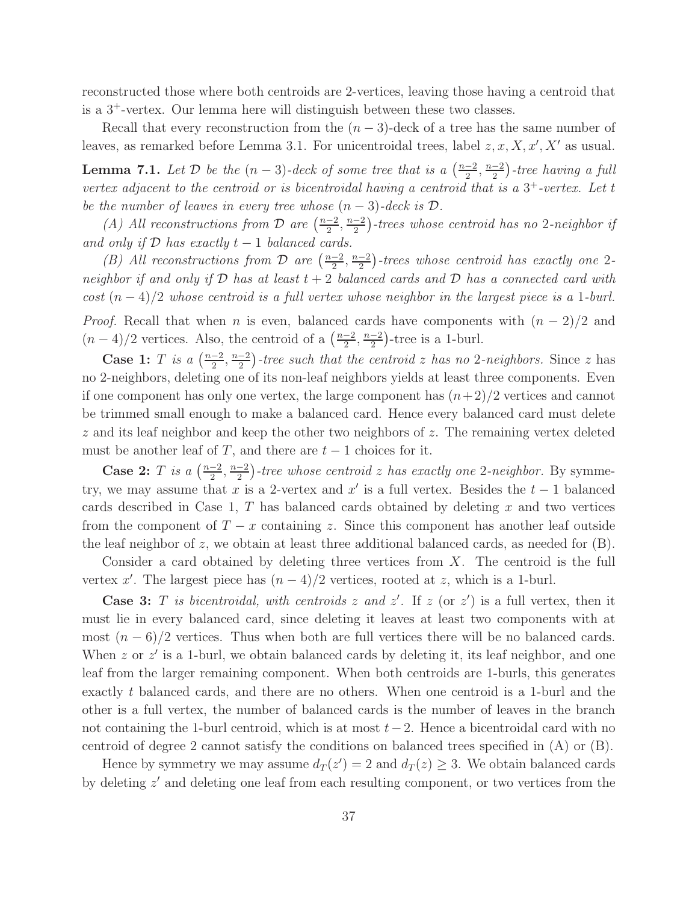reconstructed those where both centroids are 2-vertices, leaving those having a centroid that is a 3<sup>+</sup>-vertex. Our lemma here will distinguish between these two classes.

Recall that every reconstruction from the  $(n-3)$ -deck of a tree has the same number of leaves, as remarked before Lemma 3.1. For unicentroidal trees, label  $z, x, X, x', X'$  as usual.

**Lemma 7.1.** Let  $D$  be the  $(n-3)$ -deck of some tree that is a  $\left(\frac{n-2}{2}\right)$  $\frac{-2}{2}, \frac{n-2}{2}$  $\frac{-2}{2}$ )-tree having a full vertex adjacent to the centroid or is bicentroidal having a centroid that is a  $3^+$ -vertex. Let t be the number of leaves in every tree whose  $(n-3)$ -deck is  $\mathcal{D}$ .

(A) All reconstructions from  $\mathcal D$  are  $\left(\frac{n-2}{2}\right)$  $\frac{-2}{2}, \frac{n-2}{2}$  $\frac{1}{2}^{-2}$ )-trees whose centroid has no 2-neighbor if and only if  $D$  has exactly  $t-1$  balanced cards.

(B) All reconstructions from  $\mathcal D$  are  $\left(\frac{n-2}{2}\right)$  $\frac{-2}{2}, \frac{n-2}{2}$  $\frac{-2}{2}$ )-trees whose centroid has exactly one 2neighbor if and only if  $D$  has at least  $t + 2$  balanced cards and  $D$  has a connected card with cost  $(n-4)/2$  whose centroid is a full vertex whose neighbor in the largest piece is a 1-burl. *Proof.* Recall that when n is even, balanced cards have components with  $(n-2)/2$  and  $(n-4)/2$  vertices. Also, the centroid of a  $\left(\frac{n-2}{2}\right)$  $\frac{-2}{2}, \frac{n-2}{2}$  $\frac{-2}{2}$ )-tree is a 1-burl.

Case 1: T is a  $\left(\frac{n-2}{2}\right)$  $\frac{-2}{2}, \frac{n-2}{2}$  $\frac{-2}{2}$ )-tree such that the centroid z has no 2-neighbors. Since z has no 2-neighbors, deleting one of its non-leaf neighbors yields at least three components. Even if one component has only one vertex, the large component has  $(n+2)/2$  vertices and cannot be trimmed small enough to make a balanced card. Hence every balanced card must delete z and its leaf neighbor and keep the other two neighbors of z. The remaining vertex deleted must be another leaf of T, and there are  $t - 1$  choices for it.

Case 2: T is a  $\left(\frac{n-2}{2}\right)$  $\frac{-2}{2}, \frac{n-2}{2}$  $\frac{-2}{2}$ )-tree whose centroid z has exactly one 2-neighbor. By symmetry, we may assume that x is a 2-vertex and  $x'$  is a full vertex. Besides the  $t-1$  balanced cards described in Case 1,  $T$  has balanced cards obtained by deleting  $x$  and two vertices from the component of  $T - x$  containing z. Since this component has another leaf outside the leaf neighbor of z, we obtain at least three additional balanced cards, as needed for  $(B)$ .

Consider a card obtained by deleting three vertices from X. The centroid is the full vertex x'. The largest piece has  $(n-4)/2$  vertices, rooted at z, which is a 1-burl.

**Case 3:** T is bicentroidal, with centroids z and z'. If z (or z') is a full vertex, then it must lie in every balanced card, since deleting it leaves at least two components with at most  $(n-6)/2$  vertices. Thus when both are full vertices there will be no balanced cards. When  $z$  or  $z'$  is a 1-burl, we obtain balanced cards by deleting it, its leaf neighbor, and one leaf from the larger remaining component. When both centroids are 1-burls, this generates exactly t balanced cards, and there are no others. When one centroid is a 1-burl and the other is a full vertex, the number of balanced cards is the number of leaves in the branch not containing the 1-burl centroid, which is at most  $t-2$ . Hence a bicentroidal card with no centroid of degree 2 cannot satisfy the conditions on balanced trees specified in (A) or (B).

Hence by symmetry we may assume  $d_T(z') = 2$  and  $d_T(z) \geq 3$ . We obtain balanced cards by deleting  $z'$  and deleting one leaf from each resulting component, or two vertices from the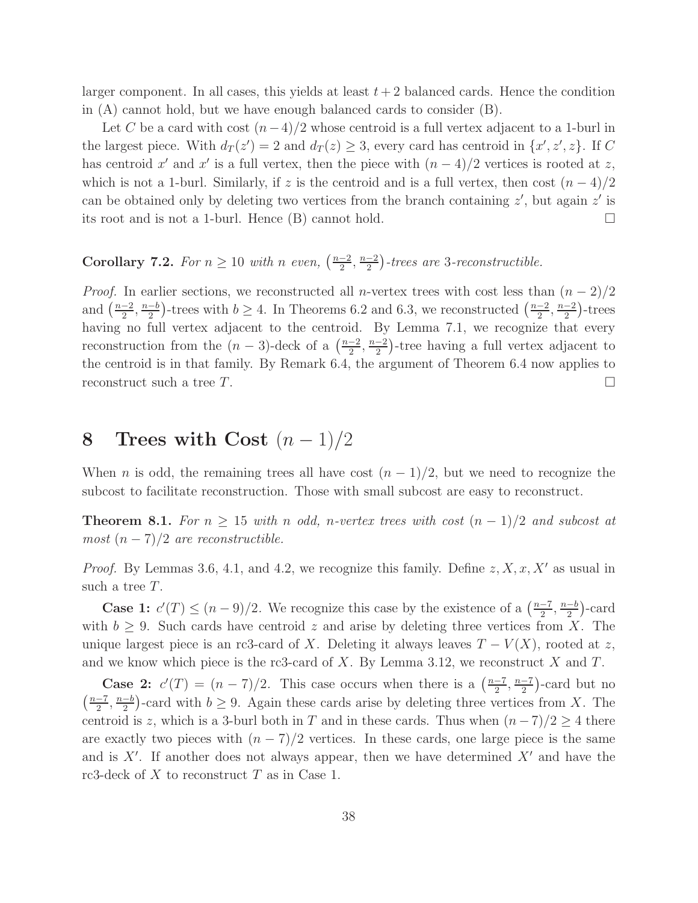larger component. In all cases, this yields at least  $t + 2$  balanced cards. Hence the condition in (A) cannot hold, but we have enough balanced cards to consider (B).

Let C be a card with cost  $(n-4)/2$  whose centroid is a full vertex adjacent to a 1-burl in the largest piece. With  $d_T(z) = 2$  and  $d_T(z) \geq 3$ , every card has centroid in  $\{x', z', z\}$ . If C has centroid x' and x' is a full vertex, then the piece with  $(n-4)/2$  vertices is rooted at z, which is not a 1-burl. Similarly, if z is the centroid and is a full vertex, then cost  $(n-4)/2$ can be obtained only by deleting two vertices from the branch containing  $z'$ , but again  $z'$  is its root and is not a 1-burl. Hence  $(B)$  cannot hold.

#### Corollary 7.2. For  $n \geq 10$  with n even,  $\left(\frac{n-2}{2}\right)$  $\frac{-2}{2}, \frac{n-2}{2}$  $\frac{-2}{2}$ )-trees are 3-reconstructible.

*Proof.* In earlier sections, we reconstructed all n-vertex trees with cost less than  $(n-2)/2$ and  $\left(\frac{n-2}{2}\right)$  $\frac{-2}{2}, \frac{n-b}{2}$  $\frac{-b}{2}$ )-trees with  $b \ge 4$ . In Theorems 6.2 and 6.3, we reconstructed  $\left(\frac{n-2}{2}\right)$  $\frac{-2}{2}, \frac{n-2}{2}$  $\frac{-2}{2}$ )-trees having no full vertex adjacent to the centroid. By Lemma 7.1, we recognize that every reconstruction from the  $(n-3)$ -deck of a  $\left(\frac{n-2}{2}\right)$  $\frac{-2}{2}, \frac{n-2}{2}$  $\frac{-2}{2}$ )-tree having a full vertex adjacent to the centroid is in that family. By Remark 6.4, the argument of Theorem 6.4 now applies to reconstruct such a tree  $T$ .

# 8 Trees with Cost  $(n-1)/2$

When *n* is odd, the remaining trees all have cost  $(n-1)/2$ , but we need to recognize the subcost to facilitate reconstruction. Those with small subcost are easy to reconstruct.

**Theorem 8.1.** For  $n \geq 15$  with n odd, n-vertex trees with cost  $(n-1)/2$  and subcost at most  $(n-7)/2$  are reconstructible.

*Proof.* By Lemmas 3.6, 4.1, and 4.2, we recognize this family. Define  $z, X, x, X'$  as usual in such a tree T.

**Case 1:**  $c'(T) \leq (n-9)/2$ . We recognize this case by the existence of a  $\left(\frac{n-7}{2}\right)$  $\frac{-7}{2}, \frac{n-b}{2}$  $\frac{-b}{2}$ )-card with  $b \geq 9$ . Such cards have centroid z and arise by deleting three vertices from X. The unique largest piece is an rc3-card of X. Deleting it always leaves  $T - V(X)$ , rooted at z, and we know which piece is the rc3-card of  $X$ . By Lemma 3.12, we reconstruct  $X$  and  $T$ .

**Case 2:**  $c'(T) = (n-7)/2$ . This case occurs when there is a  $\left(\frac{n-7}{2}\right)$  $\frac{n-7}{2}, \frac{n-7}{2}$  $\frac{-7}{2}$ -card but no  $\left(\frac{n-7}{2}\right)$  $\frac{-7}{2}, \frac{n-b}{2}$  $\frac{-b}{2}$ )-card with  $b \geq 9$ . Again these cards arise by deleting three vertices from X. The centroid is z, which is a 3-burl both in T and in these cards. Thus when  $(n-7)/2 \geq 4$  there are exactly two pieces with  $(n - 7)/2$  vertices. In these cards, one large piece is the same and is  $X'$ . If another does not always appear, then we have determined  $X'$  and have the rc3-deck of  $X$  to reconstruct  $T$  as in Case 1.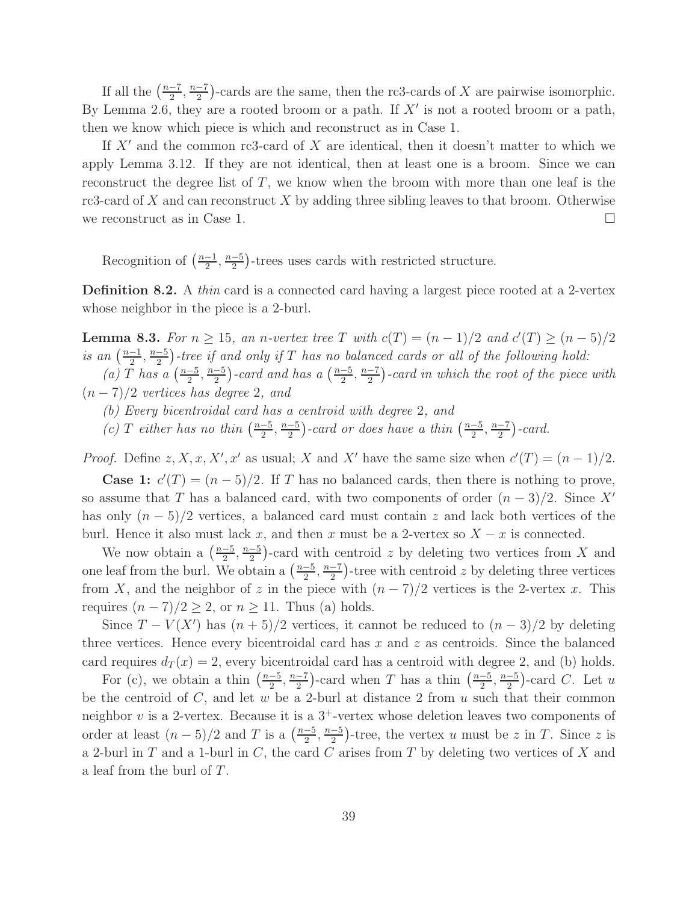If all the  $\left(\frac{n-7}{2}\right)$  $\frac{-7}{2}, \frac{n-7}{2}$  $\frac{-7}{2}$ )-cards are the same, then the rc3-cards of X are pairwise isomorphic. By Lemma 2.6, they are a rooted broom or a path. If  $X'$  is not a rooted broom or a path, then we know which piece is which and reconstruct as in Case 1.

If  $X'$  and the common rc3-card of X are identical, then it doesn't matter to which we apply Lemma 3.12. If they are not identical, then at least one is a broom. Since we can reconstruct the degree list of  $T$ , we know when the broom with more than one leaf is the rc3-card of  $X$  and can reconstruct  $X$  by adding three sibling leaves to that broom. Otherwise we reconstruct as in Case 1.  $\Box$ 

Recognition of  $\left(\frac{n-1}{2}\right)$  $\frac{-1}{2}, \frac{n-5}{2}$  $\frac{-5}{2}$ )-trees uses cards with restricted structure.

Definition 8.2. A thin card is a connected card having a largest piece rooted at a 2-vertex whose neighbor in the piece is a 2-burl.

**Lemma 8.3.** For  $n \ge 15$ , an n-vertex tree T with  $c(T) = (n-1)/2$  and  $c'(T) \ge (n-5)/2$ is an  $\left(\frac{n-1}{2}\right)$  $\frac{-1}{2}, \frac{n-5}{2}$  $\frac{2}{2}$  -tree if and only if T has no balanced cards or all of the following hold:

 $(a)$  T has a  $\left(\frac{n-5}{2}\right)$  $\frac{-5}{2}, \frac{n-5}{2}$  $\frac{-5}{2}$ )-card and has a  $\left(\frac{n-5}{2}\right)$  $\frac{-5}{2}, \frac{n-7}{2}$  $\frac{-7}{2}$ )-card in which the root of the piece with  $(n-7)/2$  vertices has degree 2, and

- (b) Every bicentroidal card has a centroid with degree 2, and
- (c) T either has no thin  $\left(\frac{n-5}{2}\right)$  $\frac{-5}{2}, \frac{n-5}{2}$  $\frac{-5}{2}$ )-card or does have a thin  $\left(\frac{n-5}{2}\right)$  $\frac{-5}{2}, \frac{n-7}{2}$  $\frac{-7}{2}$ )-card.

*Proof.* Define  $z, X, x, X', x'$  as usual; X and X' have the same size when  $c'(T) = (n-1)/2$ .

**Case 1:**  $c'(T) = (n-5)/2$ . If T has no balanced cards, then there is nothing to prove, so assume that T has a balanced card, with two components of order  $(n-3)/2$ . Since X' has only  $(n-5)/2$  vertices, a balanced card must contain z and lack both vertices of the burl. Hence it also must lack x, and then x must be a 2-vertex so  $X - x$  is connected.

We now obtain a  $\left(\frac{n-5}{2}\right)$  $\frac{-5}{2}, \frac{n-5}{2}$  $\frac{-5}{2}$ )-card with centroid z by deleting two vertices from X and one leaf from the burl. We obtain a  $\left(\frac{n-5}{2}\right)$  $\frac{-5}{2}, \frac{n-7}{2}$  $\frac{-7}{2}$ )-tree with centroid z by deleting three vertices from X, and the neighbor of z in the piece with  $(n - 7)/2$  vertices is the 2-vertex x. This requires  $(n-7)/2 \geq 2$ , or  $n \geq 11$ . Thus (a) holds.

Since  $T - V(X')$  has  $(n + 5)/2$  vertices, it cannot be reduced to  $(n - 3)/2$  by deleting three vertices. Hence every bicentroidal card has  $x$  and  $z$  as centroids. Since the balanced card requires  $d_T(x) = 2$ , every bicentroidal card has a centroid with degree 2, and (b) holds.

For (c), we obtain a thin  $\left(\frac{n-5}{2}\right)$  $\frac{-5}{2}, \frac{n-7}{2}$  $\frac{-7}{2}$ )-card when T has a thin  $\left(\frac{n-5}{2}\right)$  $\frac{-5}{2}, \frac{n-5}{2}$  $\frac{-5}{2}$ )-card C. Let u be the centroid of  $C$ , and let  $w$  be a 2-burl at distance 2 from  $u$  such that their common neighbor  $v$  is a 2-vertex. Because it is a  $3^+$ -vertex whose deletion leaves two components of order at least  $(n-5)/2$  and T is a  $\left(\frac{n-5}{2}\right)$  $\frac{-5}{2}, \frac{n-5}{2}$  $\frac{-5}{2}$ )-tree, the vertex u must be z in T. Since z is a 2-burl in  $T$  and a 1-burl in  $C$ , the card  $C$  arises from  $T$  by deleting two vertices of  $X$  and a leaf from the burl of T.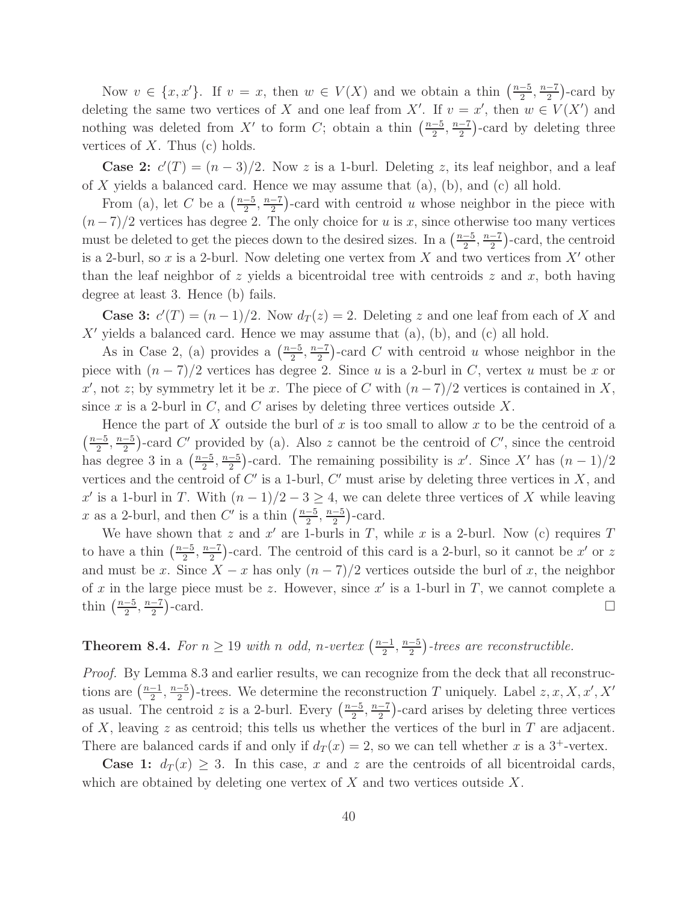Now  $v \in \{x, x'\}$ . If  $v = x$ , then  $w \in V(X)$  and we obtain a thin  $\left(\frac{n-5}{2}\right)$  $\frac{-5}{2}, \frac{n-7}{2}$  $\frac{-7}{2}$ )-card by deleting the same two vertices of X and one leaf from X'. If  $v = x'$ , then  $w \in V(X')$  and nothing was deleted from X' to form C; obtain a thin  $\left(\frac{n-5}{2}\right)$  $\frac{-5}{2}, \frac{n-7}{2}$  $\frac{-7}{2}$ )-card by deleting three vertices of  $X$ . Thus (c) holds.

**Case 2:**  $c'(T) = (n-3)/2$ . Now z is a 1-burl. Deleting z, its leaf neighbor, and a leaf of X yields a balanced card. Hence we may assume that  $(a)$ ,  $(b)$ , and  $(c)$  all hold.

From (a), let C be a  $\left(\frac{n-5}{2}\right)$  $\frac{-5}{2}, \frac{n-7}{2}$  $\frac{-7}{2}$ )-card with centroid u whose neighbor in the piece with  $(n-7)/2$  vertices has degree 2. The only choice for u is x, since otherwise too many vertices must be deleted to get the pieces down to the desired sizes. In a  $\left(\frac{n-5}{2}\right)$  $\frac{-5}{2}, \frac{n-7}{2}$  $\frac{-7}{2}$ -card, the centroid is a 2-burl, so x is a 2-burl. Now deleting one vertex from X and two vertices from  $X'$  other than the leaf neighbor of z yields a bicentroidal tree with centroids z and x, both having degree at least 3. Hence (b) fails.

**Case 3:**  $c'(T) = (n-1)/2$ . Now  $d_T(z) = 2$ . Deleting z and one leaf from each of X and  $X'$  yields a balanced card. Hence we may assume that (a), (b), and (c) all hold.

As in Case 2, (a) provides a  $\left(\frac{n-5}{2}\right)$  $\frac{-5}{2}, \frac{n-7}{2}$  $\frac{-7}{2}$ )-card C with centroid u whose neighbor in the piece with  $(n-7)/2$  vertices has degree 2. Since u is a 2-burl in C, vertex u must be x or x', not z; by symmetry let it be x. The piece of C with  $(n-7)/2$  vertices is contained in X, since x is a 2-burl in  $C$ , and  $C$  arises by deleting three vertices outside  $X$ .

Hence the part of X outside the burl of x is too small to allow x to be the centroid of a  $\left(\frac{n-5}{2}\right)$  $\frac{-5}{2}, \frac{n-5}{2}$  $\frac{-5}{2}$ )-card C' provided by (a). Also z cannot be the centroid of C', since the centroid has degree 3 in a  $\left(\frac{n-5}{2}\right)$  $\frac{-5}{2}, \frac{n-5}{2}$  $\frac{-5}{2}$ )-card. The remaining possibility is x'. Since X' has  $(n-1)/2$ vertices and the centroid of  $C'$  is a 1-burl,  $C'$  must arise by deleting three vertices in  $X$ , and x' is a 1-burl in T. With  $(n-1)/2-3 \geq 4$ , we can delete three vertices of X while leaving x as a 2-burl, and then C' is a thin  $\left(\frac{n-5}{2}\right)$  $\frac{-5}{2}, \frac{n-5}{2}$  $\frac{-5}{2}$ )-card.

We have shown that z and  $x'$  are 1-burls in T, while x is a 2-burl. Now (c) requires T to have a thin  $\left(\frac{n-5}{2}\right)$  $\frac{-5}{2}, \frac{n-7}{2}$  $\frac{-7}{2}$ )-card. The centroid of this card is a 2-burl, so it cannot be x' or z and must be x. Since  $X - x$  has only  $(n - 7)/2$  vertices outside the burl of x, the neighbor of x in the large piece must be z. However, since  $x'$  is a 1-burl in T, we cannot complete a thin  $\left(\frac{n-5}{2}\right)$  $\frac{-5}{2}, \frac{n-7}{2}$  $\frac{-7}{2}$  $\Box$ 

#### **Theorem 8.4.** For  $n \geq 19$  with n odd, n-vertex  $\left(\frac{n-1}{2}\right)$  $\frac{-1}{2}, \frac{n-5}{2}$  $\frac{-5}{2}$ )-trees are reconstructible.

Proof. By Lemma 8.3 and earlier results, we can recognize from the deck that all reconstructions are  $\left(\frac{n-1}{2}\right)$  $\frac{-1}{2}, \frac{n-5}{2}$  $\frac{-5}{2}$ )-trees. We determine the reconstruction T uniquely. Label  $z, x, X, x', X'$ as usual. The centroid z is a 2-burl. Every  $\left(\frac{n-5}{2}\right)$  $\frac{-5}{2}, \frac{n-7}{2}$  $\frac{-7}{2}$ )-card arises by deleting three vertices of X, leaving z as centroid; this tells us whether the vertices of the burl in  $T$  are adjacent. There are balanced cards if and only if  $d_T(x) = 2$ , so we can tell whether x is a 3<sup>+</sup>-vertex.

**Case 1:**  $d_T(x) \geq 3$ . In this case, x and z are the centroids of all bicentroidal cards, which are obtained by deleting one vertex of  $X$  and two vertices outside  $X$ .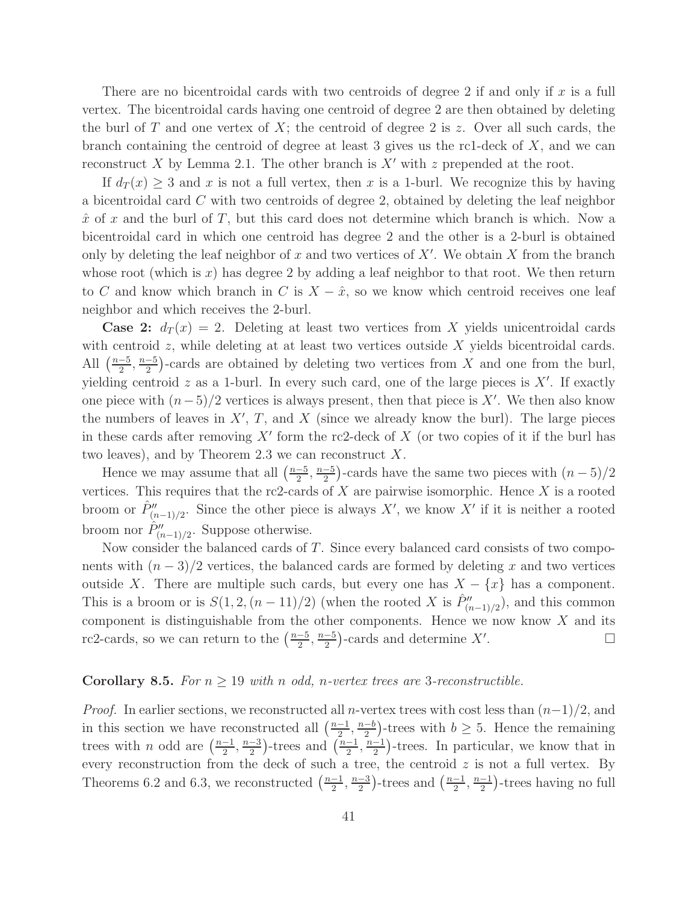There are no bicentroidal cards with two centroids of degree 2 if and only if  $x$  is a full vertex. The bicentroidal cards having one centroid of degree 2 are then obtained by deleting the burl of T and one vertex of  $X$ ; the centroid of degree 2 is z. Over all such cards, the branch containing the centroid of degree at least 3 gives us the rc1-deck of  $X$ , and we can reconstruct X by Lemma 2.1. The other branch is  $X'$  with z prepended at the root.

If  $d_T(x) \geq 3$  and x is not a full vertex, then x is a 1-burl. We recognize this by having a bicentroidal card C with two centroids of degree 2, obtained by deleting the leaf neighbor  $\hat{x}$  of x and the burl of T, but this card does not determine which branch is which. Now a bicentroidal card in which one centroid has degree 2 and the other is a 2-burl is obtained only by deleting the leaf neighbor of x and two vertices of  $X'$ . We obtain X from the branch whose root (which is x) has degree 2 by adding a leaf neighbor to that root. We then return to C and know which branch in C is  $X - \hat{x}$ , so we know which centroid receives one leaf neighbor and which receives the 2-burl.

**Case 2:**  $d_T(x) = 2$ . Deleting at least two vertices from X yields unicentroidal cards with centroid  $z$ , while deleting at at least two vertices outside  $X$  yields bicentroidal cards. All  $\left(\frac{n-5}{2}\right)$  $\frac{-5}{2}, \frac{n-5}{2}$  $\frac{-5}{2}$ )-cards are obtained by deleting two vertices from X and one from the burl, yielding centroid  $z$  as a 1-burl. In every such card, one of the large pieces is  $X'$ . If exactly one piece with  $(n-5)/2$  vertices is always present, then that piece is X'. We then also know the numbers of leaves in  $X'$ ,  $T$ , and  $X$  (since we already know the burl). The large pieces in these cards after removing  $X'$  form the rc2-deck of  $X$  (or two copies of it if the burl has two leaves), and by Theorem 2.3 we can reconstruct  $X$ .

Hence we may assume that all  $\left(\frac{n-5}{2}\right)$  $\frac{-5}{2}, \frac{n-5}{2}$  $\frac{-5}{2}$ )-cards have the same two pieces with  $(n-5)/2$ vertices. This requires that the rc2-cards of  $X$  are pairwise isomorphic. Hence  $X$  is a rooted broom or  $\hat{P}''_{(n-1)/2}$ . Since the other piece is always X', we know X' if it is neither a rooted broom nor  $\hat{P}''_{(n-1)/2}$ . Suppose otherwise.

Now consider the balanced cards of T. Since every balanced card consists of two components with  $(n-3)/2$  vertices, the balanced cards are formed by deleting x and two vertices outside X. There are multiple such cards, but every one has  $X - \{x\}$  has a component. This is a broom or is  $S(1, 2, (n-11)/2)$  (when the rooted X is  $\hat{P}''_{(n-1)/2}$ ), and this common component is distinguishable from the other components. Hence we now know  $X$  and its rc2-cards, so we can return to the  $\left(\frac{n-5}{2}\right)$  $\frac{-5}{2}, \frac{n-5}{2}$  $\frac{-5}{2}$ )-cards and determine X' .

### Corollary 8.5. For  $n \geq 19$  with n odd, n-vertex trees are 3-reconstructible.

*Proof.* In earlier sections, we reconstructed all n-vertex trees with cost less than  $(n-1)/2$ , and in this section we have reconstructed all  $\left(\frac{n-1}{2}\right)$  $\frac{-1}{2}, \frac{n-b}{2}$  $\frac{-b}{2}$ )-trees with  $b \geq 5$ . Hence the remaining trees with *n* odd are  $\left(\frac{n-1}{2}\right)$  $\frac{-1}{2}, \frac{n-3}{2}$  $\frac{-3}{2}$ )-trees and  $\left(\frac{n-1}{2}\right)$  $\frac{-1}{2}, \frac{n-1}{2}$  $\frac{-1}{2}$ )-trees. In particular, we know that in every reconstruction from the deck of such a tree, the centroid  $z$  is not a full vertex. By Theorems 6.2 and 6.3, we reconstructed  $\left(\frac{n-1}{2}\right)$  $\frac{-1}{2}, \frac{n-3}{2}$  $\frac{-3}{2}$ )-trees and  $\left(\frac{n-1}{2}\right)$  $\frac{-1}{2}, \frac{n-1}{2}$  $\frac{-1}{2}$ )-trees having no full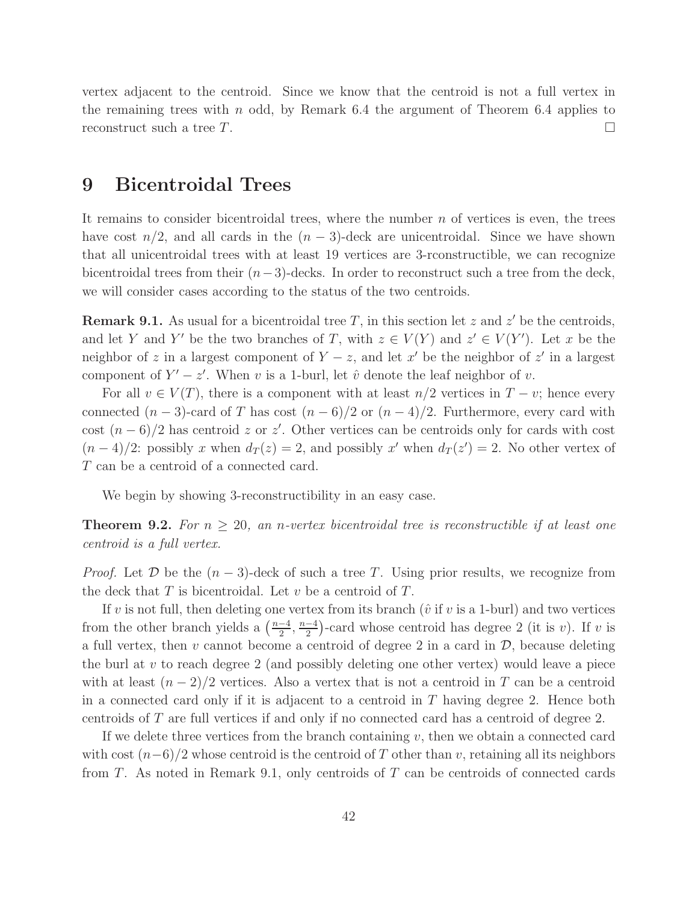vertex adjacent to the centroid. Since we know that the centroid is not a full vertex in the remaining trees with  $n$  odd, by Remark 6.4 the argument of Theorem 6.4 applies to reconstruct such a tree  $T$ .

## 9 Bicentroidal Trees

It remains to consider bicentroidal trees, where the number  $n$  of vertices is even, the trees have cost  $n/2$ , and all cards in the  $(n-3)$ -deck are unicentroidal. Since we have shown that all unicentroidal trees with at least 19 vertices are 3-rconstructible, we can recognize bicentroidal trees from their  $(n-3)$ -decks. In order to reconstruct such a tree from the deck, we will consider cases according to the status of the two centroids.

**Remark 9.1.** As usual for a bicentroidal tree T, in this section let z and  $z'$  be the centroids, and let Y and Y' be the two branches of T, with  $z \in V(Y)$  and  $z' \in V(Y')$ . Let x be the neighbor of z in a largest component of  $Y - z$ , and let  $x'$  be the neighbor of  $z'$  in a largest component of  $Y' - z'$ . When v is a 1-burl, let  $\hat{v}$  denote the leaf neighbor of v.

For all  $v \in V(T)$ , there is a component with at least  $n/2$  vertices in  $T - v$ ; hence every connected  $(n-3)$ -card of T has cost  $(n-6)/2$  or  $(n-4)/2$ . Furthermore, every card with cost  $(n-6)/2$  has centroid z or z'. Other vertices can be centroids only for cards with cost  $(n-4)/2$ : possibly x when  $d_T(z) = 2$ , and possibly x' when  $d_T(z') = 2$ . No other vertex of T can be a centroid of a connected card.

We begin by showing 3-reconstructibility in an easy case.

**Theorem 9.2.** For  $n \geq 20$ , an n-vertex bicentroidal tree is reconstructible if at least one centroid is a full vertex.

*Proof.* Let  $D$  be the  $(n-3)$ -deck of such a tree T. Using prior results, we recognize from the deck that  $T$  is bicentroidal. Let  $v$  be a centroid of  $T$ .

If v is not full, then deleting one vertex from its branch ( $\hat{v}$  if v is a 1-burl) and two vertices from the other branch yields a  $\left(\frac{n-4}{2}\right)$  $\frac{-4}{2}, \frac{n-4}{2}$  $\frac{-4}{2}$ )-card whose centroid has degree 2 (it is v). If v is a full vertex, then  $v$  cannot become a centroid of degree 2 in a card in  $\mathcal{D}$ , because deleting the burl at  $v$  to reach degree 2 (and possibly deleting one other vertex) would leave a piece with at least  $(n-2)/2$  vertices. Also a vertex that is not a centroid in T can be a centroid in a connected card only if it is adjacent to a centroid in  $T$  having degree 2. Hence both centroids of T are full vertices if and only if no connected card has a centroid of degree 2.

If we delete three vertices from the branch containing  $v$ , then we obtain a connected card with cost  $(n-6)/2$  whose centroid is the centroid of T other than v, retaining all its neighbors from T. As noted in Remark 9.1, only centroids of T can be centroids of connected cards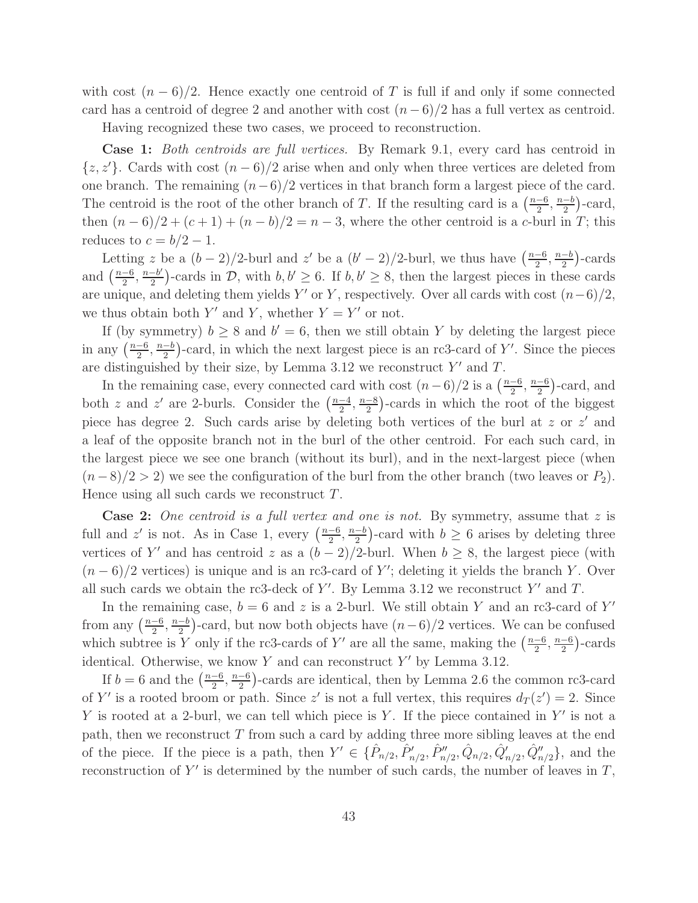with cost  $(n-6)/2$ . Hence exactly one centroid of T is full if and only if some connected card has a centroid of degree 2 and another with cost  $(n-6)/2$  has a full vertex as centroid.

Having recognized these two cases, we proceed to reconstruction.

Case 1: Both centroids are full vertices. By Remark 9.1, every card has centroid in  $\{z, z'\}.$  Cards with cost  $(n-6)/2$  arise when and only when three vertices are deleted from one branch. The remaining  $(n-6)/2$  vertices in that branch form a largest piece of the card. The centroid is the root of the other branch of T. If the resulting card is a  $\left(\frac{n-6}{2}\right)$  $\frac{-6}{2}, \frac{n-b}{2}$  $\frac{-b}{2}$ )-card, then  $(n-6)/2 + (c+1) + (n - b)/2 = n - 3$ , where the other centroid is a c-burl in T; this reduces to  $c = b/2 - 1$ .

Letting z be a  $(b-2)/2$ -burl and z' be a  $(b'-2)/2$ -burl, we thus have  $\left(\frac{n-6}{2}\right)$  $\frac{-6}{2}, \frac{n-b}{2}$  $\frac{-b}{2}$ )-cards and  $\left(\frac{n-6}{2}\right)$  $\frac{-6}{2}, \frac{n-b'}{2}$  $\frac{-b'}{2}$ -cards in D, with  $b, b' \ge 6$ . If  $b, b' \ge 8$ , then the largest pieces in these cards are unique, and deleting them yields Y' or Y, respectively. Over all cards with cost  $(n-6)/2$ , we thus obtain both Y' and Y, whether  $Y = Y'$  or not.

If (by symmetry)  $b \ge 8$  and  $b' = 6$ , then we still obtain Y by deleting the largest piece in any  $\left(\frac{n-6}{2}\right)$  $\frac{-6}{2}, \frac{n-b}{2}$  $\frac{-b}{2}$ )-card, in which the next largest piece is an rc3-card of Y'. Since the pieces are distinguished by their size, by Lemma 3.12 we reconstruct  $Y'$  and  $T$ .

In the remaining case, every connected card with cost  $(n-6)/2$  is a  $\left(\frac{n-6}{2}\right)$  $\frac{-6}{2}, \frac{n-6}{2}$  $\frac{-6}{2}$ )-card, and both z and z' are 2-burls. Consider the  $\left(\frac{n-4}{2}\right)$  $\frac{-4}{2}, \frac{n-8}{2}$  $\frac{-8}{2}$ )-cards in which the root of the biggest piece has degree 2. Such cards arise by deleting both vertices of the burl at z or  $z'$  and a leaf of the opposite branch not in the burl of the other centroid. For each such card, in the largest piece we see one branch (without its burl), and in the next-largest piece (when  $(n-8)/2 > 2$ ) we see the configuration of the burl from the other branch (two leaves or  $P_2$ ). Hence using all such cards we reconstruct T.

**Case 2:** One centroid is a full vertex and one is not. By symmetry, assume that z is full and z' is not. As in Case 1, every  $\left(\frac{n-6}{2}\right)$  $\frac{-6}{2}, \frac{n-b}{2}$  $\frac{-b}{2}$ )-card with  $b \ge 6$  arises by deleting three vertices of Y' and has centroid z as a  $(b-2)/2$ -burl. When  $b \geq 8$ , the largest piece (with  $(n-6)/2$  vertices) is unique and is an rc3-card of Y'; deleting it yields the branch Y. Over all such cards we obtain the rc3-deck of Y'. By Lemma 3.12 we reconstruct Y' and T.

In the remaining case,  $b = 6$  and z is a 2-burl. We still obtain Y and an rc3-card of Y' from any  $\left(\frac{n-6}{2}\right)$  $\frac{-6}{2}, \frac{n-b}{2}$  $\frac{-b}{2}$ )-card, but now both objects have  $(n-6)/2$  vertices. We can be confused which subtree is Y only if the rc3-cards of Y' are all the same, making the  $\left(\frac{n-6}{2}\right)$  $\frac{-6}{2}, \frac{n-6}{2}$  $\frac{-6}{2}$ )-cards identical. Otherwise, we know  $Y$  and can reconstruct  $Y'$  by Lemma 3.12.

If  $b = 6$  and the  $\left(\frac{n-6}{2}\right)$  $\frac{-6}{2}, \frac{n-6}{2}$  $\frac{-6}{2}$ )-cards are identical, then by Lemma 2.6 the common rc3-card of Y' is a rooted broom or path. Since z' is not a full vertex, this requires  $d_T(z') = 2$ . Since Y is rooted at a 2-burl, we can tell which piece is Y. If the piece contained in  $Y'$  is not a path, then we reconstruct  $T$  from such a card by adding three more sibling leaves at the end of the piece. If the piece is a path, then  $Y' \in \{\hat{P}_{n/2}, \hat{P}'_{n/2}, \hat{P}''_{n/2}, \hat{Q}'_{n/2}, \hat{Q}'_{n/2}, \hat{Q}''_{n/2}\}\$ , and the reconstruction of  $Y'$  is determined by the number of such cards, the number of leaves in  $T$ ,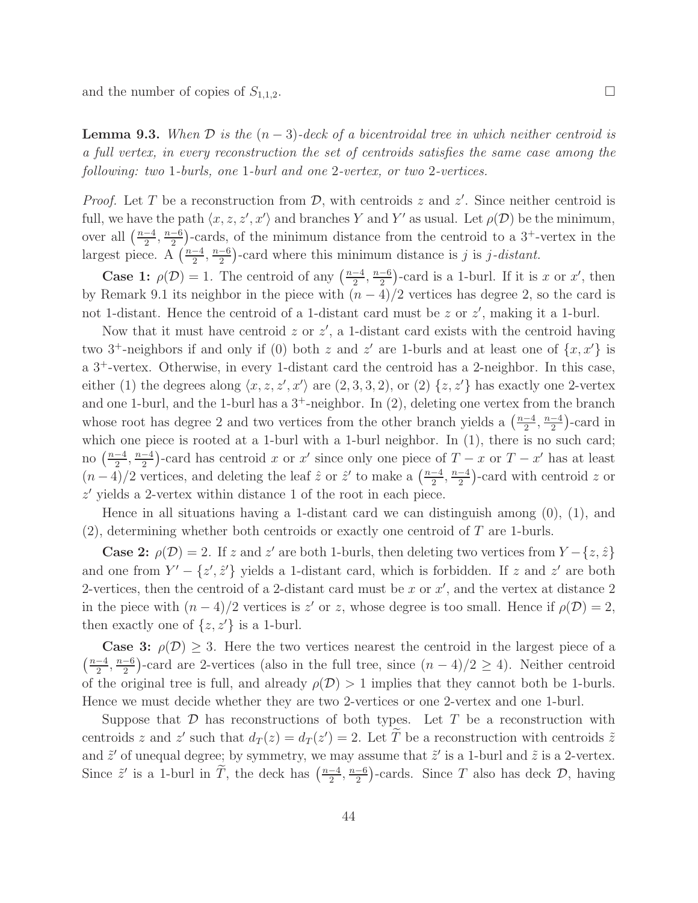and the number of copies of  $S_{1,1,2}$ .

**Lemma 9.3.** When  $\mathcal{D}$  is the  $(n-3)$ -deck of a bicentroidal tree in which neither centroid is a full vertex, in every reconstruction the set of centroids satisfies the same case among the following: two 1-burls, one 1-burl and one 2-vertex, or two 2-vertices.

*Proof.* Let T be a reconstruction from  $D$ , with centroids z and z'. Since neither centroid is full, we have the path  $\langle x, z, z', x' \rangle$  and branches Y and Y' as usual. Let  $\rho(\mathcal{D})$  be the minimum, over all  $\left(\frac{n-4}{2}\right)$  $\frac{-4}{2}, \frac{n-6}{2}$  $\frac{-6}{2}$ )-cards, of the minimum distance from the centroid to a 3<sup>+</sup>-vertex in the largest piece. A  $\left(\frac{n-4}{2}\right)$  $\frac{-4}{2}, \frac{n-6}{2}$  $\frac{-6}{2}$ )-card where this minimum distance is j is j-distant.

**Case 1:**  $\rho(\mathcal{D}) = 1$ . The centroid of any  $\left(\frac{n-4}{2}\right)$  $\frac{-4}{2}, \frac{n-6}{2}$  $\frac{-6}{2}$ )-card is a 1-burl. If it is x or x', then by Remark 9.1 its neighbor in the piece with  $(n-4)/2$  vertices has degree 2, so the card is not 1-distant. Hence the centroid of a 1-distant card must be  $z$  or  $z'$ , making it a 1-burl.

Now that it must have centroid  $z$  or  $z'$ , a 1-distant card exists with the centroid having two 3<sup>+</sup>-neighbors if and only if (0) both z and z' are 1-burls and at least one of  $\{x, x'\}$  is a 3<sup>+</sup>-vertex. Otherwise, in every 1-distant card the centroid has a 2-neighbor. In this case, either (1) the degrees along  $\langle x, z, z', x' \rangle$  are  $(2, 3, 3, 2)$ , or  $(2)$   $\{z, z'\}$  has exactly one 2-vertex and one 1-burl, and the 1-burl has a  $3^+$ -neighbor. In  $(2)$ , deleting one vertex from the branch whose root has degree 2 and two vertices from the other branch yields a  $\left(\frac{n-4}{2}\right)$  $\frac{-4}{2}, \frac{n-4}{2}$  $\frac{-4}{2}$ )-card in which one piece is rooted at a 1-burl with a 1-burl neighbor. In (1), there is no such card; no  $\left(\frac{n-4}{2}\right)$  $\frac{-4}{2}, \frac{n-4}{2}$  $\frac{-4}{2}$ )-card has centroid x or x' since only one piece of  $T - x$  or  $T - x'$  has at least  $(n-4)/2$  vertices, and deleting the leaf  $\hat{z}$  or  $\hat{z}'$  to make a  $\left(\frac{n-4}{2}\right)$  $\frac{-4}{2}, \frac{n-4}{2}$  $\frac{-4}{2}$ )-card with centroid z or z ′ yields a 2-vertex within distance 1 of the root in each piece.

Hence in all situations having a 1-distant card we can distinguish among (0), (1), and  $(2)$ , determining whether both centroids or exactly one centroid of T are 1-burls.

**Case 2:**  $\rho(\mathcal{D}) = 2$ . If z and z' are both 1-burls, then deleting two vertices from  $Y - \{z, \hat{z}\}\$ and one from  $Y' - \{z', \hat{z}'\}$  yields a 1-distant card, which is forbidden. If z and z' are both 2-vertices, then the centroid of a 2-distant card must be x or  $x'$ , and the vertex at distance 2 in the piece with  $(n-4)/2$  vertices is z' or z, whose degree is too small. Hence if  $\rho(\mathcal{D})=2$ , then exactly one of  $\{z, z'\}$  is a 1-burl.

**Case 3:**  $\rho(\mathcal{D}) \geq 3$ . Here the two vertices nearest the centroid in the largest piece of a  $\left(\frac{n-4}{2}\right)$  $\frac{-4}{2}, \frac{n-6}{2}$  $\frac{-6}{2}$ )-card are 2-vertices (also in the full tree, since  $(n-4)/2 \ge 4$ ). Neither centroid of the original tree is full, and already  $\rho(\mathcal{D}) > 1$  implies that they cannot both be 1-burls. Hence we must decide whether they are two 2-vertices or one 2-vertex and one 1-burl.

Suppose that  $D$  has reconstructions of both types. Let  $T$  be a reconstruction with centroids z and z' such that  $d_T(z) = d_T(z') = 2$ . Let T be a reconstruction with centroids  $\tilde{z}$ and  $\tilde{z}'$  of unequal degree; by symmetry, we may assume that  $\tilde{z}'$  is a 1-burl and  $\tilde{z}$  is a 2-vertex. Since  $\tilde{z}'$  is a 1-burl in  $\tilde{T}$ , the deck has  $\left(\frac{n-4}{2}\right)$  $\frac{-4}{2}, \frac{n-6}{2}$  $\frac{-6}{2}$ )-cards. Since T also has deck D, having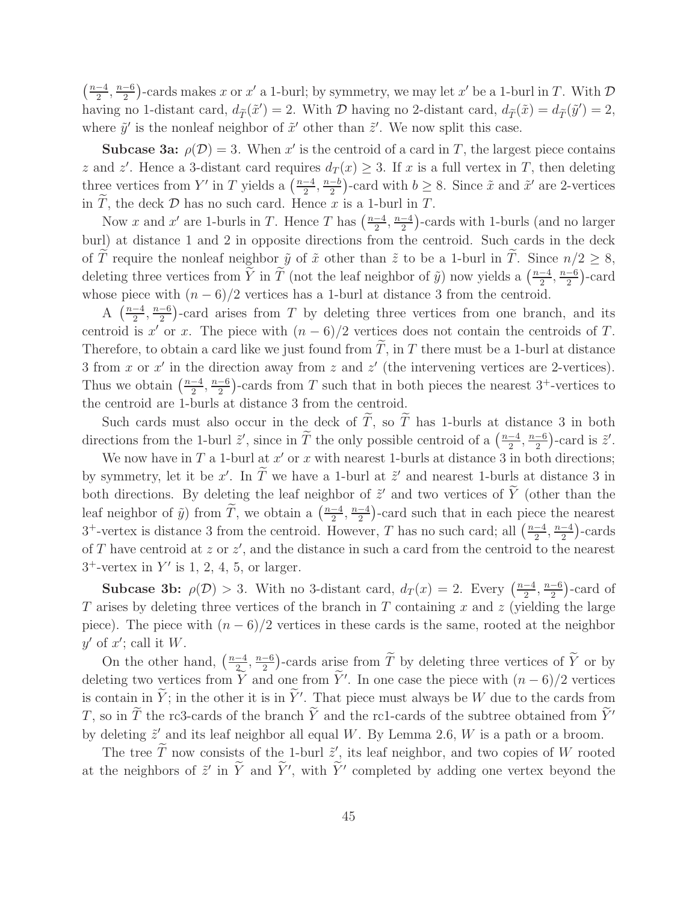$\left(\frac{n-4}{2}\right)$  $\frac{-4}{2}, \frac{n-6}{2}$  $\frac{-6}{2}$ )-cards makes x or x' a 1-burl; by symmetry, we may let x' be a 1-burl in T. With  $\mathcal{D}$ having no 1-distant card,  $d_{\tilde{T}}(\tilde{x}') = 2$ . With  $\mathcal D$  having no 2-distant card,  $d_{\tilde{T}}(\tilde{x}) = d_{\tilde{T}}(\tilde{y}') = 2$ , where  $\tilde{y}'$  is the nonleaf neighbor of  $\tilde{x}'$  other than  $\tilde{z}'$ . We now split this case.

**Subcase 3a:**  $\rho(\mathcal{D}) = 3$ . When x' is the centroid of a card in T, the largest piece contains z and z'. Hence a 3-distant card requires  $d_T(x) \geq 3$ . If x is a full vertex in T, then deleting three vertices from Y' in T yields a  $\left(\frac{n-4}{2}\right)$  $\frac{-4}{2}, \frac{n-b}{2}$  $\frac{-b}{2}$ )-card with  $b \ge 8$ . Since  $\tilde{x}$  and  $\tilde{x}'$  are 2-vertices in  $\tilde{T}$ , the deck  $\mathcal D$  has no such card. Hence  $x$  is a 1-burl in  $T$ .

Now x and x' are 1-burls in T. Hence T has  $\left(\frac{n-4}{2}\right)$  $\frac{-4}{2}, \frac{n-4}{2}$  $\frac{-4}{2}$ )-cards with 1-burls (and no larger burl) at distance 1 and 2 in opposite directions from the centroid. Such cards in the deck of  $\tilde{T}$  require the nonleaf neighbor  $\tilde{y}$  of  $\tilde{x}$  other than  $\tilde{z}$  to be a 1-burl in  $\tilde{T}$ . Since  $n/2 \geq 8$ , deleting three vertices from  $\widetilde{Y}$  in  $\widetilde{T}$  (not the leaf neighbor of  $\widetilde{y}$ ) now yields a  $\left(\frac{n-4}{2}\right)$  $\frac{-4}{2}, \frac{n-6}{2}$  $\frac{-6}{2}$ )-card whose piece with  $(n-6)/2$  vertices has a 1-burl at distance 3 from the centroid.

A  $\left(\frac{n-4}{2}\right)$  $\frac{-4}{2}, \frac{n-6}{2}$  $\frac{-6}{2}$ )-card arises from T by deleting three vertices from one branch, and its centroid is x' or x. The piece with  $(n-6)/2$  vertices does not contain the centroids of T. Therefore, to obtain a card like we just found from  $\tilde{T}$ , in T there must be a 1-burl at distance 3 from x or  $x'$  in the direction away from z and  $z'$  (the intervening vertices are 2-vertices). Thus we obtain  $\left(\frac{n-4}{2}\right)$  $\frac{-4}{2}, \frac{n-6}{2}$  $\frac{-6}{2}$ )-cards from T such that in both pieces the nearest 3<sup>+</sup>-vertices to the centroid are 1-burls at distance 3 from the centroid.

Such cards must also occur in the deck of  $\widetilde{T}$ , so  $\widetilde{T}$  has 1-burls at distance 3 in both directions from the 1-burl  $\tilde{z}'$ , since in  $\tilde{T}$  the only possible centroid of a  $\left(\frac{n-4}{2}\right)$  $\frac{-4}{2}, \frac{n-6}{2}$  $\frac{-6}{2}$ )-card is  $\tilde{z}'$ .

We now have in  $T$  a 1-burl at  $x'$  or  $x$  with nearest 1-burls at distance 3 in both directions; by symmetry, let it be x'. In T we have a 1-burl at  $\tilde{z}'$  and nearest 1-burls at distance 3 in both directions. By deleting the leaf neighbor of  $\tilde{z}'$  and two vertices of  $\tilde{Y}$  (other than the leaf neighbor of  $\tilde{y}$ ) from  $\tilde{T}$ , we obtain a  $\left(\frac{n-4}{2}\right)$  $\frac{-4}{2}, \frac{n-4}{2}$  $\frac{-4}{2}$ )-card such that in each piece the nearest <sup>3+</sup>-vertex is distance 3 from the centroid. However, T has no such card; all  $\left(\frac{n-4}{2}\right)$  $\frac{-4}{2}, \frac{n-4}{2}$  $\frac{-4}{2}$ )-cards of T have centroid at  $z$  or  $z'$ , and the distance in such a card from the centroid to the nearest  $3^+$ -vertex in Y' is 1, 2, 4, 5, or larger.

**Subcase 3b:**  $\rho(\mathcal{D}) > 3$ . With no 3-distant card,  $d_T(x) = 2$ . Every  $\left(\frac{n-4}{2}\right)$  $\frac{-4}{2}, \frac{n-6}{2}$  $\frac{-6}{2}$ )-card of T arises by deleting three vertices of the branch in  $T$  containing  $x$  and  $z$  (yielding the large piece). The piece with  $(n-6)/2$  vertices in these cards is the same, rooted at the neighbor  $y'$  of  $x'$ ; call it  $W$ .

On the other hand,  $\left(\frac{n-4}{2}\right)$  $\frac{-4}{2}$ ,  $\frac{n-6}{2}$  $\frac{-6}{2}$ )-cards arise from  $\widetilde{T}$  by deleting three vertices of  $\widetilde{Y}$  or by deleting two vertices from  $\overline{Y}$  and one from  $\overline{Y}'$ . In one case the piece with  $(n-6)/2$  vertices is contain in  $\tilde{Y}$ ; in the other it is in  $\tilde{Y}'$ . That piece must always be W due to the cards from T, so in  $\widetilde{T}$  the rc3-cards of the branch  $\widetilde{Y}$  and the rc1-cards of the subtree obtained from  $\widetilde{Y}'$ by deleting  $\tilde{z}'$  and its leaf neighbor all equal W. By Lemma 2.6, W is a path or a broom.

The tree  $\overline{T}$  now consists of the 1-burl  $\tilde{z}'$ , its leaf neighbor, and two copies of W rooted at the neighbors of  $\tilde{z}'$  in Y and Y', with Y' completed by adding one vertex beyond the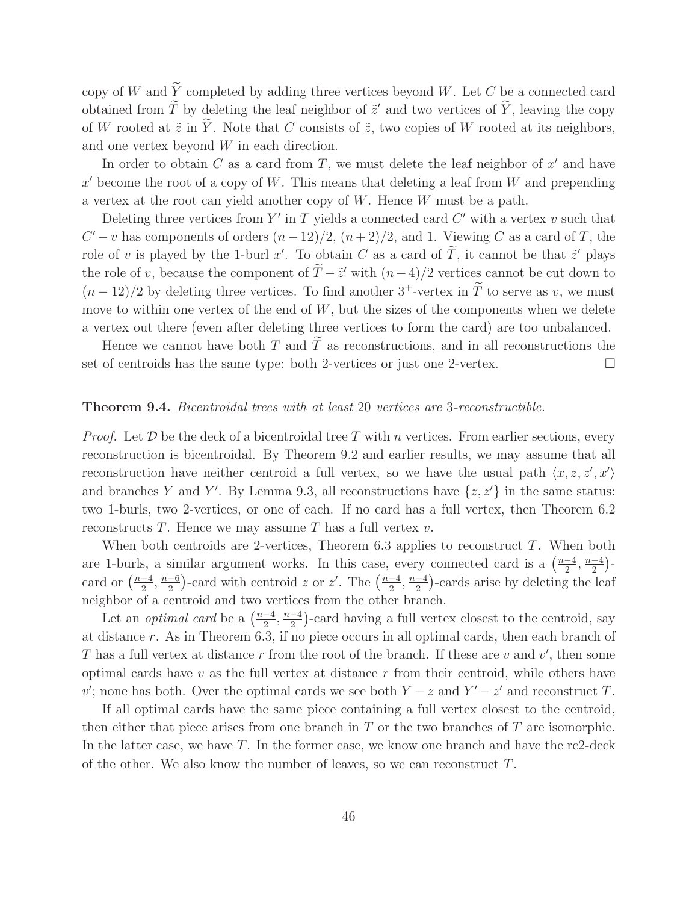copy of W and  $\tilde{Y}$  completed by adding three vertices beyond W. Let C be a connected card obtained from T by deleting the leaf neighbor of  $\tilde{z}'$  and two vertices of Y, leaving the copy of W rooted at  $\tilde{z}$  in  $\tilde{Y}$ . Note that C consists of  $\tilde{z}$ , two copies of W rooted at its neighbors, and one vertex beyond W in each direction.

In order to obtain  $C$  as a card from  $T$ , we must delete the leaf neighbor of  $x'$  and have  $x'$  become the root of a copy of W. This means that deleting a leaf from W and prepending a vertex at the root can yield another copy of W. Hence W must be a path.

Deleting three vertices from  $Y'$  in T yields a connected card  $C'$  with a vertex  $v$  such that  $C'-v$  has components of orders  $(n-12)/2$ ,  $(n+2)/2$ , and 1. Viewing C as a card of T, the role of v is played by the 1-burl x'. To obtain C as a card of T, it cannot be that  $\tilde{z}'$  plays the role of v, because the component of  $\overline{T}-\tilde{z}'$  with  $(n-4)/2$  vertices cannot be cut down to  $(n-12)/2$  by deleting three vertices. To find another  $3^+$ -vertex in  $\tilde{T}$  to serve as v, we must move to within one vertex of the end of  $W$ , but the sizes of the components when we delete a vertex out there (even after deleting three vertices to form the card) are too unbalanced.

Hence we cannot have both T and  $\tilde{T}$  as reconstructions, and in all reconstructions the set of centroids has the same type: both 2-vertices or just one 2-vertex.

### Theorem 9.4. Bicentroidal trees with at least 20 vertices are 3-reconstructible.

*Proof.* Let  $\mathcal D$  be the deck of a bicentroidal tree T with n vertices. From earlier sections, every reconstruction is bicentroidal. By Theorem 9.2 and earlier results, we may assume that all reconstruction have neither centroid a full vertex, so we have the usual path  $\langle x, z, z', x' \rangle$ and branches Y and Y'. By Lemma 9.3, all reconstructions have  $\{z, z'\}$  in the same status: two 1-burls, two 2-vertices, or one of each. If no card has a full vertex, then Theorem 6.2 reconstructs T. Hence we may assume T has a full vertex  $v$ .

When both centroids are 2-vertices, Theorem  $6.3$  applies to reconstruct T. When both are 1-burls, a similar argument works. In this case, every connected card is a  $\left(\frac{n-4}{2}\right)$  $\frac{-4}{2}, \frac{n-4}{2}$  $\frac{-4}{2}$ )card or  $\left(\frac{n-4}{2}\right)$  $\frac{-4}{2}, \frac{n-6}{2}$  $\frac{-6}{2}$ )-card with centroid z or z'. The  $\left(\frac{n-4}{2}\right)$  $\frac{-4}{2}, \frac{n-4}{2}$  $\frac{-4}{2}$ )-cards arise by deleting the leaf neighbor of a centroid and two vertices from the other branch.

Let an *optimal card* be a  $\left(\frac{n-4}{2}\right)$  $\frac{-4}{2}, \frac{n-4}{2}$  $\frac{-4}{2}$ )-card having a full vertex closest to the centroid, say at distance r. As in Theorem 6.3, if no piece occurs in all optimal cards, then each branch of T has a full vertex at distance r from the root of the branch. If these are  $v$  and  $v'$ , then some optimal cards have  $v$  as the full vertex at distance  $r$  from their centroid, while others have v'; none has both. Over the optimal cards we see both  $Y - z$  and  $Y' - z'$  and reconstruct T.

If all optimal cards have the same piece containing a full vertex closest to the centroid, then either that piece arises from one branch in  $T$  or the two branches of  $T$  are isomorphic. In the latter case, we have  $T$ . In the former case, we know one branch and have the rc2-deck of the other. We also know the number of leaves, so we can reconstruct T.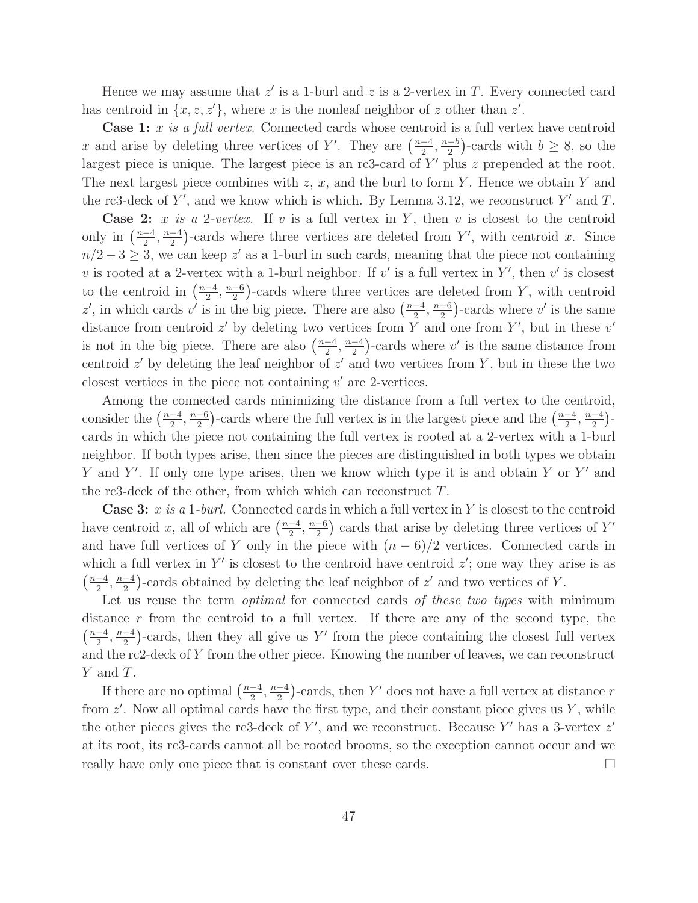Hence we may assume that  $z'$  is a 1-burl and  $z$  is a 2-vertex in  $T$ . Every connected card has centroid in  $\{x, z, z'\}$ , where x is the nonleaf neighbor of z other than  $z'$ .

**Case 1:** x is a full vertex. Connected cards whose centroid is a full vertex have centroid x and arise by deleting three vertices of Y'. They are  $\left(\frac{n-4}{2}\right)$  $\frac{-4}{2}, \frac{n-b}{2}$  $\frac{-b}{2}$ )-cards with  $b \ge 8$ , so the largest piece is unique. The largest piece is an rc3-card of  $Y'$  plus  $z$  prepended at the root. The next largest piece combines with  $z, x$ , and the burl to form Y. Hence we obtain Y and the rc3-deck of Y', and we know which is which. By Lemma 3.12, we reconstruct Y' and T.

**Case 2:** x is a 2-vertex. If v is a full vertex in Y, then v is closest to the centroid only in  $\left(\frac{n-4}{2}\right)$  $\frac{-4}{2}, \frac{n-4}{2}$  $\frac{-4}{2}$ )-cards where three vertices are deleted from Y', with centroid x. Since  $n/2 - 3 \ge 3$ , we can keep z' as a 1-burl in such cards, meaning that the piece not containing v is rooted at a 2-vertex with a 1-burl neighbor. If  $v'$  is a full vertex in Y', then  $v'$  is closest to the centroid in  $\left(\frac{n-4}{2}\right)$  $\frac{-4}{2}, \frac{n-6}{2}$  $\frac{-6}{2}$ )-cards where three vertices are deleted from Y, with centroid z', in which cards v' is in the big piece. There are also  $\left(\frac{n-4}{2}\right)$  $\frac{-4}{2}, \frac{n-6}{2}$  $\frac{-6}{2}$ )-cards where  $v'$  is the same distance from centroid  $z'$  by deleting two vertices from Y and one from Y', but in these  $v'$ is not in the big piece. There are also  $\left(\frac{n-4}{2}\right)$  $\frac{-4}{2}, \frac{n-4}{2}$  $\frac{-4}{2}$ )-cards where v' is the same distance from centroid  $z'$  by deleting the leaf neighbor of  $z'$  and two vertices from Y, but in these the two closest vertices in the piece not containing  $v'$  are 2-vertices.

Among the connected cards minimizing the distance from a full vertex to the centroid, consider the  $\left(\frac{n-4}{2}\right)$  $\frac{-4}{2}, \frac{n-6}{2}$  $\frac{-6}{2}$ )-cards where the full vertex is in the largest piece and the  $\left(\frac{n-4}{2}\right)$  $\frac{-4}{2}, \frac{n-4}{2}$  $\frac{-4}{2}$ )cards in which the piece not containing the full vertex is rooted at a 2-vertex with a 1-burl neighbor. If both types arise, then since the pieces are distinguished in both types we obtain Y and Y'. If only one type arises, then we know which type it is and obtain Y or Y' and the rc3-deck of the other, from which which can reconstruct T.

**Case 3:** x is a 1-burl. Connected cards in which a full vertex in Y is closest to the centroid have centroid x, all of which are  $\left(\frac{n-4}{2}\right)$  $\frac{-4}{2}, \frac{n-6}{2}$  $\frac{-6}{2}$  cards that arise by deleting three vertices of Y' and have full vertices of Y only in the piece with  $(n-6)/2$  vertices. Connected cards in which a full vertex in Y' is closest to the centroid have centroid  $z'$ ; one way they arise is as  $\left(\frac{n-4}{2}\right)$  $\frac{-4}{2}, \frac{n-4}{2}$  $\frac{-4}{2}$ )-cards obtained by deleting the leaf neighbor of z' and two vertices of Y.

Let us reuse the term *optimal* for connected cards of these two types with minimum distance  $r$  from the centroid to a full vertex. If there are any of the second type, the  $\left(\frac{n-4}{2}\right)$  $\frac{-4}{2}, \frac{n-4}{2}$  $\frac{-4}{2}$ )-cards, then they all give us Y' from the piece containing the closest full vertex and the rc2-deck of Y from the other piece. Knowing the number of leaves, we can reconstruct Y and T.

If there are no optimal  $\left(\frac{n-4}{2}\right)$  $\frac{-4}{2}, \frac{n-4}{2}$  $\frac{-4}{2}$ )-cards, then Y' does not have a full vertex at distance r from  $z'$ . Now all optimal cards have the first type, and their constant piece gives us  $Y$ , while the other pieces gives the rc3-deck of Y', and we reconstruct. Because Y' has a 3-vertex  $z'$ at its root, its rc3-cards cannot all be rooted brooms, so the exception cannot occur and we really have only one piece that is constant over these cards.